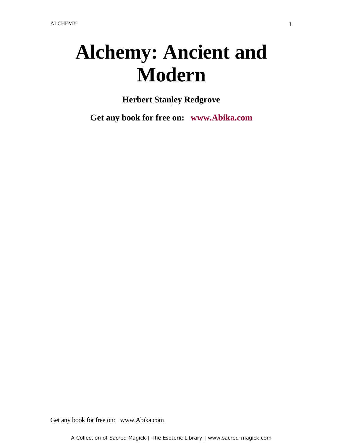# **Alchemy: Ancient and Modern**

**Herbert Stanley Redgrove** -

**Get any book for free on: www.Abika.com**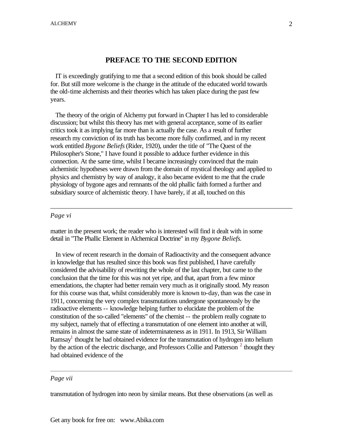#### **PREFACE TO THE SECOND EDITION**

 IT is exceedingly gratifying to me that a second edition of this book should be called for. But still more welcome is the change in the attitude of the educated world towards the old-time alchemists and their theories which has taken place during the past few years.

 The theory of the origin of Alchemy put forward in Chapter I has led to considerable discussion; but whilst this theory has met with general acceptance, some of its earlier critics took it as implying far more than is actually the case. As a result of further research my conviction of its truth has become more fully confirmed, and in my recent work entitled *Bygone Beliefs* (Rider, 1920), under the title of "The Quest of the Philosopher's Stone," I have found it possible to adduce further evidence in this connection. At the same time, whilst I became increasingly convinced that the main alchemistic hypotheses were drawn from the domain of mystical theology and applied to physics and chemistry by way of analogy, it also became evident to me that the crude physiology of bygone ages and remnants of the old phallic faith formed a further and subsidiary source of alchemistic theory. I have barely, if at all, touched on this

#### *Page vi*

matter in the present work; the reader who is interested will find it dealt with in some detail in "The Phallic Element in Alchemical Doctrine" in my *Bygone Beliefs*.

 In view of recent research in the domain of Radioactivity and the consequent advance in knowledge that has resulted since this book was first published, I have carefully considered the advisability of rewriting the whole of the last chapter, but came to the conclusion that the time for this was not yet ripe, and that, apart from a few minor emendations, the chapter had better remain very much as it originally stood. My reason for this course was that, whilst considerably more is known to-day, than was the case in 1911, concerning the very complex transmutations undergone spontaneously by the radioactive elements -- knowledge helping further to elucidate the problem of the constitution of the so-called "elements" of the chemist -- the problem really cognate to my subject, namely that of effecting a transmutation of one element into another at will, remains in almost the same state of indeterminateness as in 1911. In 1913, Sir William Ramsay<sup>1</sup> thought he had obtained evidence for the transmutation of hydrogen into helium by the action of the electric discharge, and Professors Collie and Patterson<sup>2</sup> thought they had obtained evidence of the

#### *Page vii*

transmutation of hydrogen into neon by similar means. But these observations (as well as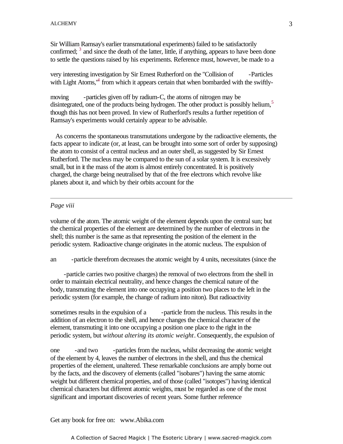Sir William Ramsay's earlier transmutational experiments) failed to be satisfactorily confirmed;  $3$  and since the death of the latter, little, if anything, appears to have been done to settle the questions raised by his experiments. Reference must, however, be made to a

very interesting investigation by Sir Ernest Rutherford on the "Collision of -Particles with Light Atoms,<sup>14</sup> from which it appears certain that when bombarded with the swiftly-

moving -particles given off by radium-C, the atoms of nitrogen may be disintegrated, one of the products being hydrogen. The other product is possibly helium,<sup>5</sup> though this has not been proved. In view of Rutherford's results a further repetition of Ramsay's experiments would certainly appear to be advisable.

 As concerns the spontaneous transmutations undergone by the radioactive elements, the facts appear to indicate (or, at least, can be brought into some sort of order by supposing) the atom to consist of a central nucleus and an outer shell, as suggested by Sir Ernest Rutherford. The nucleus may be compared to the sun of a solar system. It is excessively small, but in it the mass of the atom is almost entirely concentrated. It is positively charged, the charge being neutralised by that of the free electrons which revolve like planets about it, and which by their orbits account for the

#### *Page viii*

volume of the atom. The atomic weight of the element depends upon the central sun; but the chemical properties of the element are determined by the number of electrons in the shell; this number is the same as that representing the position of the element in the periodic system. Radioactive change originates in the atomic nucleus. The expulsion of

an -particle therefrom decreases the atomic weight by 4 units, necessitates (since the

-particle carries two positive charges) the removal of two electrons from the shell in order to maintain electrical neutrality, and hence changes the chemical nature of the body, transmuting the element into one occupying a position two places to the left in the periodic system (for example, the change of radium into niton). But radioactivity

sometimes results in the expulsion of a -particle from the nucleus. This results in the addition of an electron to the shell, and hence changes the chemical character of the element, transmuting it into one occupying a position one place to the right in the periodic system, but *without altering its atomic weight*. Consequently, the expulsion of

one -and two -particles from the nucleus, whilst decreasing the atomic weight of the element by 4, leaves the number of electrons in the shell, and thus the chemical properties of the element, unaltered. These remarkable conclusions are amply borne out by the facts, and the discovery of elements (called "isobares") having the same atomic weight but different chemical properties, and of those (called "isotopes") having identical chemical characters but different atomic weights, must be regarded as one of the most significant and important discoveries of recent years. Some further reference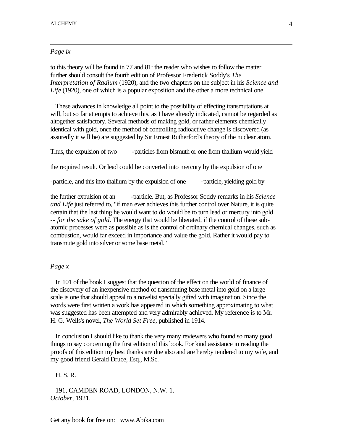#### *Page ix*

to this theory will be found in 77 and 81: the reader who wishes to follow the matter further should consult the fourth edition of Professor Frederick Soddy's *The Interpretation of Radium* (1920), and the two chapters on the subject in his *Science and Life* (1920), one of which is a popular exposition and the other a more technical one.

 These advances in knowledge all point to the possibility of effecting transmutations at will, but so far attempts to achieve this, as I have already indicated, cannot be regarded as altogether satisfactory. Several methods of making gold, or rather elements chemically identical with gold, once the method of controlling radioactive change is discovered (as assuredly it will be) are suggested by Sir Ernest Rutherford's theory of the nuclear atom.

Thus, the expulsion of two - particles from bismuth or one from thallium would yield

the required result. Or lead could be converted into mercury by the expulsion of one

-particle, and this into thallium by the expulsion of one -particle, yielding gold by

the further expulsion of an -particle. But, as Professor Soddy remarks in his *Science and Life* just referred to, "if man ever achieves this further control over Nature, it is quite certain that the last thing he would want to do would be to turn lead or mercury into gold -- *for the sake of gold*. The energy that would be liberated, if the control of these subatomic processes were as possible as is the control of ordinary chemical changes, such as combustion, would far exceed in importance and value the gold. Rather it would pay to transmute gold into silver or some base metal."

#### *Page x*

 In 101 of the book I suggest that the question of the effect on the world of finance of the discovery of an inexpensive method of transmuting base metal into gold on a large scale is one that should appeal to a novelist specially gifted with imagination. Since the words were first written a work has appeared in which something approximating to what was suggested has been attempted and very admirably achieved. My reference is to Mr. H. G. Wells's novel, *The World Set Free*, published in 1914.

 In conclusion I should like to thank the very many reviewers who found so many good things to say concerning the first edition of this book. For kind assistance in reading the proofs of this edition my best thanks are due also and are hereby tendered to my wife, and my good friend Gerald Druce, Esq., M.Sc.

H. S. R.

 191, CAMDEN ROAD, LONDON, N.W. 1. *October*, 1921.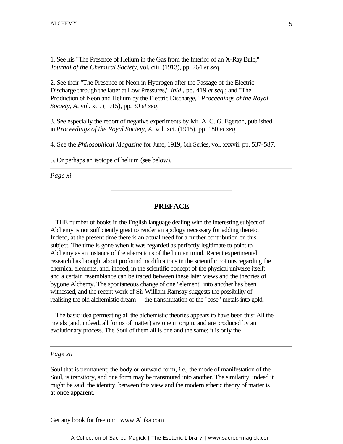1. See his "The Presence of Helium in the Gas from the Interior of an X-Ray Bulb," *Journal of the Chemical Society*, vol. ciii. (1913), pp. 264 *et seq*.

2. See their "The Presence of Neon in Hydrogen after the Passage of the Electric Discharge through the latter at Low Pressures," *ibid*., pp. 419 *et seq*.; and "The Production of Neon and Helium by the Electric Discharge," *Proceedings of the Royal* Society A, yel, yei, (1915) and 20 at see *Society, A*, vol. xci. (1915), pp. 30 *et seq*.

3. See especially the report of negative experiments by Mr. A. C. G. Egerton, published in *Proceedings of the Royal Society, A*, vol. xci. (1915), pp. 180 *et seq*.

4. See the *Philosophical Magazine* for June, 1919, 6th Series, vol. xxxvii. pp. 537-587.

5. Or perhaps an isotope of helium (see below).

*Page xi*

## **PREFACE**

 THE number of books in the English language dealing with the interesting subject of Alchemy is not sufficiently great to render an apology necessary for adding thereto. Indeed, at the present time there is an actual need for a further contribution on this subject. The time is gone when it was regarded as perfectly legitimate to point to Alchemy as an instance of the aberrations of the human mind. Recent experimental research has brought about profound modifications in the scientific notions regarding the chemical elements, and, indeed, in the scientific concept of the physical universe itself; and a certain resemblance can be traced between these later views and the theories of bygone Alchemy. The spontaneous change of one "element" into another has been witnessed, and the recent work of Sir William Ramsay suggests the possibility of realising the old alchemistic dream -- the transmutation of the "base" metals into gold.

 The basic idea permeating all the alchemistic theories appears to have been this: All the metals (and, indeed, all forms of matter) are one in origin, and are produced by an evolutionary process. The Soul of them all is one and the same; it is only the

#### *Page xii*

Soul that is permanent; the body or outward form, *i.e*., the mode of manifestation of the Soul, is transitory, and one form may be transmuted into another. The similarity, indeed it might be said, the identity, between this view and the modern etheric theory of matter is at once apparent.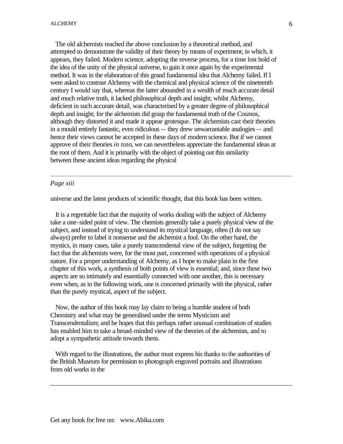The old alchemists reached the above conclusion by a theoretical method, and attempted to demonstrate the validity of their theory by means of experiment; in which, it appears, they failed. Modern science, adopting the reverse process, for a time lost hold of the idea of the unity of the physical universe, to gain it once again by the experimental method. It was in the elaboration of this grand fundamental idea that Alchemy failed. If I were asked to contrast Alchemy with the chemical and physical science of the nineteenth century I would say that, whereas the latter abounded in a wealth of much accurate detail and much relative truth, it lacked philosophical depth and insight; whilst Alchemy, deficient in such accurate detail, was characterised by a greater degree of philosophical depth and insight; for the alchemists did grasp the fundamental truth of the Cosmos, although they distorted it and made it appear grotesque. The alchemists cast their theories in a mould entirely fantastic, even ridiculous -- they drew unwarrantable analogies -- and hence their views cannot be accepted in these days of modern science. But if we cannot approve of their theories *in toto*, we can nevertheless appreciate the fundamental ideas at the root of them. And it is primarily with the object of pointing out this similarity between these ancient ideas regarding the physical

#### *Page xiii*

universe and the latest products of scientific thought, that this book has been written.

 It is a regrettable fact that the majority of works dealing with the subject of Alchemy take a one-sided point of view. The chemists generally take a purely physical view of the subject, and instead of trying to understand its mystical language, often (I do not say always) prefer to label it nonsense and the alchemist a fool. On the other hand, the mystics, in many cases, take a purely transcendental view of the subject, forgetting the fact that the alchemists were, for the most part, concerned with operations of a physical nature. For a proper understanding of Alchemy, as I hope to make plain in the first chapter of this work, a synthesis of both points of view is essential; and, since these two aspects are so intimately and essentially connected with one another, this is necessary even when, as in the following work, one is concerned primarily with the physical, rather than the purely mystical, aspect of the subject.

 Now, the author of this book may lay claim to being a humble student of both Chemistry and what may be generalised under the terms Mysticism and Transcendentalism; and he hopes that this perhaps rather unusual combination of studies has enabled him to take a broad-minded view of the theories of the alchemists, and to adopt a sympathetic attitude towards them.

 With regard to the illustrations, the author must express his thanks to the authorities of the British Museum for permission to photograph engraved portraits and illustrations from old works in the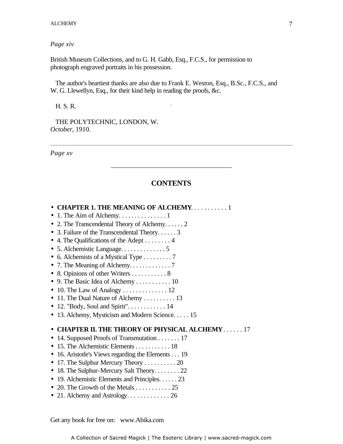*Page xiv*

British Museum Collections, and to G. H. Gabb, Esq., F.C.S., for permission to photograph engraved portraits in his possession.

 The author's heartiest thanks are also due to Frank E. Weston, Esq., B.Sc., F.C.S., and W. G. Llewellyn, Esq., for their kind help in reading the proofs, &c.

-

H. S. R.

 THE POLYTECHNIC, LONDON, W. *October*, 1910.

*Page xv*

# **CONTENTS**

| • CHAPTER 1. THE MEANING OF ALCHEMY. 1                                                           |
|--------------------------------------------------------------------------------------------------|
| $\bullet$ 1. The Aim of Alchemy1                                                                 |
| • 2. The Transcendental Theory of Alchemy 2                                                      |
| • 3. Failure of the Transcendental Theory $3$                                                    |
| • 4. The Qualifications of the Adept 4                                                           |
| • 5. Alchemistic Language. $\dots \dots \dots \dots$                                             |
| • 6. Alchemists of a Mystical Type 7                                                             |
|                                                                                                  |
| • 8. Opinions of other Writers 8                                                                 |
| • 9. The Basic Idea of Alchemy 10                                                                |
|                                                                                                  |
| • 11. The Dual Nature of Alchemy $\dots \dots \dots 13$                                          |
| • 12. "Body, Soul and Spirit" 14                                                                 |
| • 13. Alchemy, Mysticism and Modern Science. 15                                                  |
|                                                                                                  |
| • CHAPTER II. THE THEORY OF PHYSICAL ALCHEMY17                                                   |
| • 14. Supposed Proofs of Transmutation $\dots \dots 17$                                          |
| $\bullet$ 15. The Alchemistic Elements 18                                                        |
| • 16. Aristotle's Views regarding the Elements $\dots$ 19<br>• 17. The Sulphur Mercury Theory 20 |
| • 18. The Sulphur-Mercury Salt Theory. $\dots \dots 22$                                          |
| • 19. Alchemistic Elements and Principles. 23                                                    |
| • 20. The Growth of the Metals $\dots \dots \dots \dots 25$                                      |
| • 21. Alchemy and Astrology. $\dots \dots \dots \dots 26$                                        |
|                                                                                                  |
|                                                                                                  |
|                                                                                                  |
|                                                                                                  |
| Get any book for free on: www.Abika.com                                                          |
| A Collection of Sacred Magick   The Esoteric Library   www.sacred-magick.com                     |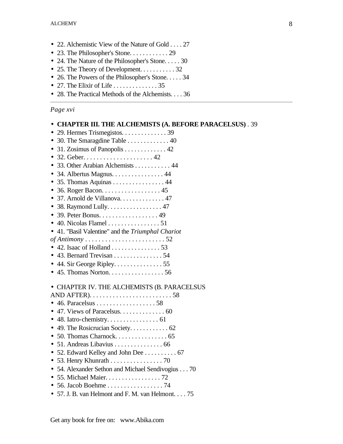- 22. Alchemistic View of the Nature of Gold . . . . 27
- 23. The Philosopher's Stone. . . . . . . . . . . . 29
- 24. The Nature of the Philosopher's Stone. . . . . 30
- 25. The Theory of Development. . . . . . . . . . . 32
- 26. The Powers of the Philosopher's Stone. . . . . 34
- 27. The Elixir of Life  $\dots \dots \dots \dots 35$
- 28. The Practical Methods of the Alchemists. . . . 36

# *Page xvi*

# • **CHAPTER III. THE ALCHEMISTS (A. BEFORE PARACELSUS)** . 39

| $\bullet$ 29. Hermes Trismegistos. 39                     |
|-----------------------------------------------------------|
| • 30. The Smaragdine Table 40                             |
| 31. Zosimus of Panopolis 42<br>$\bullet$                  |
|                                                           |
| • 33. Other Arabian Alchemists 44                         |
| • 34. Albertus Magnus. $\dots \dots \dots \dots \dots 44$ |
| • 35. Thomas Aquinas 44                                   |
| $\bullet$ 36. Roger Bacon. 45                             |
| • 37. Arnold de Villanova. 47                             |
| $\bullet$ 38. Raymond Lully. 47                           |
| $\bullet$ 39. Peter Bonus. 49                             |
| $\bullet$ 40. Nicolas Flamel 51                           |
| • 41. "Basil Valentine" and the Triumphal Chariot         |
|                                                           |
| $\bullet$ 42. Isaac of Holland 53                         |
| $\bullet$ 43. Bernard Trevisan 54                         |
| $\bullet$ 44. Sir George Ripley. 55                       |
| $\bullet$ 45. Thomas Norton56                             |
|                                                           |
| • CHAPTER IV. THE ALCHEMISTS (B. PARACELSUS               |
|                                                           |
|                                                           |
| • 47. Views of Paracelsus. 60                             |
| $\bullet$ 48. Iatro-chemistry. 61                         |
| • 49. The Rosicrucian Society. 62                         |
|                                                           |
| $\bullet$ 51. Andreas Libavius 66                         |
| • 52. Edward Kelley and John Dee 67                       |
| • 53. Henry Khunrath 70                                   |
| • 54. Alexander Sethon and Michael Sendivogius 70         |
| • 55. Michael Maier. 72                                   |
|                                                           |
| • 57. J. B. van Helmont and F. M. van Helmont. 75         |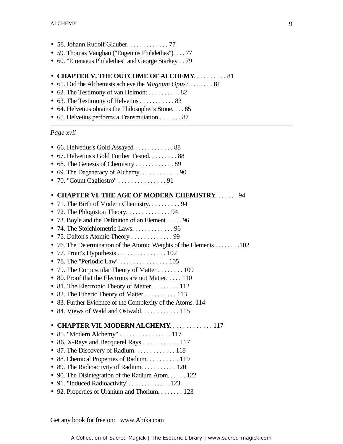- 58. Johann Rudolf Glauber. . . . . . . . . . . . . 77
- 59. Thomas Vaughan ("Eugenius Philalethes"). . . . 77
- 60. "Eirenaeus Philalethes" and George Starkey . . 79

#### • **CHAPTER V. THE OUTCOME OF ALCHEMY**. . . . . . . . . . 81

- 61. Did the Alchemists achieve the *Magnum Opus*? . . . . . . . 81
- 62. The Testimony of van Helmont . . . . . . . . . 82
- 63. The Testimony of Helvetius . . . . . . . . . . . 83
- 64. Helvetius obtains the Philosopher's Stone. . . . 85
- 65. Helvetius performs a Transmutation . . . . . . . 87

# *Page xvii*

| • 66. Helvetius's Gold Assayed 88<br>• 67. Helvetius's Gold Further Tested. 88<br>• 69. The Degeneracy of Alchemy. $\dots \dots \dots$ . 90                                                                                                                                                                                                                                                                                                                                                                                                                                                                                                                               |
|---------------------------------------------------------------------------------------------------------------------------------------------------------------------------------------------------------------------------------------------------------------------------------------------------------------------------------------------------------------------------------------------------------------------------------------------------------------------------------------------------------------------------------------------------------------------------------------------------------------------------------------------------------------------------|
|                                                                                                                                                                                                                                                                                                                                                                                                                                                                                                                                                                                                                                                                           |
| • CHAPTER VI. THE AGE OF MODERN CHEMISTRY. 94<br>• 71. The Birth of Modern Chemistry. 94<br>• 73. Boyle and the Definition of an Element 96<br>• 74. The Stoichiometric Laws. $\dots \dots \dots \dots$ 96<br>• 76. The Determination of the Atomic Weights of the Elements 10<br>• 77. Prout's Hypothesis 102<br>• 78. The "Periodic Law"  105<br>• 79. The Corpuscular Theory of Matter 109<br>• 80. Proof that the Electrons are not Matter 110<br>• 81. The Electronic Theory of Matter 112<br>• 82. The Etheric Theory of Matter 113<br>• 83. Further Evidence of the Complexity of the Atoms. 114<br>• 84. Views of Wald and Ostwald. $\dots \dots \dots \dots 115$ |
| • CHAPTER VII. MODERN ALCHEMY. 117<br>• 85. "Modern Alchemy"  117<br>• 86. X-Rays and Becquerel Rays. $\dots \dots \dots \dots 117$<br>• 87. The Discovery of Radium. 118<br>• 88. Chemical Properties of Radium. 119<br>• 89. The Radioactivity of Radium. 120<br>• 90. The Disintegration of the Radium Atom. 122<br>• 91. "Induced Radioactivity". $\dots \dots \dots \dots 123$<br>• 92. Properties of Uranium and Thorium. 123                                                                                                                                                                                                                                       |

Get any book for free on: www.Abika.com

 $\ldots \ldots \ldots 102$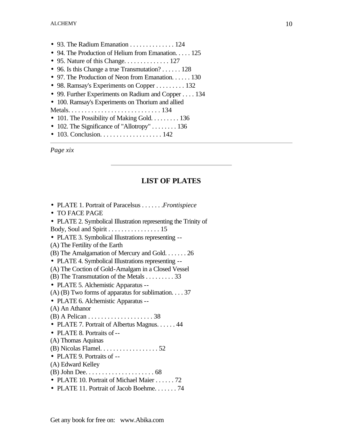- 93. The Radium Emanation  $\dots \dots \dots \dots 124$
- 94. The Production of Helium from Emanation. . . . . 125
- 95. Nature of this Change.  $\dots \dots \dots \dots 127$
- 96. Is this Change a true Transmutation? . . . . . . 128
- 97. The Production of Neon from Emanation. . . . . . 130
- 98. Ramsay's Experiments on Copper . . . . . . . . . 132
- 99. Further Experiments on Radium and Copper . . . . 134
- 100. Ramsay's Experiments on Thorium and allied
- Metals. . . . . . . . . . . . . . . . . . . . . . . . . . . . 134
- 101. The Possibility of Making Gold. . . . . . . . . 136
- 102. The Significance of "Allotropy" . . . . . . . . 136
- 103. Conclusion. . . . . . . . . . . . . . . . . . 142

*Page xix*

# **LIST OF PLATES**

- PLATE 1. Portrait of Paracelsus . . . . . . .*Frontispiece*
- TO FACE PAGE
- PLATE 2. Symbolical Illustration representing the Trinity of Body, Soul and Spirit . . . . . . . . . . . . . . . . 15
- PLATE 3. Symbolical Illustrations representing --
- (A) The Fertility of the Earth
- (B) The Amalgamation of Mercury and Gold. . . . . . . 26
- PLATE 4. Symbolical Illustrations representing --
- (A) The Coction of Gold-Amalgam in a Closed Vessel
- (B) The Transmutation of the Metals . . . . . . . . . 33
- PLATE 5. Alchemistic Apparatus --
- (A) (B) Two forms of apparatus for sublimation. . . . 37
- PLATE 6. Alchemistic Apparatus --
- (A) An Athanor
- (B) A Pelican . . . . . . . . . . . . . . . . . . . . 38
- PLATE 7. Portrait of Albertus Magnus. . . . . . 44
- PLATE 8. Portraits of --
- (A) Thomas Aquinas
- (B) Nicolas Flamel. . . . . . . . . . . . . . . . . . 52
- PLATE 9. Portraits of --
- (A) Edward Kelley
- (B) John Dee. . . . . . . . . . . . . . . . . . . . . 68
- PLATE 10. Portrait of Michael Maier . . . . . . 72
- PLATE 11. Portrait of Jacob Boehme. . . . . . . 74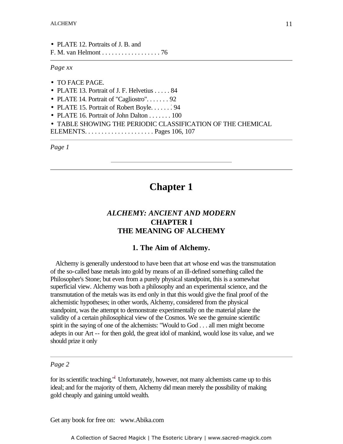• PLATE 12. Portraits of J. B. and F. M. van Helmont . . . . . . . . . . . . . . . . . . 76

*Page xx*

- TO FACE PAGE.
- PLATE 13. Portrait of J. F. Helvetius . . . . . 84
- PLATE 14. Portrait of "Cagliostro". . . . . . . 92
- PLATE 15. Portrait of Robert Boyle. . . . . . . 94
- PLATE 16. Portrait of John Dalton . . . . . . . 100
- TABLE SHOWING THE PERIODIC CLASSIFICATION OF THE CHEMICAL
- ELEMENTS. . . . . . . . . . . . . . . . . . . . . Pages 106, 107

*Page 1*

# **Chapter 1**

# *ALCHEMY: ANCIENT AND MODERN* **CHAPTER I THE MEANING OF ALCHEMY**

#### **1. The Aim of Alchemy.**

 Alchemy is generally understood to have been that art whose end was the transmutation of the so-called base metals into gold by means of an ill-defined something called the Philosopher's Stone; but even from a purely physical standpoint, this is a somewhat superficial view. Alchemy was both a philosophy and an experimental science, and the transmutation of the metals was its end only in that this would give the final proof of the alchemistic hypotheses; in other words, Alchemy, considered from the physical standpoint, was the attempt to demonstrate experimentally on the material plane the validity of a certain philosophical view of the Cosmos. We see the genuine scientific spirit in the saying of one of the alchemists: "Would to God . . . all men might become adepts in our Art -- for then gold, the great idol of mankind, would lose its value, and we should prize it only

#### *Page 2*

for its scientific teaching."<sup>1</sup> Unfortunately, however, not many alchemists came up to this ideal; and for the majority of them, Alchemy did mean merely the possibility of making gold cheaply and gaining untold wealth.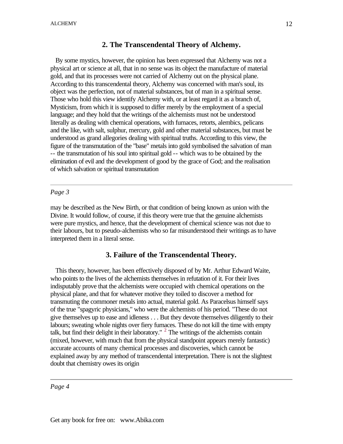# **2. The Transcendental Theory of Alchemy.**

 By some mystics, however, the opinion has been expressed that Alchemy was not a physical art or science at all, that in no sense was its object the manufacture of material gold, and that its processes were not carried of Alchemy out on the physical plane. According to this transcendental theory, Alchemy was concerned with man's soul, its object was the perfection, not of material substances, but of man in a spiritual sense. Those who hold this view identify Alchemy with, or at least regard it as a branch of, Mysticism, from which it is supposed to differ merely by the employment of a special language; and they hold that the writings of the alchemists must not be understood literally as dealing with chemical operations, with furnaces, retorts, alembics, pelicans and the like, with salt, sulphur, mercury, gold and other material substances, but must be understood as grand allegories dealing with spiritual truths. According to this view, the figure of the transmutation of the "base" metals into gold symbolised the salvation of man -- the transmutation of his soul into spiritual gold -- which was to be obtained by the elimination of evil and the development of good by the grace of God; and the realisation of which salvation or spiritual transmutation

#### *Page 3*

may be described as the New Birth, or that condition of being known as union with the Divine. It would follow, of course, if this theory were true that the genuine alchemists were pure mystics, and hence, that the development of chemical science was not due to their labours, but to pseudo-alchemists who so far misunderstood their writings as to have interpreted them in a literal sense.

# **3. Failure of the Transcendental Theory.**

 This theory, however, has been effectively disposed of by Mr. Arthur Edward Waite, who points to the lives of the alchemists themselves in refutation of it. For their lives indisputably prove that the alchemists were occupied with chemical operations on the physical plane, and that for whatever motive they toiled to discover a method for transmuting the commoner metals into actual, material gold. As Paracelsus himself says of the true "spagyric physicians," who were the alchemists of his period. "These do not give themselves up to ease and idleness . . . But they devote themselves diligently to their labours; sweating whole nights over fiery furnaces. These do not kill the time with empty talk, but find their delight in their laboratory."  $2$  The writings of the alchemists contain (mixed, however, with much that from the physical standpoint appears merely fantastic) accurate accounts of many chemical processes and discoveries, which cannot be explained away by any method of transcendental interpretation. There is not the slightest doubt that chemistry owes its origin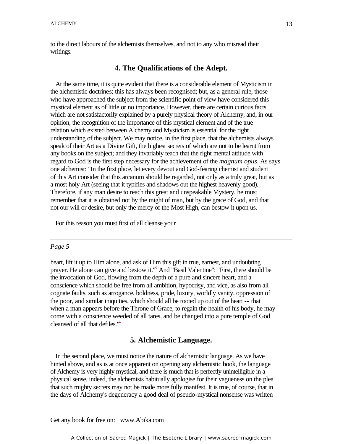to the direct labours of the alchemists themselves, and not to any who misread their writings.

#### **4. The Qualifications of the Adept.**

 At the same time, it is quite evident that there is a considerable element of Mysticism in the alchemistic doctrines; this has always been recognised; but, as a general rule, those who have approached the subject from the scientific point of view have considered this mystical element as of little or no importance. However, there are certain curious facts which are not satisfactorily explained by a purely physical theory of Alchemy, and, in our opinion, the recognition of the importance of this mystical element and of the true relation which existed between Alchemy and Mysticism is essential for the right understanding of the subject. We may notice, in the first place, that the alchemists always speak of their Art as a Divine Gift, the highest secrets of which are not to be learnt from any books on the subject; and they invariably teach that the right mental attitude with regard to God is the first step necessary for the achievement of the *magnum opus*. As says one alchemist: "In the first place, let every devout and God-fearing chemist and student of this Art consider that this arcanum should be regarded, not only as a truly great, but as a most holy Art (seeing that it typifies and shadows out the highest heavenly good). Therefore, if any man desire to reach this great and unspeakable Mystery, he must remember that it is obtained not by the might of man, but by the grace of God, and that not our will or desire, but only the mercy of the Most High, can bestow it upon us.

For this reason you must first of all cleanse your

#### *Page 5*

heart, lift it up to Him alone, and ask of Him this gift in true, earnest, and undoubting prayer. He alone can give and bestow it."<sup>3</sup> And "Basil Valentine": "First, there should be the invocation of God, flowing from the depth of a pure and sincere heart, and a conscience which should be free from all ambition, hypocrisy, and vice, as also from all cognate faults, such as arrogance, boldness, pride, luxury, worldly vanity, oppression of the poor, and similar iniquities, which should all be rooted up out of the heart -- that when a man appears before the Throne of Grace, to regain the health of his body, he may come with a conscience weeded of all tares, and be changed into a pure temple of God cleansed of all that defiles.<sup>"4</sup>

#### **5. Alchemistic Language.**

 In the second place, we must notice the nature of alchemistic language. As we have hinted above, and as is at once apparent on opening any alchemistic book, the language of Alchemy is very highly mystical, and there is much that is perfectly unintelligible in a physical sense. indeed, the alchemists habitually apologise for their vagueness on the plea that such mighty secrets may not be made more fully manifest. It is true, of course, that in the days of Alchemy's degeneracy a good deal of pseudo-mystical nonsense was written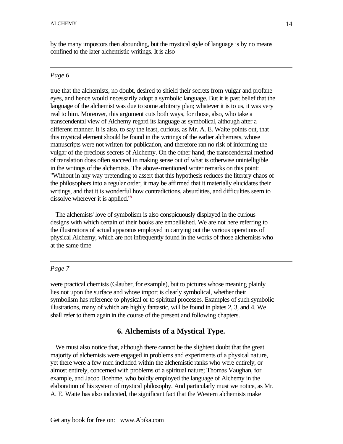by the many impostors then abounding, but the mystical style of language is by no means confined to the later alchemistic writings. It is also

#### *Page 6*

true that the alchemists, no doubt, desired to shield their secrets from vulgar and profane eyes, and hence would necessarily adopt a symbolic language. But it is past belief that the language of the alchemist was due to some arbitrary plan; whatever it is to us, it was very real to him. Moreover, this argument cuts both ways, for those, also, who take a transcendental view of Alchemy regard its language as symbolical, although after a different manner. It is also, to say the least, curious, as Mr. A. E. Waite points out, that this mystical element should be found in the writings of the earlier alchemists, whose manuscripts were not written for publication, and therefore ran no risk of informing the vulgar of the precious secrets of Alchemy. On the other hand, the transcendental method of translation does often succeed in making sense out of what is otherwise unintelligible in the writings of the alchemists. The above-mentioned writer remarks on this point: "Without in any way pretending to assert that this hypothesis reduces the literary chaos of the philosophers into a regular order, it may be affirmed that it materially elucidates their writings, and that it is wonderful how contradictions, absurdities, and difficulties seem to dissolve wherever it is applied.<sup>"5</sup>

 The alchemists' love of symbolism is also conspicuously displayed in the curious designs with which certain of their books are embellished. We are not here referring to the illustrations of actual apparatus employed in carrying out the various operations of physical Alchemy, which are not infrequently found in the works of those alchemists who at the same time

#### *Page 7*

were practical chemists (Glauber, for example), but to pictures whose meaning plainly lies not upon the surface and whose import is clearly symbolical, whether their symbolism has reference to physical or to spiritual processes. Examples of such symbolic illustrations, many of which are highly fantastic, will be found in plates 2, 3, and 4. We shall refer to them again in the course of the present and following chapters.

#### **6. Alchemists of a Mystical Type.**

 We must also notice that, although there cannot be the slightest doubt that the great majority of alchemists were engaged in problems and experiments of a physical nature, yet there were a few men included within the alchemistic ranks who were entirely, or almost entirely, concerned with problems of a spiritual nature; Thomas Vaughan, for example, and Jacob Boehme, who boldly employed the language of Alchemy in the elaboration of his system of mystical philosophy. And particularly must we notice, as Mr. A. E. Waite has also indicated, the significant fact that the Western alchemists make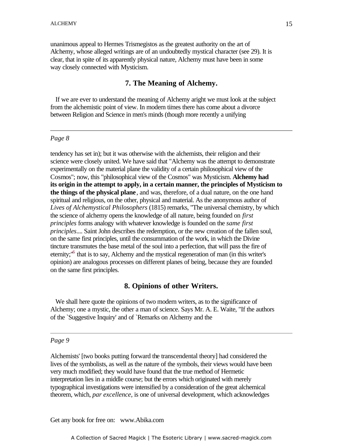unanimous appeal to Hermes Trismegistos as the greatest authority on the art of Alchemy, whose alleged writings are of an undoubtedly mystical character (see 29). It is clear, that in spite of its apparently physical nature, Alchemy must have been in some way closely connected with Mysticism.

## **7. The Meaning of Alchemy.**

 If we are ever to understand the meaning of Alchemy aright we must look at the subject from the alchemistic point of view. In modern times there has come about a divorce between Religion and Science in men's minds (though more recently a unifying

#### *Page 8*

tendency has set in); but it was otherwise with the alchemists, their religion and their science were closely united. We have said that "Alchemy was the attempt to demonstrate experimentally on the material plane the validity of a certain philosophical view of the Cosmos"; now, this "philosophical view of the Cosmos" was Mysticism. **Alchemy had its origin in the attempt to apply, in a certain manner, the principles of Mysticism to the things of the physical plane**, and was, therefore, of a dual nature, on the one hand spiritual and religious, on the other, physical and material. As the anonymous author of *Lives of Alchemystical Philosophers* (1815) remarks, "The universal chemistry, by which the science of alchemy opens the knowledge of all nature, being founded on *first principles* forms analogy with whatever knowledge is founded on the *same first principles*.... Saint John describes the redemption, or the new creation of the fallen soul, on the same first principles, until the consummation of the work, in which the Divine tincture transmutes the base metal of the soul into a perfection, that will pass the fire of eternity;<sup>16</sup> that is to say, Alchemy and the mystical regeneration of man (in this writer's opinion) are analogous processes on different planes of being, because they are founded on the same first principles.

#### **8. Opinions of other Writers.**

 We shall here quote the opinions of two modern writers, as to the significance of Alchemy; one a mystic, the other a man of science. Says Mr. A. E. Waite, "If the authors of the `Suggestive Inquiry' and of `Remarks on Alchemy and the

#### *Page 9*

Alchemists' [two books putting forward the transcendental theory] had considered the lives of the symbolists, as well as the nature of the symbols, their views would have been very much modified; they would have found that the true method of Hermetic interpretation lies in a middle course; but the errors which originated with merely typographical investigations were intensified by a consideration of the great alchemical theorem, which, *par excellence*, is one of universal development, which acknowledges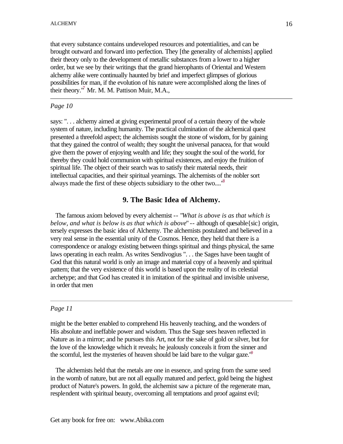that every substance contains undeveloped resources and potentialities, and can be brought outward and forward into perfection. They [the generality of alchemists] applied their theory only to the development of metallic substances from a lower to a higher order, but we see by their writings that the grand hierophants of Oriental and Western alchemy alike were continually haunted by brief and imperfect glimpses of glorious possibilities for man, if the evolution of his nature were accomplished along the lines of their theory.<sup>17</sup> Mr. M. M. Pattison Muir, M.A.,

#### *Page 10*

says: ". . . alchemy aimed at giving experimental proof of a certain theory of the whole system of nature, including humanity. The practical culmination of the alchemical quest presented a threefold aspect; the alchemists sought the stone of wisdom, for by gaining that they gained the control of wealth; they sought the universal panacea, for that would give them the power of enjoying wealth and life; they sought the soul of the world, for thereby they could hold communion with spiritual existences, and enjoy the fruition of spiritual life. The object of their search was to satisfy their material needs, their intellectual capacities, and their spiritual yearnings. The alchemists of the nobler sort always made the first of these objects subsidiary to the other two....<sup>18</sup>

#### **9. The Basic Idea of Alchemy.**

 The famous axiom beloved by every alchemist -- "*What is above is as that which is below, and what is below is as that which is above*" -- although of quesable{sic} origin, tersely expresses the basic idea of Alchemy. The alchemists postulated and believed in a very real sense in the essential unity of the Cosmos. Hence, they held that there is a correspondence or analogy existing between things spiritual and things physical, the same laws operating in each realm. As writes Sendivogius ". . . the Sages have been taught of God that this natural world is only an image and material copy of a heavenly and spiritual pattern; that the very existence of this world is based upon the reality of its celestial archetype; and that God has created it in imitation of the spiritual and invisible universe, in order that men

#### *Page 11*

might be the better enabled to comprehend His heavenly teaching, and the wonders of His absolute and ineffable power and wisdom. Thus the Sage sees heaven reflected in Nature as in a mirror; and he pursues this Art, not for the sake of gold or silver, but for the love of the knowledge which it reveals; he jealously conceals it from the sinner and the scornful, lest the mysteries of heaven should be laid bare to the vulgar gaze.<sup> $\theta$ </sup>

 The alchemists held that the metals are one in essence, and spring from the same seed in the womb of nature, but are not all equally matured and perfect, gold being the highest product of Nature's powers. In gold, the alchemist saw a picture of the regenerate man, resplendent with spiritual beauty, overcoming all temptations and proof against evil;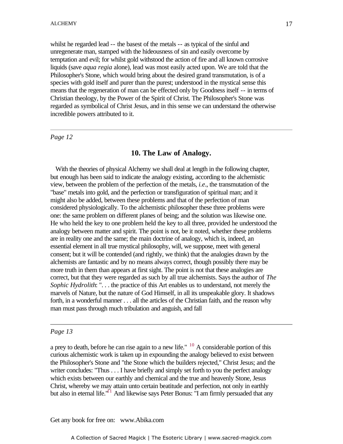whilst he regarded lead -- the basest of the metals -- as typical of the sinful and unregenerate man, stamped with the hideousness of sin and easily overcome by temptation and evil; for whilst gold withstood the action of fire and all known corrosive liquids (save *aqua regia* alone), lead was most easily acted upon. We are told that the Philosopher's Stone, which would bring about the desired grand transmutation, is of a species with gold itself and purer than the purest; understood in the mystical sense this means that the regeneration of man can be effected only by Goodness itself -- in terms of Christian theology, by the Power of the Spirit of Christ. The Philosopher's Stone was exhibition are expected as symbolical of Christ Jesus, and in this sense we can understand the otherwise incredible powers attributed to it.

*Page 12*

#### **10. The Law of Analogy.**

 With the theories of physical Alchemy we shall deal at length in the following chapter, but enough has been said to indicate the analogy existing, according to the alchemistic view, between the problem of the perfection of the metals, *i.e*., the transmutation of the "base" metals into gold, and the perfection or transfiguration of spiritual man; and it might also be added, between these problems and that of the perfection of man considered physiologically. To the alchemistic philosopher these three problems were one: the same problem on different planes of being; and the solution was likewise one. He who held the key to one problem held the key to all three, provided he understood the analogy between matter and spirit. The point is not, be it noted, whether these problems are in reality one and the same; the main doctrine of analogy, which is, indeed, an essential element in all true mystical philosophy, will, we suppose, meet with general consent; but it will be contended (and rightly, we think) that the analogies drawn by the alchemists are fantastic and by no means always correct, though possibly there may be more truth in them than appears at first sight. The point is not that these analogies are correct, but that they were regarded as such by all true alchemists. Says the author of *The Sophic Hydrolith*: ". . . the practice of this Art enables us to understand, not merely the marvels of Nature, but the nature of God Himself, in all its unspeakable glory. It shadows forth, in a wonderful manner . . . all the articles of the Christian faith, and the reason why man must pass through much tribulation and anguish, and fall

#### *Page 13*

a prey to death, before he can rise again to a new life."  $^{10}$  A considerable portion of this curious alchemistic work is taken up in expounding the analogy believed to exist between the Philosopher's Stone and "the Stone which the builders rejected," Christ Jesus; and the writer concludes: "Thus . . . I have briefly and simply set forth to you the perfect analogy which exists between our earthly and chemical and the true and heavenly Stone, Jesus Christ, whereby we may attain unto certain beatitude and perfection, not only in earthly but also in eternal life."<sup>11</sup> And likewise says Peter Bonus: "I am firmly persuaded that any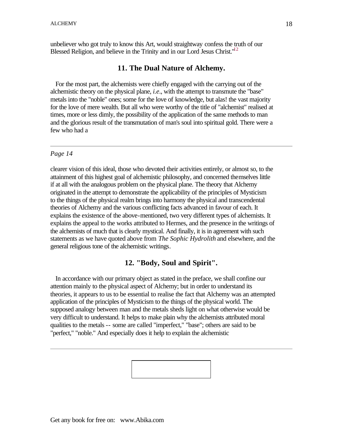unbeliever who got truly to know this Art, would straightway confess the truth of our Blessed Religion, and believe in the Trinity and in our Lord Jesus Christ.<sup>"12</sup>

#### **11. The Dual Nature of Alchemy.**

 For the most part, the alchemists were chiefly engaged with the carrying out of the alchemistic theory on the physical plane, *i.e*., with the attempt to transmute the "base" metals into the "noble" ones; some for the love of knowledge, but alas! the vast majority for the love of mere wealth. But all who were worthy of the title of "alchemist" realised at times, more or less dimly, the possibility of the application of the same methods to man and the glorious result of the transmutation of man's soul into spiritual gold. There were a few who had a

#### *Page 14*

clearer vision of this ideal, those who devoted their activities entirely, or almost so, to the attainment of this highest goal of alchemistic philosophy, and concerned themselves little if at all with the analogous problem on the physical plane. The theory that Alchemy originated in the attempt to demonstrate the applicability of the principles of Mysticism to the things of the physical realm brings into harmony the physical and transcendental theories of Alchemy and the various conflicting facts advanced in favour of each. It explains the existence of the above-mentioned, two very different types of alchemists. It explains the appeal to the works attributed to Hermes, and the presence in the writings of the alchemists of much that is clearly mystical. And finally, it is in agreement with such statements as we have quoted above from *The Sophic Hydrolith* and elsewhere, and the general religious tone of the alchemistic writings.

#### **12. "Body, Soul and Spirit".**

 In accordance with our primary object as stated in the preface, we shall confine our attention mainly to the physical aspect of Alchemy; but in order to understand its theories, it appears to us to be essential to realise the fact that Alchemy was an attempted application of the principles of Mysticism to the things of the physical world. The supposed analogy between man and the metals sheds light on what otherwise would be very difficult to understand. It helps to make plain why the alchemists attributed moral qualities to the metals -- some are called "imperfect," "base"; others are said to be "perfect," "noble." And especially does it help to explain the alchemistic

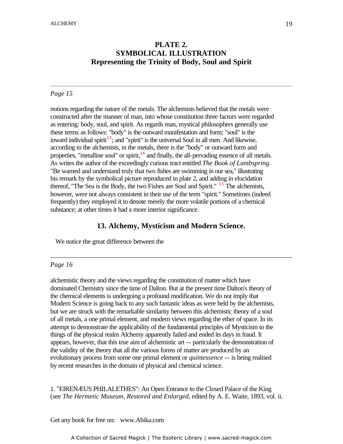# **PLATE 2. SYMBOLICAL ILLUSTRATION Representing the Trinity of Body, Soul and Spirit**

-

#### *Page 15*

notions regarding the nature of the metals. The alchemists believed that the metals were constructed after the manner of man, into whose constitution three factors were regarded as entering: body, soul, and spirit. As regards man, mystical philosophers generally use these terms as follows: "body" is the outward manifestation and form; "soul" is the inward individual spirit<sup>13</sup>; and "spirit" is the universal Soul in all men. And likewise, according to the alchemists, in the metals, there is the "body" or outward form and properties, "metalline soul" or spirit,  $14$  and finally, the all-pervading essence of all metals. As writes the author of the exceedingly curious tract entitled *The Book of Lambspring*. "Be warned and understand truly that two fishes are swimming in our sea," illustrating his remark by the symbolical picture reproduced in plate 2, and adding in elucidation thereof, "The Sea is the Body, the two Fishes are Soul and Spirit."  $15$  The alchemists, however, were not always consistent in their use of the term "spirit." Sometimes (indeed frequently) they employed it to denote merely the more volatile portions of a chemical substance; at other times it had a more interior significance.

#### **13. Alchemy, Mysticism and Modern Science.**

We notice the great difference between the

#### *Page 16*

alchemistic theory and the views regarding the constitution of matter which have dominated Chemistry since the time of Dalton. But at the present time Dalton's theory of the chemical elements is undergoing a profound modification. We do not imply that Modern Science is going back to any such fantastic ideas as were held by the alchemists, but we are struck with the remarkable similarity between this alchemistic theory of a soul of all metals, a one primal element, and modern views regarding the ether of space. In its attempt to demonstrate the applicability of the fundamental principles of Mysticism to the things of the physical realm Alchemy apparently failed and ended its days in fraud. It appears, however, that this true aim of alchemistic art -- particularly the demonstration of the validity of the theory that all the various forms of matter are produced by an evolutionary process from some one primal element or *quintessence* -- is being realised by recent researches in the domain of physical and chemical science.

1. "EIRENÆUS PHILALETHES": An Open Entrance to the Closed Palace of the King (see *The Hermetic Museum, Restored and Enlarged*, edited by A. E. Waite, 1893, vol. ii.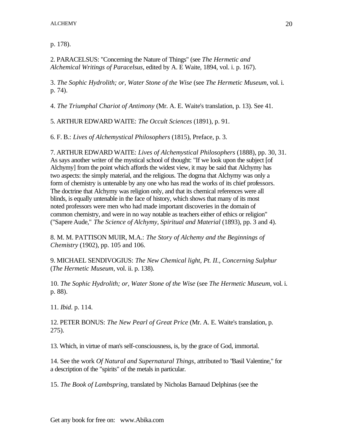p. 178).

2. PARACELSUS: "Concerning the Nature of Things" (see *The Hermetic and Alchemical Writings of Paracelsus*, edited by A. E Waite, 1894, vol. i. p. 167).

3. *The Sophic Hydrolith; or, Water Stone of the Wise* (see *The Hermetic Museum*, vol. i. p. 74).

4. *The Triumphal Chariot of Antimony* (Mr. A. E. Waite's translation, p. 13). See 41.

5. ARTHUR EDWARD WAITE: *The Occult Sciences* (1891), p. 91.

6. F. B.: *Lives of Alchemystical Philosophers* (1815), Preface, p. 3.

7. ARTHUR EDWARD WAITE: *Lives of Alchemystical Philosophers* (1888), pp. 30, 31. As says another writer of the mystical school of thought: "If we look upon the subject [of Alchymy] from the point which affords the widest view, it may be said that Alchymy has two aspects: the simply material, and the religious. The dogma that Alchymy was only a form of chemistry is untenable by any one who has read the works of its chief professors. The doctrine that Alchymy was religion only, and that its chemical references were all blinds, is equally untenable in the face of history, which shows that many of its most noted professors were men who had made important discoveries in the domain of common chemistry, and were in no way notable as teachers either of ethics or religion" ("Sapere Aude," *The Science of Alchymy, Spiritual and Material* (1893), pp. 3 and 4).

8. M. M. PATTISON MUIR, M.A.: *The Story of Alchemy and the Beginnings of Chemistry* (1902), pp. 105 and 106.

9. MICHAEL SENDIVOGIUS: *The New Chemical light, Pt. II., Concerning Sulphur* (*The Hermetic Museum*, vol. ii. p. 138).

10. *The Sophic Hydrolith; or, Water Stone of the Wise* (see *The Hermetic Museum*, vol. i. p. 88).

11. *Ibid*. p. 114.

12. PETER BONUS: *The New Pearl of Great Price* (Mr. A. E. Waite's translation, p. 275).

13. Which, in virtue of man's self-consciousness, is, by the grace of God, immortal.

14. See the work *Of Natural and Supernatural Things*, attributed to "Basil Valentine," for a description of the "spirits" of the metals in particular.

15. *The Book of Lambspring*, translated by Nicholas Barnaud Delphinas (see the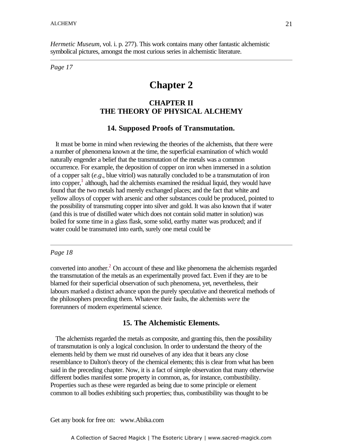*Hermetic Museum*, vol. i. p. 277). This work contains many other fantastic alchemistic symbolical pictures, amongst the most curious series in alchemistic literature.

*Page 17*

# **Chapter 2**

# **CHAPTER II** -**THE THEORY OF PHYSICAL ALCHEMY**

## **14. Supposed Proofs of Transmutation.**

 It must be borne in mind when reviewing the theories of the alchemists, that there were a number of phenomena known at the time, the superficial examination of which would naturally engender a belief that the transmutation of the metals was a common occurrence. For example, the deposition of copper on iron when immersed in a solution of a copper salt (*e.g*., blue vitriol) was naturally concluded to be a transmutation of iron into copper, $<sup>1</sup>$  although, had the alchemists examined the residual liquid, they would have</sup> found that the two metals had merely exchanged places; and the fact that white and yellow alloys of copper with arsenic and other substances could be produced, pointed to the possibility of transmuting copper into silver and gold. It was also known that if water (and this is true of distilled water which does not contain solid matter in solution) was boiled for some time in a glass flask, some solid, earthy matter was produced; and if water could be transmuted into earth, surely one metal could be

#### *Page 18*

converted into another. $2$  On account of these and like phenomena the alchemists regarded the transmutation of the metals as an experimentally proved fact. Even if they are to be blamed for their superficial observation of such phenomena, yet, nevertheless, their labours marked a distinct advance upon the purely speculative and theoretical methods of the philosophers preceding them. Whatever their faults, the alchemists *were* the forerunners of modern experimental science.

#### **15. The Alchemistic Elements.**

 The alchemists regarded the metals as composite, and granting this, then the possibility of transmutation is only a logical conclusion. In order to understand the theory of the elements held by them we must rid ourselves of any idea that it bears any close resemblance to Dalton's theory of the chemical elements; this is clear from what has been said in the preceding chapter. Now, it is a fact of simple observation that many otherwise different bodies manifest some property in common, as, for instance, combustibility. Properties such as these were regarded as being due to some principle or element common to all bodies exhibiting such properties; thus, combustibility was thought to be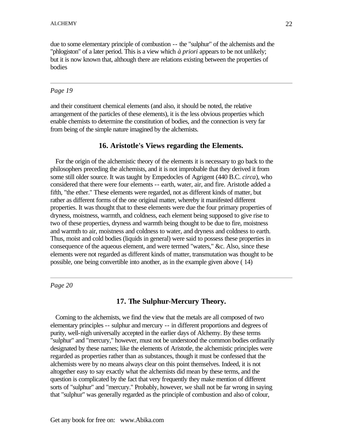due to some elementary principle of combustion -- the "sulphur" of the alchemists and the "phlogiston" of a later period. This is a view which *à priori* appears to be not unlikely; but it is now known that, although there are relations existing between the properties of bodies

#### *Page 19*

and their constituent chemical elements (and also, it should be noted, the relative arrangement of the particles of these elements), it is the less obvious properties which enable chemists to determine the constitution of bodies, and the connection is very far from being of the simple nature imagined by the alchemists.

#### **16. Aristotle's Views regarding the Elements.**

 For the origin of the alchemistic theory of the elements it is necessary to go back to the philosophers preceding the alchemists, and it is not improbable that they derived it from some still older source. It was taught by Empedocles of Agrigent (440 B.C. *circa*), who considered that there were four elements -- earth, water, air, and fire. Aristotle added a fifth, "the ether." These elements were regarded, not as different kinds of matter, but rather as different forms of the one original matter, whereby it manifested different properties. It was thought that to these elements were due the four primary properties of dryness, moistness, warmth, and coldness, each element being supposed to give rise to two of these properties, dryness and warmth being thought to be due to fire, moistness and warmth to air, moistness and coldness to water, and dryness and coldness to earth. Thus, moist and cold bodies (liquids in general) were said to possess these properties in consequence of the aqueous element, and were termed "waters," &c. Also, since these elements were not regarded as different kinds of matter, transmutation was thought to be possible, one being convertible into another, as in the example given above ( 14)

*Page 20*

#### **17. The Sulphur-Mercury Theory.**

 Coming to the alchemists, we find the view that the metals are all composed of two elementary principles -- sulphur and mercury -- in different proportions and degrees of purity, well-nigh universally accepted in the earlier days of Alchemy. By these terms "sulphur" and "mercury," however, must not be understood the common bodies ordinarily designated by these names; like the elements of Aristotle, the alchemistic principles were regarded as properties rather than as substances, though it must be confessed that the alchemists were by no means always clear on this point themselves. Indeed, it is not altogether easy to say exactly what the alchemists did mean by these terms, and the question is complicated by the fact that very frequently they make mention of different sorts of "sulphur" and "mercury." Probably, however, we shall not be far wrong in saying that "sulphur" was generally regarded as the principle of combustion and also of colour,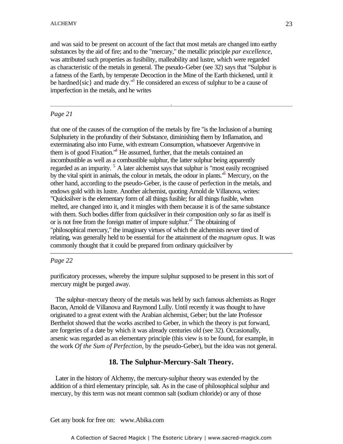and was said to be present on account of the fact that most metals are changed into earthy substances by the aid of fire; and to the "mercury," the metallic principle *par excellence*, was attributed such properties as fusibility, malleability and lustre, which were regarded as characteristic of the metals in general. The pseudo-Geber (see 32) says that "Sulphur is a fatness of the Earth, by temperate Decoction in the Mine of the Earth thickened, until it be hardned{sic} and made dry."<sup>3</sup> He considered an excess of sulphur to be a cause of imperfection in the metals, and he writes

-

#### *Page 21*

that one of the causes of the corruption of the metals by fire "is the Inclusion of a burning Sulphuriety in the profundity of their Substance, diminishing them by Inflamation, and exterminating also into Fume, with extream Consumption, whatsoever Argentvive in them is of good Fixation.<sup>4</sup> He assumed, further, that the metals contained an incombustible as well as a combustible sulphur, the latter sulphur being apparently regarded as an impurity.<sup>5</sup> A later alchemist says that sulphur is "most easily recognised by the vital spirit in animals, the colour in metals, the odour in plants.<sup>'6</sup> Mercury, on the other hand, according to the pseudo-Geber, is the cause of perfection in the metals, and endows gold with its lustre. Another alchemist, quoting Arnold de Villanova, writes: "Quicksilver is the elementary form of all things fusible; for all things fusible, when melted, are changed into it, and it mingles with them because it is of the same substance with them. Such bodies differ from quicksilver in their composition only so far as itself is or is not free from the foreign matter of impure sulphur.<sup> $\sqrt{7}$ </sup> The obtaining of "philosophical mercury," the imaginary virtues of which the alchemists never tired of relating, was generally held to be essential for the attainment of the *magnum opus*. It was commonly thought that it could be prepared from ordinary quicksilver by

#### *Page 22*

purificatory processes, whereby the impure sulphur supposed to be present in this sort of mercury might be purged away.

 The sulphur-mercury theory of the metals was held by such famous alchemists as Roger Bacon, Arnold de Villanova and Raymond Lully. Until recently it was thought to have originated to a great extent with the Arabian alchemist, Geber; but the late Professor Berthelot showed that the works ascribed to Geber, in which the theory is put forward, are forgeries of a date by which it was already centuries old (see 32). Occasionally, arsenic was regarded as an elementary principle (this view is to be found, for example, in the work *Of the Sum of Perfection*, by the pseudo-Geber), but the idea was not general.

#### **18. The Sulphur-Mercury-Salt Theory.**

 Later in the history of Alchemy, the mercury-sulphur theory was extended by the addition of a third elementary principle, salt. As in the case of philosophical sulphur and mercury, by this term was not meant common salt (sodium chloride) or any of those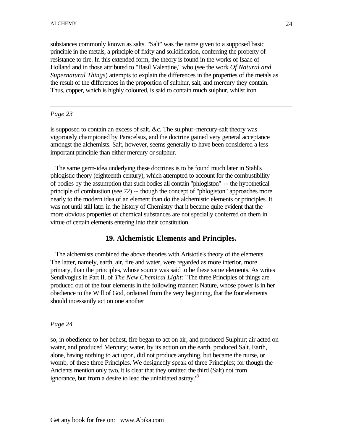substances commonly known as salts. "Salt" was the name given to a supposed basic principle in the metals, a principle of fixity and solidification, conferring the property of resistance to fire. In this extended form, the theory is found in the works of Isaac of Holland and in those attributed to "Basil Valentine," who (see the work *Of Natural and Supernatural Things*) attempts to explain the differences in the properties of the metals as the result of the differences in the proportion of sulphur, salt, and mercury they contain. Thus, copper, which is highly coloured, is said to contain much sulphur, whilst iron

#### *Page 23*

is supposed to contain an excess of salt, &c. The sulphur-mercury-salt theory was vigorously championed by Paracelsus, and the doctrine gained very general acceptance amongst the alchemists. Salt, however, seems generally to have been considered a less important principle than either mercury or sulphur.

 The same germ-idea underlying these doctrines is to be found much later in Stahl's phlogistic theory (eighteenth century), which attempted to account for the combustibility of bodies by the assumption that such bodies all contain "phlogiston" -- the hypothetical principle of combustion (see 72) -- though the concept of "phlogiston" approaches more nearly to the modern idea of an element than do the alchemistic elements or principles. It was not until still later in the history of Chemistry that it became quite evident that the more obvious properties of chemical substances are not specially conferred on them in virtue of certain elements entering into their constitution.

# **19. Alchemistic Elements and Principles.**

 The alchemists combined the above theories with Aristotle's theory of the elements. The latter, namely, earth, air, fire and water, were regarded as more interior, more primary, than the principles, whose source was said to be these same elements. As writes Sendivogius in Part II. of *The New Chemical Light*: "The three Principles of things are produced out of the four elements in the following manner: Nature, whose power is in her obedience to the Will of God, ordained from the very beginning, that the four elements should incessantly act on one another

#### *Page 24*

so, in obedience to her behest, fire began to act on air, and produced Sulphur; air acted on water, and produced Mercury; water, by its action on the earth, produced Salt. Earth, alone, having nothing to act upon, did not produce anything, but became the nurse, or womb, of these three Principles. We designedly speak of three Principles; for though the Ancients mention only two, it is clear that they omitted the third (Salt) not from ignorance, but from a desire to lead the uninitiated astray.<sup>18</sup>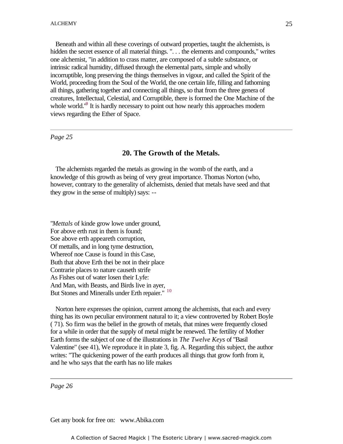Beneath and within all these coverings of outward properties, taught the alchemists, is hidden the secret essence of all material things. ". . . the elements and compounds," writes one alchemist, "in addition to crass matter, are composed of a subtle substance, or intrinsic radical humidity, diffused through the elemental parts, simple and wholly incorruptible, long preserving the things themselves in vigour, and called the Spirit of the World, proceeding from the Soul of the World, the one certain life, filling and fathoming all things, gathering together and connecting all things, so that from the three genera of creatures, Intellectual, Celestial, and Corruptible, there is formed the One Machine of the whole world. $\theta$  It is hardly necessary to point out how nearly this approaches modern views regarding the Ether of Space.

*Page 25*

#### **20. The Growth of the Metals.**

 The alchemists regarded the metals as growing in the womb of the earth, and a knowledge of this growth as being of very great importance. Thomas Norton (who, however, contrary to the generality of alchemists, denied that metals have seed and that they grow in the sense of multiply) says: --

"*Mettals* of kinde grow lowe under ground, For above erth rust in them is found; Soe above erth appeareth corruption, Of mettalls, and in long tyme destruction, Whereof noe Cause is found in this Case, Buth that above Erth thei be not in their place Contrarie places to nature causeth strife As Fishes out of water losen their Lyfe: And Man, with Beasts, and Birds live in ayer, But Stones and Mineralls under Erth repaier." 10

 Norton here expresses the opinion, current among the alchemists, that each and every thing has its own peculiar environment natural to it; a view controverted by Robert Boyle ( 71). So firm was the belief in the growth of metals, that mines were frequently closed for a while in order that the supply of metal might be renewed. The fertility of Mother Earth forms the subject of one of the illustrations in *The Twelve Keys* of "Basil Valentine" (see 41), We reproduce it in plate 3, fig. A. Regarding this subject, the author writes: "The quickening power of the earth produces all things that grow forth from it, and he who says that the earth has no life makes

*Page 26*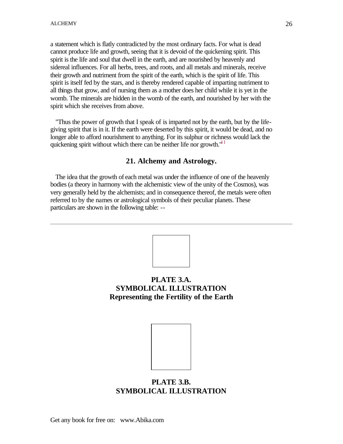a statement which is flatly contradicted by the most ordinary facts. For what is dead cannot produce life and growth, seeing that it is devoid of the quickening spirit. This spirit is the life and soul that dwell in the earth, and are nourished by heavenly and sidereal influences. For all herbs, trees, and roots, and all metals and minerals, receive their growth and nutriment from the spirit of the earth, which is the spirit of life. This spirit is itself fed by the stars, and is thereby rendered capable of imparting nutriment to all things that grow, and of nursing them as a mother does her child while it is yet in the womb. The minerals are hidden in the womb of the earth, and nourished by her with the spirit which she receives from above.

 "Thus the power of growth that I speak of is imparted not by the earth, but by the lifegiving spirit that is in it. If the earth were deserted by this spirit, it would be dead, and no longer able to afford nourishment to anything. For its sulphur or richness would lack the quickening spirit without which there can be neither life nor growth. $"$ <sup>11</sup>

#### **21. Alchemy and Astrology.**

 The idea that the growth of each metal was under the influence of one of the heavenly bodies (a theory in harmony with the alchemistic view of the unity of the Cosmos), was very generally held by the alchemists; and in consequence thereof, the metals were often referred to by the names or astrological symbols of their peculiar planets. These particulars are shown in the following table: --



# **PLATE 3.A. SYMBOLICAL ILLUSTRATION Representing the Fertility of the Earth**



# **PLATE 3.B. SYMBOLICAL ILLUSTRATION**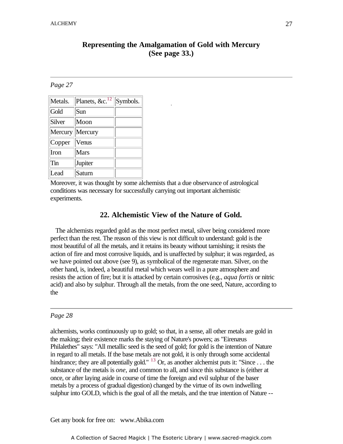# **Representing the Amalgamation of Gold with Mercury (See page 33.)**

-

#### *Page 27*

| Metals.         | Planets, $&c.$ <sup>12</sup> | Symbols. |
|-----------------|------------------------------|----------|
| Gold            | Sun                          |          |
| Silver          | Moon                         |          |
| Mercury Mercury |                              |          |
| Copper          | Venus                        |          |
| Iron            | <b>Mars</b>                  |          |
| Tin             | Jupiter                      |          |
| Lead            | Saturn                       |          |

Moreover, it was thought by some alchemists that a due observance of astrological conditions was necessary for successfully carrying out important alchemistic experiments.

#### **22. Alchemistic View of the Nature of Gold.**

 The alchemists regarded gold as the most perfect metal, silver being considered more perfect than the rest. The reason of this view is not difficult to understand: gold is the most beautiful of all the metals, and it retains its beauty without tarnishing; it resists the action of fire and most corrosive liquids, and is unaffected by sulphur; it was regarded, as we have pointed out above (see 9), as symbolical of the regenerate man. Silver, on the other hand, is, indeed, a beautiful metal which wears well in a pure atmosphere and resists the action of fire; but it is attacked by certain corrosives (e.g., *aqua fortis* or nitric acid) and also by sulphur. Through all the metals, from the one seed, Nature, according to the

#### *Page 28*

alchemists, works continuously up to gold; so that, in a sense, all other metals are gold in the making; their existence marks the staying of Nature's powers; as "Eirenæus Philalethes" says: "All metallic seed is the seed of gold; for gold is the intention of Nature in regard to all metals. If the base metals are not gold, it is only through some accidental hindrance; they are all potentially gold." <sup>13</sup> Or, as another alchemist puts it: "Since . . . the substance of the metals is *one*, and common to all, and since this substance is (either at once, or after laying aside in course of time the foreign and evil sulphur of the baser metals by a process of gradual digestion) changed by the virtue of its own indwelling sulphur into GOLD, which is the goal of all the metals, and the true intention of Nature --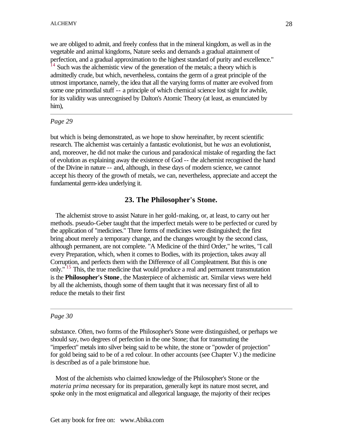we are obliged to admit, and freely confess that in the mineral kingdom, as well as in the vegetable and animal kingdoms, Nature seeks and demands a gradual attainment of perfection, and a gradual approximation to the highest standard of purity and excellence." Such was the alchemistic view of the generation of the metals; a theory which is admittedly crude, but which, nevertheless, contains the germ of a great principle of the utmost importance, namely, the idea that all the varying forms of matter are evolved from some one primordial stuff -- a principle of which chemical science lost sight for awhile, for its validity was unrecognised by Dalton's Atomic Theory (at least, as enunciated by him),

#### *Page 29*

but which is being demonstrated, as we hope to show hereinafter, by recent scientific research. The alchemist was certainly a fantastic evolutionist, but he *was* an evolutionist, and, moreover, he did not make the curious and paradoxical mistake of regarding the fact of evolution as explaining away the existence of God -- the alchemist recognised the hand of the Divine in nature -- and, although, in these days of modern science, we cannot accept his theory of the growth of metals, we can, nevertheless, appreciate and accept the fundamental germ-idea underlying it.

#### **23. The Philosopher's Stone.**

 The alchemist strove to assist Nature in her gold-making, or, at least, to carry out her methods. pseudo-Geber taught that the imperfect metals were to be perfected or cured by the application of "medicines." Three forms of medicines were distinguished; the first bring about merely a temporary change, and the changes wrought by the second class, although permanent, are not complete. "A Medicine of the third Order," he writes, "I call every Preparation, which, when it comes to Bodies, with its projection, takes away all Corruption, and perfects them with the Difference of all Compleatment. But this is one only." <sup>15</sup> This, the true medicine that would produce a real and permanent transmutation is the **Philosopher's Stone**, the Masterpiece of alchemistic art. Similar views were held by all the alchemists, though some of them taught that it was necessary first of all to reduce the metals to their first

#### *Page 30*

substance. Often, two forms of the Philosopher's Stone were distinguished, or perhaps we should say, two degrees of perfection in the one Stone; that for transmuting the "imperfect" metals into silver being said to be white, the stone or "powder of projection" for gold being said to be of a red colour. In other accounts (see Chapter V.) the medicine is described as of a pale brimstone hue.

 Most of the alchemists who claimed knowledge of the Philosopher's Stone or the *materia prima* necessary for its preparation, generally kept its nature most secret, and spoke only in the most enigmatical and allegorical language, the majority of their recipes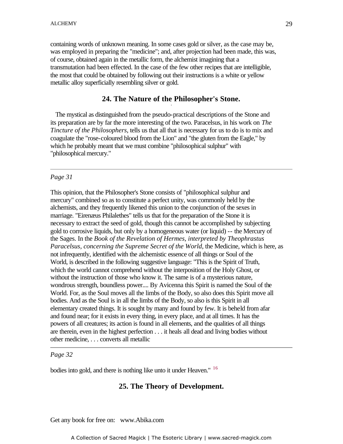containing words of unknown meaning. In some cases gold or silver, as the case may be, was employed in preparing the "medicine"; and, after projection had been made, this was, of course, obtained again in the metallic form, the alchemist imagining that a transmutation had been effected. In the case of the few other recipes that are intelligible, the most that could be obtained by following out their instructions is a white or yellow metallic alloy superficially resembling silver or gold.

# **24. The Nature of the Philosopher's Stone.** -

 The mystical as distinguished from the pseudo-practical descriptions of the Stone and its preparation are by far the more interesting of the two. Paracelsus, in his work on *The Tincture of the Philosophers*, tells us that all that is necessary for us to do is to mix and coagulate the "rose-coloured blood from the Lion" and "the gluten from the Eagle," by which he probably meant that we must combine "philosophical sulphur" with "philosophical mercury."

#### *Page 31*

This opinion, that the Philosopher's Stone consists of "philosophical sulphur and mercury" combined so as to constitute a perfect unity, was commonly held by the alchemists, and they frequently likened this union to the conjunction of the sexes in marriage. "Eirenæus Philalethes" tells us that for the preparation of the Stone it is necessary to extract the seed of gold, though this cannot be accomplished by subjecting gold to corrosive liquids, but only by a homogeneous water (or liquid) -- the Mercury of the Sages. In the *Book of the Revelation of Hermes, interpreted by Theophrastus Paracelsus, concerning the Supreme Secret of the World*, the Medicine, which is here, as not infrequently, identified with the alchemistic essence of all things or Soul of the World, is described in the following suggestive language: "This is the Spirit of Truth, which the world cannot comprehend without the interposition of the Holy Ghost, or without the instruction of those who know it. The same is of a mysterious nature, wondrous strength, boundless power.... By Avicenna this Spirit is named the Soul of the World. For, as the Soul moves all the limbs of the Body, so also does this Spirit move all bodies. And as the Soul is in all the limbs of the Body, so also is this Spirit in all elementary created things. It is sought by many and found by few. It is beheld from afar and found near; for it exists in every thing, in every place, and at all times. It has the powers of all creatures; its action is found in all elements, and the qualities of all things are therein, even in the highest perfection . . . it heals all dead and living bodies without other medicine, . . . converts all metallic

#### *Page 32*

bodies into gold, and there is nothing like unto it under Heaven." <sup>16</sup>

#### **25. The Theory of Development.**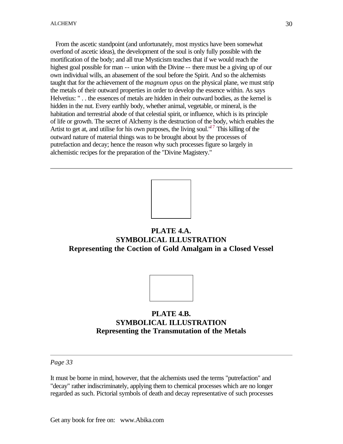From the ascetic standpoint (and unfortunately, most mystics have been somewhat overfond of ascetic ideas), the development of the soul is only fully possible with the mortification of the body; and all true Mysticism teaches that if we would reach the highest goal possible for man -- union with the Divine -- there must be a giving up of our own individual wills, an abasement of the soul before the Spirit. And so the alchemists taught that for the achievement of the *magnum opus* on the physical plane, we must strip the metals of their outward properties in order to develop the essence within. As says Helvetius: " . . the essences of metals are hidden in their outward bodies, as the kernel is hidden in the nut. Every earthly body, whether animal, vegetable, or mineral, is the habitation and terrestrial abode of that celestial spirit, or influence, which is its principle of life or growth. The secret of Alchemy is the destruction of the body, which enables the Artist to get at, and utilise for his own purposes, the living soul."<sup>17</sup> This killing of the outward nature of material things was to be brought about by the processes of putrefaction and decay; hence the reason why such processes figure so largely in alchemistic recipes for the preparation of the "Divine Magistery."



# **PLATE 4.A. SYMBOLICAL ILLUSTRATION Representing the Coction of Gold Amalgam in a Closed Vessel**



*Page 33*

It must be borne in mind, however, that the alchemists used the terms "putrefaction" and "decay" rather indiscriminately, applying them to chemical processes which are no longer regarded as such. Pictorial symbols of death and decay representative of such processes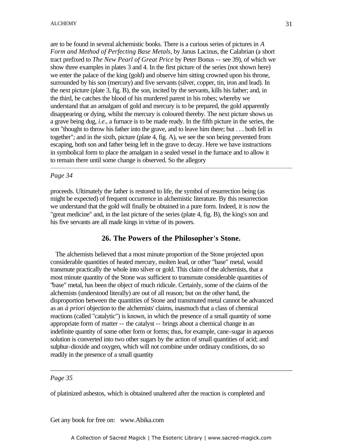are to be found in several alchemistic books. There is a curious series of pictures in *A Form and Method of Perfecting Base Metals*, by Janus Lacinus, the Calabrian (a short tract prefixed to *The New Pearl of Great Price* by Peter Bonus -- see 39), of which we show three examples in plates 3 and 4. In the first picture of the series (not shown here) we enter the palace of the king (gold) and observe him sitting crowned upon his throne, surrounded by his son (mercury) and five servants (silver, copper, tin, iron and lead). In the next picture (plate 3, fig. B), the son, incited by the servants, kills his father; and, in the third, he catches the blood of his murdered parent in his robes; whereby we understand that an amalgam of gold and mercury is to be prepared, the gold apparently disappearing or dying, whilst the mercury is coloured thereby. The next picture shows us a grave being dug, *i.e*., a furnace is to be made ready. In the fifth picture in the series, the son "thought to throw his father into the grave, and to leave him there; but . . . both fell in together"; and in the sixth, picture (plate 4, fig. A), we see the son being prevented from escaping, both son and father being left in the grave to decay. Here we have instructions in symbolical form to place the amalgam in a sealed vessel in the furnace and to allow it to remain there until some change is observed. So the allegory

#### *Page 34*

proceeds. Ultimately the father is restored to life, the symbol of resurrection being (as might be expected) of frequent occurrence in alchemistic literature. By this resurrection we understand that the gold will finally be obtained in a pure form. Indeed, it is now the "great medicine" and, in the last picture of the series (plate 4, fig. B), the king's son and his five servants are all made kings in virtue of its powers.

#### **26. The Powers of the Philosopher's Stone.**

 The alchemists believed that a most minute proportion of the Stone projected upon considerable quantities of heated mercury, molten lead, or other "base" metal, would transmute practically the whole into silver or gold. This claim of the alchemists, that a most minute quantity of the Stone was sufficient to transmute considerable quantities of "base" metal, has been the object of much ridicule. Certainly, some of the claims of the alchemists (understood literally) are out of all reason; but on the other hand, the disproportion between the quantities of Stone and transmuted metal cannot be advanced as an *à priori* objection to the alchemists' claims, inasmuch that a class of chemical reactions (called "catalytic") is known, in which the presence of a small quantity of some appropriate form of matter -- the catalyst -- brings about a chemical change in an indefinite quantity of some other form or forms; thus, for example, cane-sugar in aqueous solution is converted into two other sugars by the action of small quantities of acid; and sulphur-dioxide and oxygen, which will not combine under ordinary conditions, do so readily in the presence of a small quantity

#### *Page 35*

of platinized asbestos, which is obtained unaltered after the reaction is completed and

Get any book for free on: www.Abika.com

A Collection of Sacred Magick | The Esoteric Library | www.sacred-magick.com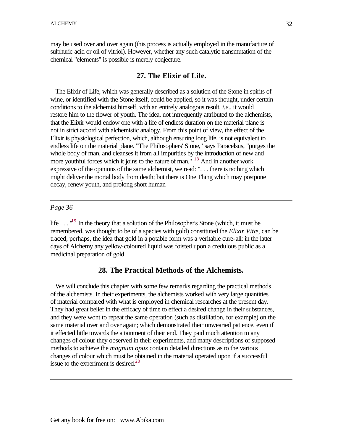may be used over and over again (this process is actually employed in the manufacture of sulphuric acid or oil of vitriol). However, whether any such catalytic transmutation of the chemical "elements" is possible is merely conjecture.

# **27. The Elixir of Life.**

 The Elixir of Life, which was generally described as a solution of the Stone in spirits of wine, or identified with the Stone itself, could be applied, so it was thought, under certain conditions to the alchemist himself, with an entirely analogous result, *i.e*., it would restore him to the flower of youth. The idea, not infrequently attributed to the alchemists, that the Elixir would endow one with a life of endless duration on the material plane is not in strict accord with alchemistic analogy. From this point of view, the effect of the Elixir is physiological perfection, which, although ensuring long life, is not equivalent to endless life on the material plane. "The Philosophers' Stone," says Paracelsus, "purges the whole body of man, and cleanses it from all impurities by the introduction of new and more youthful forces which it joins to the nature of man."<sup>18</sup> And in another work expressive of the opinions of the same alchemist, we read: ". . . there is nothing which might deliver the mortal body from death; but there is One Thing which may postpone decay, renew youth, and prolong short human

#### *Page 36*

life  $\dots$  <sup>19</sup> In the theory that a solution of the Philosopher's Stone (which, it must be remembered, was thought to be of a species with gold) constituted the *Elixir Vitæ*, can be traced, perhaps, the idea that gold in a potable form was a veritable cure-all: in the latter days of Alchemy any yellow-coloured liquid was foisted upon a credulous public as a medicinal preparation of gold.

#### **28. The Practical Methods of the Alchemists.**

 We will conclude this chapter with some few remarks regarding the practical methods of the alchemists. In their experiments, the alchemists worked with very large quantities of material compared with what is employed in chemical researches at the present day. They had great belief in the efficacy of time to effect a desired change in their substances, and they were wont to repeat the same operation (such as distillation, for example) on the same material over and over again; which demonstrated their unwearied patience, even if it effected little towards the attainment of their end. They paid much attention to any changes of colour they observed in their experiments, and many descriptions of supposed methods to achieve the *magnum opus* contain detailed directions as to the various changes of colour which must be obtained in the material operated upon if a successful issue to the experiment is desired. $^{20}$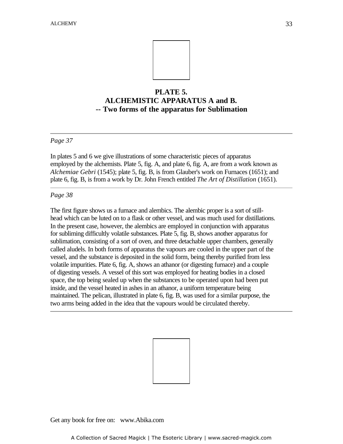

# **PLATE 5. ALCHEMISTIC APPARATUS A and B.** -**-- Two forms of the apparatus for Sublimation**

#### *Page 37*

In plates 5 and 6 we give illustrations of some characteristic pieces of apparatus employed by the alchemists. Plate 5, fig. A, and plate 6, fig. A, are from a work known as *Alchemiae Gebri* (1545); plate 5, fig. B, is from Glauber's work on Furnaces (1651); and plate 6, fig. B, is from a work by Dr. John French entitled *The Art of Distillation* (1651).

#### *Page 38*

The first figure shows us a furnace and alembics. The alembic proper is a sort of stillhead which can be luted on to a flask or other vessel, and was much used for distillations. In the present case, however, the alembics are employed in conjunction with apparatus for subliming difficultly volatile substances. Plate 5, fig. B, shows another apparatus for sublimation, consisting of a sort of oven, and three detachable upper chambers, generally called aludels. In both forms of apparatus the vapours are cooled in the upper part of the vessel, and the substance is deposited in the solid form, being thereby purified from less volatile impurities. Plate 6, fig. A, shows an athanor (or digesting furnace) and a couple of digesting vessels. A vessel of this sort was employed for heating bodies in a closed space, the top being sealed up when the substances to be operated upon had been put inside, and the vessel heated in ashes in an athanor, a uniform temperature being maintained. The pelican, illustrated in plate 6, fig. B, was used for a similar purpose, the two arms being added in the idea that the vapours would be circulated thereby.

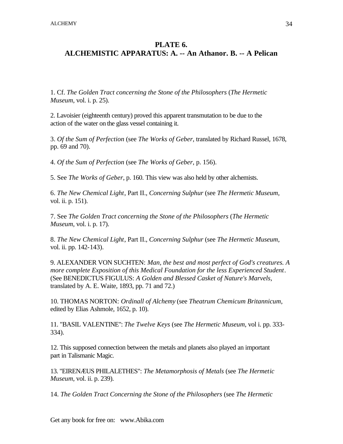# **PLATE 6. ALCHEMISTIC APPARATUS: A. -- An Athanor. B. -- A Pelican**

1. Cf. *The Golden Tract concerning the Stone of the Philosophers* (*The Hermetic Museum*, vol. i. p. 25).

2. Lavoisier (eighteenth century) proved this apparent transmutation to be due to the action of the water on the glass vessel containing it.

3. *Of the Sum of Perfection* (see *The Works of Geber*, translated by Richard Russel, 1678, pp. 69 and 70).

4. *Of the Sum of Perfection* (see *The Works of Geber*, p. 156).

5. See *The Works of Geber*, p. 160. This view was also held by other alchemists.

6. *The New Chemical Light*, Part II., *Concerning Sulphur* (see *The Hermetic Museum*, vol. ii. p. 151).

7. See *The Golden Tract concerning the Stone of the Philosophers* (*The Hermetic Museum*, vol. i. p. 17).

8. *The New Chemical Light*, Part II., *Concerning Sulphur* (see *The Hermetic Museum*, vol. ii. pp. 142-143).

9. ALEXANDER VON SUCHTEN: *Man, the best and most perfect of God's creatures. A more complete Exposition of this Medical Foundation for the less Experienced Student*. (See BENEDICTUS FIGULUS: *A Golden and Blessed Casket of Nature's Marvels*, translated by A. E. Waite, 1893, pp. 71 and 72.)

10. THOMAS NORTON: *Ordinall of Alchemy* (see *Theatrum Chemicum Britannicum*, edited by Elias Ashmole, 1652, p. 10).

11. "BASIL VALENTINE": *The Twelve Keys* (see *The Hermetic Museum*, vol i. pp. 333- 334).

12. This supposed connection between the metals and planets also played an important part in Talismanic Magic.

13. "EIRENÆUS PHILALETHES": *The Metamorphosis of Metals* (see *The Hermetic Museum*, vol. ii. p. 239).

14. *The Golden Tract Concerning the Stone of the Philosophers* (see *The Hermetic*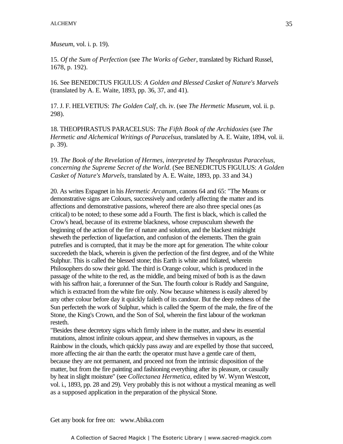*Museum*, vol. i. p. 19).

15. *Of the Sum of Perfection* (see *The Works of Geber*, translated by Richard Russel, 1678, p. 192).

16. See BENEDICTUS FIGULUS: *A Golden and Blessed Casket of Nature's Marvels* (translated by A. E. Waite, 1893, pp. 36, 37, and 41).

17. J. F. HELVETIUS: *The Golden Calf*, ch. iv. (see *The Hermetic Museum*, vol. ii. p. - 298).

18. THEOPHRASTUS PARACELSUS: *The Fifth Book of the Archidoxies* (see *The Hermetic and Alchemical Writings of Paracelsus*, translated by A. E. Waite, 1894, vol. ii. p. 39).

19. *The Book of the Revelation of Hermes, interpreted by Theophrastus Paracelsus, concerning the Supreme Secret of the World*. (See BENEDICTUS FIGULUS: *A Golden Casket of Nature's Marvels*, translated by A. E. Waite, 1893, pp. 33 and 34.)

20. As writes Espagnet in his *Hermetic Arcanum*, canons 64 and 65: "The Means or demonstrative signs are Colours, successively and orderly affecting the matter and its affections and demonstrative passions, whereof there are also three special ones (as critical) to be noted; to these some add a Fourth. The first is black, which is called the Crow's head, because of its extreme blackness, whose crepusculum sheweth the beginning of the action of the fire of nature and solution, and the blackest midnight sheweth the perfection of liquefaction, and confusion of the elements. Then the grain putrefies and is corrupted, that it may be the more apt for generation. The white colour succeedeth the black, wherein is given the perfection of the first degree, and of the White Sulphur. This is called the blessed stone; this Earth is white and foliated, wherein Philosophers do sow their gold. The third is Orange colour, which is produced in the passage of the white to the red, as the middle, and being mixed of both is as the dawn with his saffron hair, a forerunner of the Sun. The fourth colour is Ruddy and Sanguine, which is extracted from the white fire only. Now because whiteness is easily altered by any other colour before day it quickly faileth of its candour. But the deep redness of the Sun perfecteth the work of Sulphur, which is called the Sperm of the male, the fire of the Stone, the King's Crown, and the Son of Sol, wherein the first labour of the workman resteth.

"Besides these decretory signs which firmly inhere in the matter, and shew its essential mutations, almost infinite colours appear, and shew themselves in vapours, as the Rainbow in the clouds, which quickly pass away and are expelled by those that succeed, more affecting the air than the earth: the operator must have a gentle care of them, because they are not permanent, and proceed not from the intrinsic disposition of the matter, but from the fire painting and fashioning everything after its pleasure, or casually by heat in slight moisture" (see *Collectanea Hermetica*, edited by W. Wynn Westcott, vol. i., 1893, pp. 28 and 29). Very probably this is not without a mystical meaning as well as a supposed application in the preparation of the physical Stone.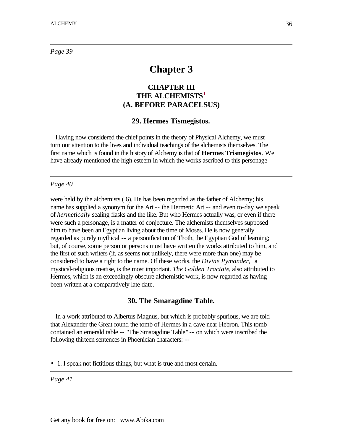*Page 39*

# **Chapter 3**

# **CHAPTER III THE ALCHEMISTS<sup>1</sup> (A. BEFORE PARACELSUS)**

#### **29. Hermes Tismegistos.**

 Having now considered the chief points in the theory of Physical Alchemy, we must turn our attention to the lives and individual teachings of the alchemists themselves. The first name which is found in the history of Alchemy is that of **Hermes Trismegistos**. We have already mentioned the high esteem in which the works ascribed to this personage

#### *Page 40*

were held by the alchemists ( 6). He has been regarded as the father of Alchemy; his name has supplied a synonym for the Art -- the Hermetic Art -- and even to-day we speak of *hermetically* sealing flasks and the like. But who Hermes actually was, or even if there were such a personage, is a matter of conjecture. The alchemists themselves supposed him to have been an Egyptian living about the time of Moses. He is now generally regarded as purely mythical -- a personification of Thoth, the Egyptian God of learning; but, of course, some person or persons must have written the works attributed to him, and the first of such writers (if, as seems not unlikely, there were more than one) may be considered to have a right to the name. Of these works, the *Divine Pymander*<sup>2</sup>, a mystical-religious treatise, is the most important. *The Golden Tractate*, also attributed to Hermes, which is an exceedingly obscure alchemistic work, is now regarded as having been written at a comparatively late date.

#### **30. The Smaragdine Table.**

 In a work attributed to Albertus Magnus, but which is probably spurious, we are told that Alexander the Great found the tomb of Hermes in a cave near Hebron. This tomb contained an emerald table -- "The Smaragdine Table" -- on which were inscribed the following thirteen sentences in Phoenician characters: --

• 1. I speak not fictitious things, but what is true and most certain.

*Page 41*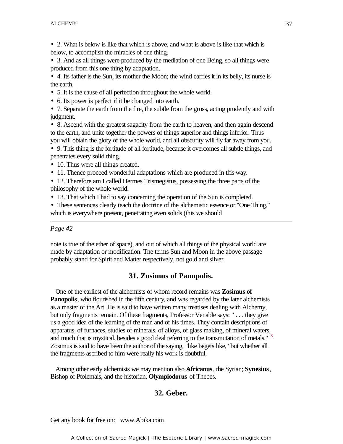- 2. What is below is like that which is above, and what is above is like that which is below, to accomplish the miracles of one thing.
- 3. And as all things were produced by the mediation of one Being, so all things were produced from this one thing by adaptation.

• 4. Its father is the Sun, its mother the Moon; the wind carries it in its belly, its nurse is the earth.

- 5. It is the cause of all perfection throughout the whole world.
- 6. Its power is perfect if it be changed into earth. -

• 7. Separate the earth from the fire, the subtle from the gross, acting prudently and with judgment.

• 8. Ascend with the greatest sagacity from the earth to heaven, and then again descend to the earth, and unite together the powers of things superior and things inferior. Thus you will obtain the glory of the whole world, and all obscurity will fly far away from you.

• 9. This thing is the fortitude of all fortitude, because it overcomes all subtle things, and penetrates every solid thing.

- 10. Thus were all things created.
- 11. Thence proceed wonderful adaptations which are produced in this way.

• 12. Therefore am I called Hermes Trismegistus, possessing the three parts of the philosophy of the whole world.

• 13. That which I had to say concerning the operation of the Sun is completed.

• These sentences clearly teach the doctrine of the alchemistic essence or "One Thing," which is everywhere present, penetrating even solids (this we should

# *Page 42*

note is true of the ether of space), and out of which all things of the physical world are made by adaptation or modification. The terms Sun and Moon in the above passage probably stand for Spirit and Matter respectively, not gold and silver.

# **31. Zosimus of Panopolis.**

 One of the earliest of the alchemists of whom record remains was **Zosimus of Panopolis**, who flourished in the fifth century, and was regarded by the later alchemists as a master of the Art. He is said to have written many treatises dealing with Alchemy, but only fragments remain. Of these fragments, Professor Venable says: " . . . they give us a good idea of the learning of the man and of his times. They contain descriptions of apparatus, of furnaces, studies of minerals, of alloys, of glass making, of mineral waters, and much that is mystical, besides a good deal referring to the transmutation of metals."<sup>3</sup> Zosimus is said to have been the author of the saying, "like begets like," but whether all the fragments ascribed to him were really his work is doubtful.

 Among other early alchemists we may mention also **Africanus**, the Syrian; **Synesius**, Bishop of Ptolemais, and the historian, **Olympiodorus** of Thebes.

# **32. Geber.**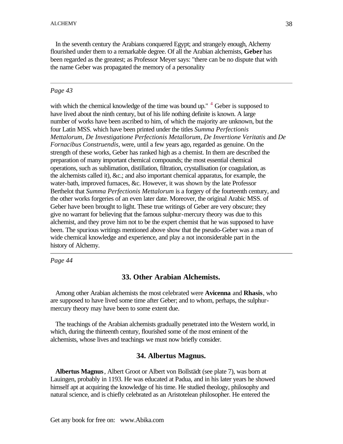In the seventh century the Arabians conquered Egypt; and strangely enough, Alchemy flourished under them to a remarkable degree. Of all the Arabian alchemists, **Geber** has been regarded as the greatest; as Professor Meyer says: "there can be no dispute that with the name Geber was propagated the memory of a personality

#### *Page 43*

with which the chemical knowledge of the time was bound up." <sup>4</sup> Geber is supposed to have lived about the ninth century, but of his life nothing definite is known. A large number of works have been ascribed to him, of which the majority are unknown, but the four Latin MSS. which have been printed under the titles *Summa Perfectionis Mettalorum*, *De Investigatione Perfectionis Metallorum*, *De Invertione Veritatis* and *De Fornacibus Construendis*, were, until a few years ago, regarded as genuine. On the strength of these works, Geber has ranked high as a chemist. In them are described the preparation of many important chemical compounds; the most essential chemical operations, such as sublimation, distillation, filtration, crystallisation (or coagulation, as the alchemists called it), &c.; and also important chemical apparatus, for example, the water-bath, improved furnaces, &c. However, it was shown by the late Professor Berthelot that *Summa Perfectionis Mettalorum* is a forgery of the fourteenth century, and the other works forgeries of an even later date. Moreover, the original Arabic MSS. of Geber have been brought to light. These true writings of Geber are very obscure; they give no warrant for believing that the famous sulphur-mercury theory was due to this alchemist, and they prove him not to be the expert chemist that he was supposed to have been. The spurious writings mentioned above show that the pseudo-Geber was a man of wide chemical knowledge and experience, and play a not inconsiderable part in the history of Alchemy.

*Page 44*

## **33. Other Arabian Alchemists.**

 Among other Arabian alchemists the most celebrated were **Avicenna** and **Rhasis**, who are supposed to have lived some time after Geber; and to whom, perhaps, the sulphurmercury theory may have been to some extent due.

 The teachings of the Arabian alchemists gradually penetrated into the Western world, in which, during the thirteenth century, flourished some of the most eminent of the alchemists, whose lives and teachings we must now briefly consider.

#### **34. Albertus Magnus.**

 **Albertus Magnus**, Albert Groot or Albert von Bollstädt (see plate 7), was born at Lauingen, probably in 1193. He was educated at Padua, and in his later years he showed himself apt at acquiring the knowledge of his time. He studied theology, philosophy and natural science, and is chiefly celebrated as an Aristotelean philosopher. He entered the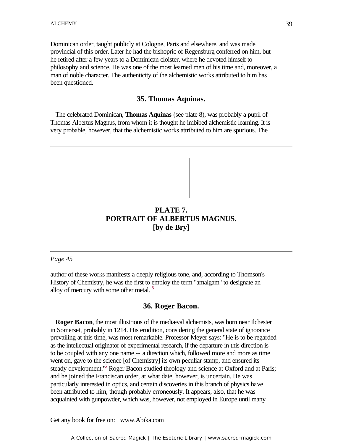Dominican order, taught publicly at Cologne, Paris and elsewhere, and was made provincial of this order. Later he had the bishopric of Regensburg conferred on him, but he retired after a few years to a Dominican cloister, where he devoted himself to philosophy and science. He was one of the most learned men of his time and, moreover, a man of noble character. The authenticity of the alchemistic works attributed to him has been questioned.

# **35. Thomas Aquinas.** -

 The celebrated Dominican, **Thomas Aquinas** (see plate 8), was probably a pupil of Thomas Albertus Magnus, from whom it is thought he imbibed alchemistic learning. It is very probable, however, that the alchemistic works attributed to him are spurious. The



# **PLATE 7. PORTRAIT OF ALBERTUS MAGNUS. [by de Bry]**

#### *Page 45*

author of these works manifests a deeply religious tone, and, according to Thomson's History of Chemistry, he was the first to employ the term "amalgam" to designate an alloy of mercury with some other metal.  $5$ 

#### **36. Roger Bacon.**

**Roger Bacon**, the most illustrious of the mediæval alchemists, was born near Ilchester in Somerset, probably in 1214. His erudition, considering the general state of ignorance prevailing at this time, was most remarkable. Professor Meyer says: "He is to be regarded as the intellectual originator of experimental research, if the departure in this direction is to be coupled with any one name -- a direction which, followed more and more as time went on, gave to the science [of Chemistry] its own peculiar stamp, and ensured its steady development.<sup>16</sup> Roger Bacon studied theology and science at Oxford and at Paris; and he joined the Franciscan order, at what date, however, is uncertain. He was particularly interested in optics, and certain discoveries in this branch of physics have been attributed to him, though probably erroneously. It appears, also, that he was acquainted with gunpowder, which was, however, not employed in Europe until many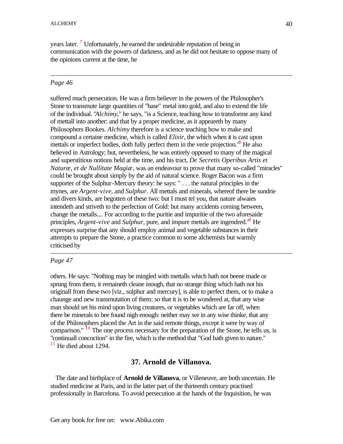years later.<sup>7</sup> Unfortunately, he earned the undesirable reputation of being in communication with the powers of darkness, and as he did not hesitate to oppose many of the opinions current at the time, he

## *Page 46*

suffered much persecution. He was a firm believer in the powers of the Philosopher's Stone to transmute large quantities of "base" metal into gold, and also to extend the life of the individual. "*Alchimy*," he says, "is a Science, teaching how to transforme any kind of mettall into another: and that by a proper medicine, as it appeareth by many Philosophers Bookes. *Alchimy* therefore is a science teaching how to make and compound a certaine medicine, which is called *Elixir*, the which when it is cast upon mettals or imperfect bodies, doth fully perfect them in the verie projection.<sup>8</sup> He also believed in Astrology; but, nevertheless, he was entirely opposed to many of the magical and superstitious notions held at the time, and his tract, *De Secretis Operibus Artis et Naturæ, et de Nullitate Magiæ*, was an endeavour to prove that many so-called "miracles" could be brought about simply by the aid of natural science. Roger Bacon was a firm supporter of the Sulphur-Mercury theory: he says: " . . . the natural principles in the mynes, are *Argent-vive*, and *Sulphur*. All mettals and minerals, whereof there be sundrie and divers kinds, are begotten of these two: but I must tel you, that nature alwaies intendeth and striveth to the perfection of Gold: but many accidents coming between, change the metalls.... For according to the puritie and impuritie of the two aforesaide principles, *Argent-vive* and *Sulphur*, pure, and impure mettals are ingendred.<sup>10</sup> He expresses surprise that any should employ animal and vegetable substances in their attempts to prepare the Stone, a practice common to some alchemists but warmly criticised by

# *Page 47*

others. He says: "Nothing may be mingled with mettalls which hath not beene made or sprung from them, it remaineth cleane inough, that no strange thing which hath not his originall from these two [viz., sulphur and mercury], is able to perfect them, or to make a chaunge and new transmutation of them: so that it is to be wondered at, that any wise man should set his mind upon living creatures, or vegetables which are far off, when there be minerals to bee found nigh enough: neither may we in any wise thinke, that any of the Philosophers placed the Art in the said remote things, except it were by way of comparison." <sup>10</sup> The one process necessary for the preparation of the Stone, he tells us, is "continuall concoction" in the fire, which is the method that "God hath given to nature."  $11$  He died about 1294.

# **37. Arnold de Villanova.**

 The date and birthplace of **Arnold de Villanova**, or Villeneuve, are both uncertain. He studied medicine at Paris, and in the latter part of the thirteenth century practised professionally in Barcelona. To avoid persecution at the hands of the Inquisition, he was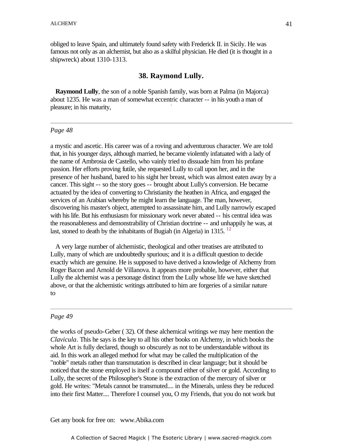obliged to leave Spain, and ultimately found safety with Frederick II. in Sicily. He was famous not only as an alchemist, but also as a skilful physician. He died (it is thought in a shipwreck) about 1310-1313.

#### **38. Raymond Lully.**

 **Raymond Lully**, the son of a noble Spanish family, was born at Palma (in Majorca) about 1235. He was a man of somewhat eccentric character -- in his youth a man of pleasure; in his maturity,

#### *Page 48*

a mystic and ascetic. His career was of a roving and adventurous character. We are told that, in his younger days, although married, he became violently infatuated with a lady of the name of Ambrosia de Castello, who vainly tried to dissuade him from his profane passion. Her efforts proving futile, she requested Lully to call upon her, and in the presence of her husband, bared to his sight her breast, which was almost eaten away by a cancer. This sight -- so the story goes -- brought about Lully's conversion. He became actuated by the idea of converting to Christianity the heathen in Africa, and engaged the services of an Arabian whereby he might learn the language. The man, however, discovering his master's object, attempted to assassinate him, and Lully narrowly escaped with his life. But his enthusiasm for missionary work never abated -- his central idea was the reasonableness and demonstrability of Christian doctrine -- and unhappily he was, at last, stoned to death by the inhabitants of Bugiah (in Algeria) in 1315.  $^{12}$ 

 A very large number of alchemistic, theological and other treatises are attributed to Lully, many of which are undoubtedly spurious; and it is a difficult question to decide exactly which are genuine. He is supposed to have derived a knowledge of Alchemy from Roger Bacon and Arnold de Villanova. It appears more probable, however, either that Lully the alchemist was a personage distinct from the Lully whose life we have sketched above, or that the alchemistic writings attributed to him are forgeries of a similar nature to

#### *Page 49*

the works of pseudo-Geber ( 32). Of these alchemical writings we may here mention the *Clavicula*. This he says is the key to all his other books on Alchemy, in which books the whole Art is fully declared, though so obscurely as not to be understandable without its aid. In this work an alleged method for what may be called the multiplication of the "noble" metals rather than transmutation is described in clear language; but it should be noticed that the stone employed is itself a compound either of silver or gold. According to Lully, the secret of the Philosopher's Stone is the extraction of the mercury of silver or gold. He writes: "Metals cannot be transmuted.... in the Minerals, unless they be reduced into their first Matter.... Therefore I counsel you, O my Friends, that you do not work but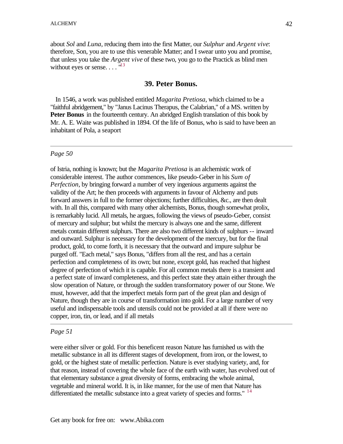about *Sol* and *Luna*, reducing them into the first Matter, our *Sulphur* and *Argent vive*: therefore, Son, you are to use this venerable Matter; and I swear unto you and promise, that unless you take the *Argent vive* of these two, you go to the Practick as blind men without eyes or sense.  $\dots$   $^{\text{13}}$ 

## **39. Peter Bonus.**

 In 1546, a work was published entitled *Magarita Pretiosa*, which claimed to be a "faithful abridgement," by "Janus Lacinus Therapus, the Calabrian," of a MS. written by **Peter Bonus** in the fourteenth century. An abridged English translation of this book by Mr. A. E. Waite was published in 1894. Of the life of Bonus, who is said to have been an inhabitant of Pola, a seaport

## *Page 50*

of Istria, nothing is known; but the *Magarita Pretiosa* is an alchemistic work of considerable interest. The author commences, like pseudo-Geber in his *Sum of Perfection*, by bringing forward a number of very ingenious arguments against the validity of the Art; he then proceeds with arguments in favour of Alchemy and puts forward answers in full to the former objections; further difficulties, &c., are then dealt with. In all this, compared with many other alchemists, Bonus, though somewhat prolix, is remarkably lucid. All metals, he argues, following the views of pseudo-Geber, consist of mercury and sulphur; but whilst the mercury is always one and the same, different metals contain different sulphurs. There are also two different kinds of sulphurs -- inward and outward. Sulphur is necessary for the development of the mercury, but for the final product, gold, to come forth, it is necessary that the outward and impure sulphur be purged off. "Each metal," says Bonus, "differs from all the rest, and has a certain perfection and completeness of its own; but none, except gold, has reached that highest degree of perfection of which it is capable. For all common metals there is a transient and a perfect state of inward completeness, and this perfect state they attain either through the slow operation of Nature, or through the sudden transformatory power of our Stone. We must, however, add that the imperfect metals form part of the great plan and design of Nature, though they are in course of transformation into gold. For a large number of very useful and indispensable tools and utensils could not be provided at all if there were no copper, iron, tin, or lead, and if all metals

## *Page 51*

were either silver or gold. For this beneficent reason Nature has furnished us with the metallic substance in all its different stages of development, from iron, or the lowest, to gold, or the highest state of metallic perfection. Nature is ever studying variety, and, for that reason, instead of covering the whole face of the earth with water, has evolved out of that elementary substance a great diversity of forms, embracing the whole animal, vegetable and mineral world. It is, in like manner, for the use of men that Nature has differentiated the metallic substance into a great variety of species and forms."  $14$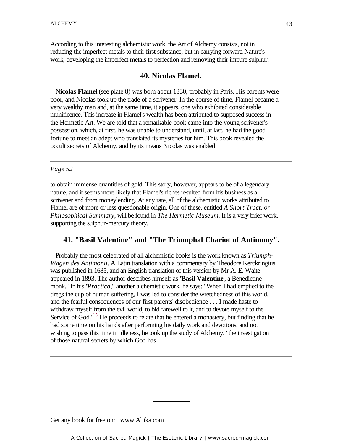According to this interesting alchemistic work, the Art of Alchemy consists, not in reducing the imperfect metals to their first substance, but in carrying forward Nature's work, developing the imperfect metals to perfection and removing their impure sulphur.

## **40. Nicolas Flamel.**

 **Nicolas Flamel** (see plate 8) was born about 1330, probably in Paris. His parents were poor, and Nicolas took up the trade of a scrivener. In the course of time, Flamel became a very wealthy man and, at the same time, it appears, one who exhibited considerable munificence. This increase in Flamel's wealth has been attributed to supposed success in the Hermetic Art. We are told that a remarkable book came into the young scrivener's possession, which, at first, he was unable to understand, until, at last, he had the good fortune to meet an adept who translated its mysteries for him. This book revealed the occult secrets of Alchemy, and by its means Nicolas was enabled

#### *Page 52*

to obtain immense quantities of gold. This story, however, appears to be of a legendary nature, and it seems more likely that Flamel's riches resulted from his business as a scrivener and from moneylending. At any rate, all of the alchemistic works attributed to Flamel are of more or less questionable origin. One of these, entitled *A Short Tract, or Philosophical Summary*, will be found in *The Hermetic Museum*. It is a very brief work, supporting the sulphur-mercury theory.

# **41. "Basil Valentine" and "The Triumphal Chariot of Antimony".**

 Probably the most celebrated of all alchemistic books is the work known as *Triumph-Wagen des Antimonii*. A Latin translation with a commentary by Theodore Kerckringius was published in 1685, and an English translation of this version by Mr A. E. Waite appeared in 1893. The author describes himself as "**Basil Valentine**, a Benedictine monk." In his "*Practica*," another alchemistic work, he says: "When I had emptied to the dregs the cup of human suffering, I was led to consider the wretchedness of this world, and the fearful consequences of our first parents' disobedience . . . I made haste to withdraw myself from the evil world, to bid farewell to it, and to devote myself to the Service of God."<sup>15</sup> He proceeds to relate that he entered a monastery, but finding that he had some time on his hands after performing his daily work and devotions, and not wishing to pass this time in idleness, he took up the study of Alchemy, "the investigation of those natural secrets by which God has

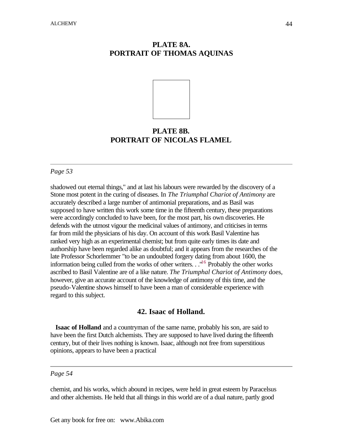# **PLATE 8A. PORTRAIT OF THOMAS AQUINAS**



# **PLATE 8B. PORTRAIT OF NICOLAS FLAMEL**

## *Page 53*

shadowed out eternal things," and at last his labours were rewarded by the discovery of a Stone most potent in the curing of diseases. In *The Triumphal Chariot of Antimony* are accurately described a large number of antimonial preparations, and as Basil was supposed to have written this work some time in the fifteenth century, these preparations were accordingly concluded to have been, for the most part, his own discoveries. He defends with the utmost vigour the medicinal values of antimony, and criticises in terms far from mild the physicians of his day. On account of this work Basil Valentine has ranked very high as an experimental chemist; but from quite early times its date and authorship have been regarded alike as doubtful; and it appears from the researches of the late Professor Schorlemmer "to be an undoubted forgery dating from about 1600, the information being culled from the works of other writers.  $\cdot$  .<sup> $1/6$ </sup> Probably the other works ascribed to Basil Valentine are of a like nature. *The Triumphal Chariot of Antimony* does, however, give an accurate account of the knowledge of antimony of this time, and the pseudo-Valentine shows himself to have been a man of considerable experience with regard to this subject.

# **42. Isaac of Holland.**

 **Isaac of Holland** and a countryman of the same name, probably his son, are said to have been the first Dutch alchemists. They are supposed to have lived during the fifteenth century, but of their lives nothing is known. Isaac, although not free from superstitious opinions, appears to have been a practical

#### *Page 54*

chemist, and his works, which abound in recipes, were held in great esteem by Paracelsus and other alchemists. He held that all things in this world are of a dual nature, partly good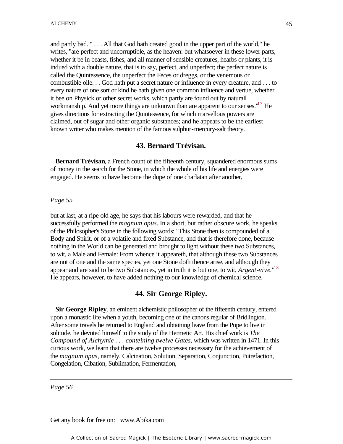and partly bad. " . . . All that God hath created good in the upper part of the world," he writes, "are perfect and uncorruptible, as the heaven: but whatsoever in these lower parts, whether it be in beasts, fishes, and all manner of sensible creatures, hearbs or plants, it is indued with a double nature, that is to say, perfect, and unperfect; the perfect nature is called the Quintessence, the unperfect the Feces or dreggs, or the venemous or combustible oile. . . God hath put a secret nature or influence in every creature, and . . . to every nature of one sort or kind he hath given one common influence and vertue, whether it bee on Physick or other secret works, which partly are found out by naturall workmanship. And yet more things are unknown than are apparent to our senses. $17$  He gives directions for extracting the Quintessence, for which marvellous powers are claimed, out of sugar and other organic substances; and he appears to be the earliest known writer who makes mention of the famous sulphur-mercury-salt theory.

## **43. Bernard Trévisan.**

 **Bernard Trévisan**, a French count of the fifteenth century, squandered enormous sums of money in the search for the Stone, in which the whole of his life and energies were engaged. He seems to have become the dupe of one charlatan after another,

#### *Page 55*

but at last, at a ripe old age, he says that his labours were rewarded, and that he successfully performed the *magnum opus*. In a short, but rather obscure work, he speaks of the Philosopher's Stone in the following words: "This Stone then is compounded of a Body and Spirit, or of a volatile and fixed Substance, and that is therefore done, because nothing in the World can be generated and brought to light without these two Substances, to wit, a Male and Female: From whence it appeareth, that although these two Substances are not of one and the same species, yet one Stone doth thence arise, and although they appear and are said to be two Substances, yet in truth it is but one, to wit, *Argent-vive*."<sup>18</sup> He appears, however, to have added nothing to our knowledge of chemical science.

## **44. Sir George Ripley.**

 **Sir George Ripley**, an eminent alchemistic philosopher of the fifteenth century, entered upon a monastic life when a youth, becoming one of the canons regular of Bridlington. After some travels he returned to England and obtaining leave from the Pope to live in solitude, he devoted himself to the study of the Hermetic Art. His chief work is *The Compound of Alchymie . . . conteining twelve Gates*, which was written in 1471. In this curious work, we learn that there are twelve processes necessary for the achievement of the *magnum opus*, namely, Calcination, Solution, Separation, Conjunction, Putrefaction, Congelation, Cibation, Sublimation, Fermentation,

*Page 56*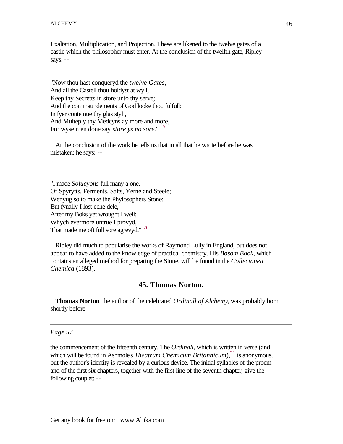Exaltation, Multiplication, and Projection. These are likened to the twelve gates of a castle which the philosopher must enter. At the conclusion of the twelfth gate, Ripley says: --

"Now thou hast conqueryd the *twelve Gates*, And all the Castell thou holdyst at wyll, Keep thy Secretts in store unto thy serve; And the commaundements of God looke thou fulfull: In fyer conteinue thy glas styli, And Multeply thy Medcyns ay more and more, For wyse men done say *store ys no sore*." <sup>19</sup>

 At the conclusion of the work he tells us that in all that he wrote before he was mistaken; he says: --

"I made *Solucyons* full many a one, Of Spyrytts, Ferments, Salts, Yerne and Steele; Wenyug so to make the Phylosophers Stone: But fynally I lost eche dele, After my Boks yet wrought I well; Whych evermore untrue I provyd, That made me oft full sore agrevyd." <sup>20</sup>

 Ripley did much to popularise the works of Raymond Lully in England, but does not appear to have added to the knowledge of practical chemistry. His *Bosom Book*, which contains an alleged method for preparing the Stone, will be found in the *Collectanea Chemica* (1893).

# **45. Thomas Norton.**

 **Thomas Norton**, the author of the celebrated *Ordinall of Alchemy*, was probably born shortly before

## *Page 57*

the commencement of the fifteenth century. The *Ordinall*, which is written in verse (and which will be found in Ashmole's *Theatrum Chemicum Britannicum*),<sup>21</sup> is anonymous, but the author's identity is revealed by a curious device. The initial syllables of the proem and of the first six chapters, together with the first line of the seventh chapter, give the following couplet: --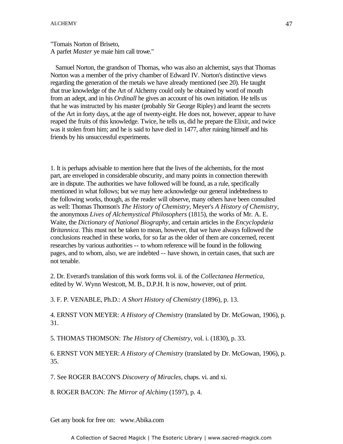"Tomais Norton of Briseto, A parfet *Master* ye maie him call trowe."

 Samuel Norton, the grandson of Thomas, who was also an alchemist, says that Thomas Norton was a member of the privy chamber of Edward IV. Norton's distinctive views regarding the generation of the metals we have already mentioned (see 20). He taught that true knowledge of the Art of Alchemy could only be obtained by word of mouth from an adept, and in his *Ordinall* he gives an account of his own initiation. He tells us that he was instructed by his master (probably Sir George Ripley) and learnt the secrets of the Art in forty days, at the age of twenty-eight. He does not, however, appear to have reaped the fruits of this knowledge. Twice, he tells us, did he prepare the Elixir, and twice was it stolen from him; and he is said to have died in 1477, after ruining himself and his friends by his unsuccessful experiments.

1. It is perhaps advisable to mention here that the lives of the alchemists, for the most part, are enveloped in considerable obscurity, and many points in connection therewith are in dispute. The authorities we have followed will be found, as a rule, specifically mentioned in what follows; but we may here acknowledge our general indebtedness to the following works, though, as the reader will observe, many others have been consulted as well: Thomas Thomson's *The History of Chemistry*, Meyer's *A History of Chemistry*, the anonymous *Lives of Alchemystical Philosophers* (1815), the works of Mr. A. E. Waite, the *Dictionary of National Biography*, and certain articles in the *Encyclopdæia Britannica*. This must not be taken to mean, however, that we have always followed the conclusions reached in these works, for so far as the older of them are concerned, recent researches by various authorities -- to whom reference will be found in the following pages, and to whom, also, we are indebted -- have shown, in certain cases, that such are not tenable.

2. Dr. Everard's translation of this work forms vol. ii. of the *Collectanea Hermetica*, edited by W. Wynn Westcott, M. B., D.P.H. It is now, however, out of print.

3. F. P. VENABLE, Ph.D.: *A Short History of Chemistry* (1896), p. 13.

4. ERNST VON MEYER: *A History of Chemistry* (translated by Dr. McGowan, 1906), p. 31.

5. THOMAS THOMSON: *The History of Chemistry*, vol. i. (1830), p. 33.

6. ERNST VON MEYER: *A History of Chemistry* (translated by Dr. McGowan, 1906), p. 35.

7. See ROGER BACON'S *Discovery of Miracles*, chaps. vi. and xi.

8. ROGER BACON: *The Mirror of Alchimy* (1597), p. 4.

Get any book for free on: www.Abika.com

A Collection of Sacred Magick | The Esoteric Library | www.sacred-magick.com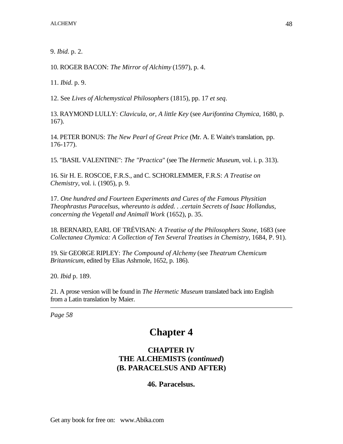9. *Ibid*. p. 2.

10. ROGER BACON: *The Mirror of Alchimy* (1597), p. 4.

11. *Ibid*. p. 9.

12. See *Lives of Alchemystical Philosophers* (1815), pp. 17 *et seq*.

13. RAYMOND LULLY: *Clavicula, or, A little Key* (see *Aurifontina Chymica*, 1680, p. 167).

14. PETER BONUS: *The New Pearl of Great Price* (Mr. A. E Waite's translation, pp. 176-177).

15. "BASIL VALENTINE": *The "Practica*" (see The *Hermetic Museum*, vol. i. p. 313).

16. Sir H. E. ROSCOE, F.R.S., and C. SCHORLEMMER, F.R.S: *A Treatise on Chemistry*, vol. i. (1905), p. 9.

17. *One hundred and Fourteen Experiments and Cures of the Famous Physitian Theophrastus Paracelsus, whereunto is added. . .certain Secrets of Isaac Hollandus, concerning the Vegetall and Animall Work* (1652), p. 35.

18. BERNARD, EARL OF TRÉVISAN: *A Treatise of the Philosophers Stone*, 1683 (see *Collectanea Chymica: A Collection of Ten Several Treatises in Chemistry*, 1684, P. 91).

19. Sir GEORGE RIPLEY: *The Compound of Alchemy* (see *Theatrum Chemicum Britannicum*, edited by Elias Ashrnole, 1652, p. 186).

20. *Ibid* p. 189.

21. A prose version will be found in *The Hermetic Museum* translated back into English from a Latin translation by Maier.

*Page 58*

# **Chapter 4**

# **CHAPTER IV THE ALCHEMISTS (***continued***) (B. PARACELSUS AND AFTER)**

# **46. Paracelsus.**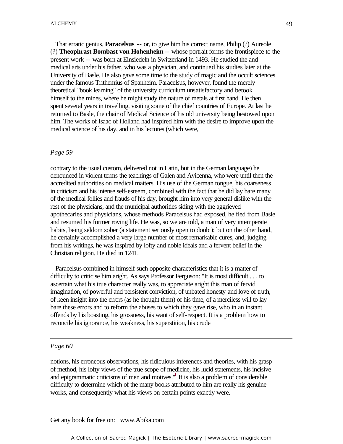That erratic genius, **Paracelsus** -- or, to give him his correct name, Philip (?) Aureole (?) **Theophrast Bombast von Hohenheim** -- whose portrait forms the frontispiece to the present work -- was born at Einsiedeln in Switzerland in 1493. He studied the and medical arts under his father, who was a physician, and continued his studies later at the University of Basle. He also gave some time to the study of magic and the occult sciences under the famous Trithemius of Spanheim. Paracelsus, however, found the merely theoretical "book learning" of the university curriculum unsatisfactory and betook himself to the mines, where he might study the nature of metals at first hand. He then spent several years in travelling, visiting some of the chief countries of Europe. At last he spent several years in travelling, visiting some of the chief countries of Europe. At last he returned to Basle, the chair of Medical Science of his old university being bestowed upon him. The works of Isaac of Holland had inspired him with the desire to improve upon the medical science of his day, and in his lectures (which were,

#### *Page 59*

contrary to the usual custom, delivered not in Latin, but in the German language) he denounced in violent terms the teachings of Galen and Avicenna, who were until then the accredited authorities on medical matters. His use of the German tongue, his coarseness in criticism and his intense self-esteem, combined with the fact that he did lay bare many of the medical follies and frauds of his day, brought him into very general dislike with the rest of the physicians, and the municipal authorities siding with the aggrieved apothecaries and physicians, whose methods Paracelsus had exposed, he fled from Basle and resumed his former roving life. He was, so we are told, a man of very intemperate habits, being seldom sober (a statement seriously open to doubt); but on the other hand, he certainly accomplished a very large number of most remarkable cures, and, judging from his writings, he was inspired by lofty and noble ideals and a fervent belief in the Christian religion. He died in 1241.

 Paracelsus combined in himself such opposite characteristics that it is a matter of difficulty to criticise him aright. As says Professor Ferguson: "It is most difficult . . . to ascertain what his true character really was, to appreciate aright this man of fervid imagination, of powerful and persistent conviction, of unbated honesty and love of truth, of keen insight into the errors (as he thought them) of his time, of a merciless will to lay bare these errors and to reform the abuses to which they gave rise, who in an instant offends by his boasting, his grossness, his want of self-respect. It is a problem how to reconcile his ignorance, his weakness, his superstition, his crude

#### *Page 60*

notions, his erroneous observations, his ridiculous inferences and theories, with his grasp of method, his lofty views of the true scope of medicine, his lucid statements, his incisive and epigrammatic criticisms of men and motives.<sup>"</sup> It is also a problem of considerable difficulty to determine which of the many books attributed to him are really his genuine works, and consequently what his views on certain points exactly were.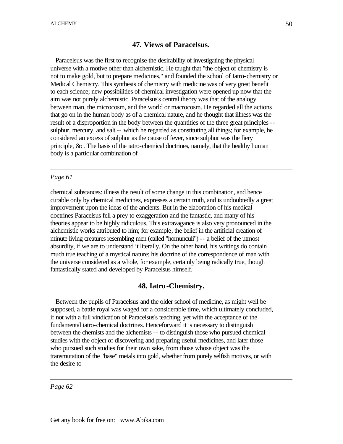# **47. Views of Paracelsus.**

 Paracelsus was the first to recognise the desirability of investigating the physical universe with a motive other than alchemistic. He taught that "the object of chemistry is not to make gold, but to prepare medicines," and founded the school of Iatro-chemistry or Medical Chemistry. This synthesis of chemistry with medicine was of very great benefit to each science; new possibilities of chemical investigation were opened up now that the aim was not purely alchemistic. Paracelsus's central theory was that of the analogy between man, the microcosm, and the world or macrocosm. He regarded all the actions that go on in the human body as of a chemical nature, and he thought that illness was the result of a disproportion in the body between the quantities of the three great principles - sulphur, mercury, and salt -- which he regarded as constituting all things; for example, he considered an excess of sulphur as the cause of fever, since sulphur was the fiery principle, &c. The basis of the iatro-chemical doctrines, namely, that the healthy human body is a particular combination of

## *Page 61*

chemical substances: illness the result of some change in this combination, and hence curable only by chemical medicines, expresses a certain truth, and is undoubtedly a great improvement upon the ideas of the ancients. But in the elaboration of his medical doctrines Paracelsus fell a prey to exaggeration and the fantastic, and many of his theories appear to be highly ridiculous. This extravagance is also very pronounced in the alchemistic works attributed to him; for example, the belief in the artificial creation of minute living creatures resembling men (called "homunculi") -- a belief of the utmost absurdity, if we are to understand it literally. On the other hand, his writings do contain much true teaching of a mystical nature; his doctrine of the correspondence of man with the universe considered as a whole, for example, certainly being radically true, though fantastically stated and developed by Paracelsus himself.

# **48. Iatro-Chemistry.**

 Between the pupils of Paracelsus and the older school of medicine, as might well be supposed, a battle royal was waged for a considerable time, which ultimately concluded, if not with a full vindication of Paracelsus's teaching, yet with the acceptance of the fundamental iatro-chemical doctrines. Henceforward it is necessary to distinguish between the chemists and the alchemists -- to distinguish those who pursued chemical studies with the object of discovering and preparing useful medicines, and later those who pursued such studies for their own sake, from those whose object was the transmutation of the "base" metals into gold, whether from purely selfish motives, or with the desire to

*Page 62*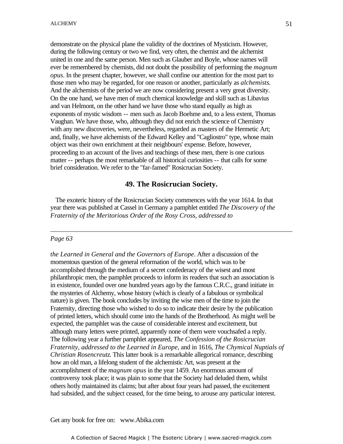demonstrate on the physical plane the validity of the doctrines of Mysticism. However, during the following century or two we find, very often, the chemist and the alchemist united in one and the same person. Men such as Glauber and Boyle, whose names will ever be remembered by chemists, did not doubt the possibility of performing the *magnum opus*. In the present chapter, however, we shall confine our attention for the most part to those men who may be regarded, for one reason or another, particularly as *alchemists*. And the alchemists of the period we are now considering present a very great diversity. On the one hand, we have men of much chemical knowledge and skill such as Libavius and van Helmont, on the other hand we have those who stand equally as high as exponents of mystic wisdom -- men such as Jacob Boehme and, to a less extent, Thomas Vaughan. We have those, who, although they did not enrich the science of Chemistry with any new discoveries, were, nevertheless, regarded as masters of the Hermetic Art; and, finally, we have alchemists of the Edward Kelley and "Cagliostro" type, whose main object was their own enrichment at their neighbours' expense. Before, however, proceeding to an account of the lives and teachings of these men, there is one curious matter -- perhaps the most remarkable of all historical curiosities -- that calls for some brief consideration. We refer to the "far-famed" Rosicrucian Society.

## **49. The Rosicrucian Society.**

 The exoteric history of the Rosicrucian Society commences with the year 1614. In that year there was published at Cassel in Germany a pamphlet entitled *The Discovery of the Fraternity of the Meritorious Order of the Rosy Cross, addressed to*

#### *Page 63*

*the Learned in General and the Governors of Europe*. After a discussion of the momentous question of the general reformation of the world, which was to be accomplished through the medium of a secret confederacy of the wisest and most philanthropic men, the pamphlet proceeds to inform its readers that such an association is in existence, founded over one hundred years ago by the famous C.R.C., grand initiate in the mysteries of Alchemy, whose history (which is clearly of a fabulous or symbolical nature) is given. The book concludes by inviting the wise men of the time to join the Fraternity, directing those who wished to do so to indicate their desire by the publication of printed letters, which should come into the hands of the Brotherhood. As might well be expected, the pamphlet was the cause of considerable interest and excitement, but although many letters were printed, apparently none of them were vouchsafed a reply. The following year a further pamphlet appeared, *The Confession of the Rosicrucian Fraternity, addressed to the Learned in Europe*, and in 1616, *The Chymical Nuptials of Christian Rosencreutz*. This latter book is a remarkable allegorical romance, describing how an old man, a lifelong student of the alchemistic Art, was present at the accomplishment of the *magnum opus* in the year 1459. An enormous amount of controversy took place; it was plain to some that the Society had deluded them, whilst others hotly maintained its claims; but after about four years had passed, the excitement had subsided, and the subject ceased, for the time being, to arouse any particular interest.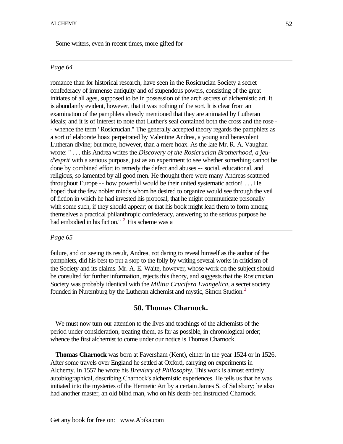Some writers, even in recent times, more gifted for

## *Page 64*

romance than for historical research, have seen in the Rosicrucian Society a secret confederacy of immense antiquity and of stupendous powers, consisting of the great initiates of all ages, supposed to be in possession of the arch secrets of alchemistic art. It is abundantly evident, however, that it was nothing of the sort. It is clear from an examination of the pamphlets already mentioned that they are animated by Lutheran ideals; and it is of interest to note that Luther's seal contained both the cross and the rose - - whence the term "Rosicrucian." The generally accepted theory regards the pamphlets as a sort of elaborate hoax perpetrated by Valentine Andrea, a young and benevolent Lutheran divine; but more, however, than a mere hoax. As the late Mr. R. A. Vaughan wrote: " . . . this Andrea writes the *Discovery of the Rosicrucian Brotherhood, a jeud'esprit* with a serious purpose, just as an experiment to see whether something cannot be done by combined effort to remedy the defect and abuses -- social, educational, and religious, so lamented by all good men. He thought there were many Andreas scattered throughout Europe -- how powerful would be their united systematic action! . . . He hoped that the few nobler minds whom he desired to organize would see through the veil of fiction in which he had invested his proposal; that he might communicate personally with some such, if they should appear; or that his book might lead them to form among themselves a practical philanthropic confederacy, answering to the serious purpose he had embodied in his fiction." <sup>2</sup> His scheme was a

## *Page 65*

failure, and on seeing its result, Andrea, not daring to reveal himself as the author of the pamphlets, did his best to put a stop to the folly by writing several works in criticism of the Society and its claims. Mr. A. E. Waite, however, whose work on the subject should be consulted for further information, rejects this theory, and suggests that the Rosicrucian Society was probably identical with the *Militia Crucifera Evangelica*, a secret society founded in Nuremburg by the Lutheran alchemist and mystic, Simon Studion.<sup>3</sup>

# **50. Thomas Charnock.**

 We must now turn our attention to the lives and teachings of the alchemists of the period under consideration, treating them, as far as possible, in chronological order; whence the first alchemist to come under our notice is Thomas Charnock.

 **Thomas Charnock** was born at Faversham (Kent), either in the year 1524 or in 1526. After some travels over England he settled at Oxford, carrying on experiments in Alchemy. In 1557 he wrote his *Breviary of Philosophy*. This work is almost entirely autobiographical, describing Charnock's alchemistic experiences. He tells us that he was initiated into the mysteries of the Hermetic Art by a certain James S. of Salisbury; he also had another master, an old blind man, who on his death-bed instructed Charnock.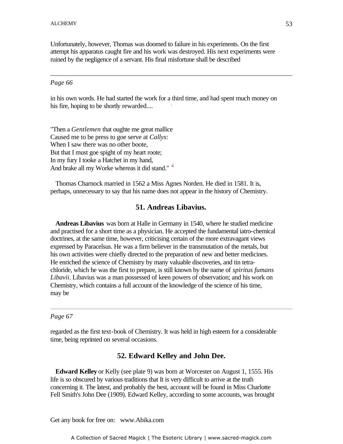Unfortunately, however, Thomas was doomed to failure in his experiments. On the first attempt his apparatus caught fire and his work was destroyed. His next experiments were ruined by the negligence of a servant. His final misfortune shall be described

#### *Page 66*

in his own words. He had started the work for a third time, and had spent much money on his fire horing to be shortly revealed his fire, hoping to be shortly rewarded....

"Then a *Gentlemen* that oughte me great mallice Caused me to be press to goe serve at *Callys*: When I saw there was no other boote, But that I must goe spight of my heart roote; In my fury I tooke a Hatchet in my hand, And brake all my Worke whereas it did stand."<sup>4</sup>

 Thomas Charnock married in 1562 a Miss Agnes Norden. He died in 1581. It is, perhaps, unnecessary to say that his name does not appear in the history of Chemistry.

#### **51. Andreas Libavius.**

 **Andreas Libavius** was born at Halle in Germany in 1540, where he studied medicine and practised for a short time as a physician. He accepted the fundamental iatro-chemical doctrines, at the same time, however, criticising certain of the more extravagant views expressed by Paracelsus. He was a firm believer in the transmutation of the metals, but his own activities were chiefly directed to the preparation of new and better medicines. He enriched the science of Chemistry by many valuable discoveries, and tin tetrachloride, which he was the first to prepare, is still known by the name of *spiritus fumans Libavii*. Libavius was a man possessed of keen powers of observation; and his work on Chemistry, which contains a full account of the knowledge of the science of his time, may be

#### *Page 67*

regarded as the first text-book of Chemistry. It was held in high esteem for a considerable time, being reprinted on several occasions.

#### **52. Edward Kelley and John Dee.**

 **Edward Kelley** or Kelly (see plate 9) was born at Worcester on August 1, 1555. His life is so obscured by various traditions that It is very difficult to arrive at the truth concerning it. The latest, and probably the best, account will be found in Miss Charlotte Fell Smith's John Dee (1909). Edward Kelley, according to some accounts, was brought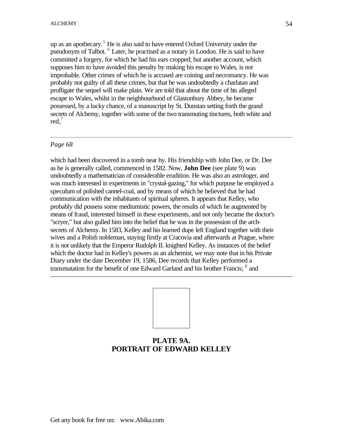up as an apothecary.<sup>5</sup> He is also said to have entered Oxford University under the pseudonym of Talbot. <sup>6</sup> Later, he practised as a notary in London. He is said to have committed a forgery, for which he had his ears cropped; but another account, which supposes him to have avoided this penalty by making his escape to Wales, is not improbable. Other crimes of which he is accused are coining and necromancy. He was probably not guilty of all these crimes, but that he was undoubtedly a charlatan and profligate the sequel will make plain. We are told that about the time of his alleged escape to Wales, whilst in the neighbourhood of Glastonbury Abbey, he became possessed, by a lucky chance, of a manuscript by St. Dunstan setting forth the grand secrets of Alchemy, together with some of the two transmuting tinctures, both white and red.<sup>7</sup>

#### *Page 68*

which had been discovered in a tomb near by. His friendship with John Dee, or Dr. Dee as he is generally called, commenced in 1582. Now, **John Dee** (see plate 9) was undoubtedly a mathematician of considerable erudition. He was also an astrologer, and was much interested in experiments in "crystal-gazing," for which purpose he employed a speculum of polished cannel-coal, and by means of which he believed that he had communication with the inhabitants of spiritual spheres. It appears that Kelley, who probably did possess some mediumistic powers, the results of which he augmented by means of fraud, interested himself in these experiments, and not only became the doctor's "scryer," but also gulled him into the belief that he was in the possession of the archsecrets of Alchemy. In 1583, Kelley and his learned dupe left England together with their wives and a Polish nobleman, staying firstly at Cracovia and afterwards at Prague, where it is not unlikely that the Emperor Rudolph II. knighted Kelley. As instances of the belief which the doctor had in Kelley's powers as an alchemist, we may note that in his Private Diary under the date December 19, 1586, Dee records that Kelley performed a transmutation for the benefit of one Edward Garland and his brother Francis;  $^8$  and



# **PLATE 9A. PORTRAIT OF EDWARD KELLEY**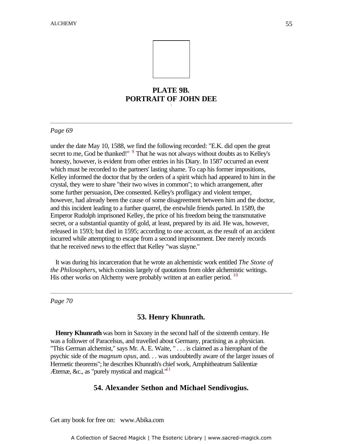

# **PLATE 9B. PORTRAIT OF JOHN DEE** -

#### *Page 69*

under the date May 10, 1588, we find the following recorded: "E.K. did open the great secret to me, God be thanked!"  $9$  That he was not always without doubts as to Kelley's honesty, however, is evident from other entries in his Diary. In 1587 occurred an event which must be recorded to the partners' lasting shame. To cap his former impositions, Kelley informed the doctor that by the orders of a spirit which had appeared to him in the crystal, they were to share "their two wives in common"; to which arrangement, after some further persuasion, Dee consented. Kelley's profligacy and violent temper, however, had already been the cause of some disagreement between him and the doctor, and this incident leading to a further quarrel, the erstwhile friends parted. In 1589, the Emperor Rudolph imprisoned Kelley, the price of his freedom being the transmutative secret, or a substantial quantity of gold, at least, prepared by its aid. He was, however, released in 1593; but died in 1595; according to one account, as the result of an accident incurred while attempting to escape from a second imprisonment. Dee merely records that he received news to the effect that Kelley "was slayne."

 It was during his incarceration that he wrote an alchemistic work entitled *The Stone of the Philosophers*, which consists largely of quotations from older alchemistic writings. His other works on Alchemy were probably written at an earlier period.<sup>10</sup>

*Page 70*

## **53. Henry Khunrath.**

 **Henry Khunrath** was born in Saxony in the second half of the sixteenth century. He was a follower of Paracelsus, and travelled about Germany, practising as a physician. "This German alchemist," says Mr. A. E. Waite, " . . . is claimed as a hierophant of the psychic side of the *magnum opus*, and. . . was undoubtedly aware of the larger issues of Hermetic theorems"; he describes Khunrath's chief work, Amphitheatrum Salilentiæ Æternæ, &c., as "purely mystical and magical." $^{\text{11}}$ 

## **54. Alexander Sethon and Michael Sendivogius.**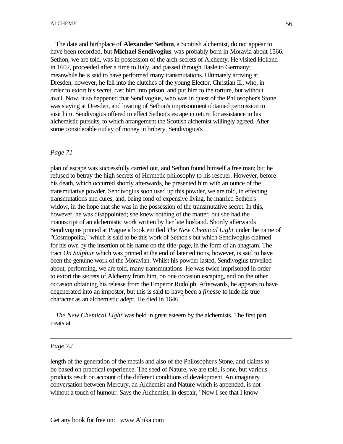The date and birthplace of **Alexander Sethon**, a Scottish alchemist, do not appear to have been recorded, but **Michael Sendivogius** was probably born in Moravia about 1566. Sethon, we are told, was in possession of the arch-secrets of Alchemy. He visited Holland in 1602, proceeded after a time to Italy, and passed through Basle to Germany; meanwhile he is said to have performed many transmutations. Ultimately arriving at Dresden, however, he fell into the clutches of the young Elector, Christian II., who, in order to extort his secret, cast him into prison, and put him to the torture, but without avail. Now, it so happened that Sendivogius, who was in quest of the Philosopher's Stone, was staying at Dresden, and hearing of Sethon's imprisonment obtained permission to visit him. Sendivogius offered to effect Sethon's escape in return for assistance in his alchemistic pursuits, to which arrangement the Scottish alchemist willingly agreed. After some considerable outlay of money in bribery, Sendivogius's

#### *Page 71*

plan of escape was successfully carried out, and Sethon found himself a free man; but he refused to betray the high secrets of Hermetic philosophy to his rescuer. However, before his death, which occurred shortly afterwards, he presented him with an ounce of the transmutative powder. Sendivogius soon used up this powder, we are told, in effecting transmutations and cures, and, being fond of expensive living, he married Sethon's widow, in the hope that she was in the possession of the transmutative secret. In this, however, he was disappointed; she knew nothing of the matter, but she had the manuscript of an alchemistic work written by her late husband. Shortly afterwards Sendivogius printed at Prague a book entitled *The New Chemical Light* under the name of "Cosmopolita," which is said to be this work of Sethon's but which Sendivogius claimed for his own by the insertion of his name on the title-page, in the form of an anagram. The tract *On Sulphur* which was printed at the end of later editions, however, is said to have been the genuine work of the Moravian. Whilst his powder lasted, Sendivogius travelled about, performing, we are told, many transmutations. He was twice imprisoned in order to extort the secrets of Alchemy from him, on one occasion escaping, and on the other occasion obtaining his release from the Emperor Rudolph. Afterwards, he appears to have degenerated into an impostor, but this is said to have been a *finesse* to hide his true character as an alchemistic adept. He died in  $1646$ <sup>12</sup>

 *The New Chemical Light* was held in great esteem by the alchemists. The first part treats at

#### *Page 72*

length of the generation of the metals and also of the Philosopher's Stone, and claims to be based on practical experience. The seed of Nature, we are told, is one, but various products result on account of the different conditions of development. An imaginary conversation between Mercury, an Alchemist and Nature which is appended, is not without a touch of humour. Says the Alchemist, in despair, "Now I see that I know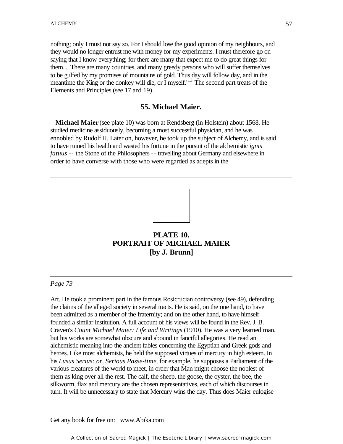nothing; only I must not say so. For I should lose the good opinion of my neighbours, and they would no longer entrust me with money for my experiments. I must therefore go on saying that I know everything; for there are many that expect me to do great things for them.... There are many countries, and many greedy persons who will suffer themselves to be gulfed by my promises of mountains of gold. Thus day will follow day, and in the meantime the King or the donkey will die, or I myself."<sup>13</sup> The second part treats of the Elements and Principles (see 17 and 19).

# **55. Michael Maier.** -

 **Michael Maier** (see plate 10) was born at Rendsberg (in Holstein) about 1568. He studied medicine assiduously, becoming a most successful physician, and he was ennobled by Rudolf II. Later on, however, he took up the subject of Alchemy, and is said to have ruined his health and wasted his fortune in the pursuit of the alchemistic *ignis fatuus* -- the Stone of the Philosophers -- travelling about Germany and elsewhere in order to have converse with those who were regarded as adepts in the



# **PLATE 10. PORTRAIT OF MICHAEL MAIER [by J. Brunn]**

#### *Page 73*

Art. He took a prominent part in the famous Rosicrucian controversy (see 49), defending the claims of the alleged society in several tracts. He is said, on the one hand, to have been admitted as a member of the fraternity; and on the other hand, to have himself founded a similar institution. A full account of his views will be found in the Rev. J. B. Craven's *Count Michael Maier: Life and Writings* (1910). He was a very learned man, but his works are somewhat obscure and abound in fanciful allegories. He read an alchemistic meaning into the ancient fables concerning the Egyptian and Greek gods and heroes. Like most alchemists, he held the supposed virtues of mercury in high esteem. In his *Lusus Serius: or, Serious Passe-time*, for example, he supposes a Parliament of the various creatures of the world to meet, in order that Man might choose the noblest of them as king over all the rest. The calf, the sheep, the goose, the oyster, the bee, the silkworm, flax and mercury are the chosen representatives, each of which discourses in turn. It will be unnecessary to state that Mercury wins the day. Thus does Maier eulogise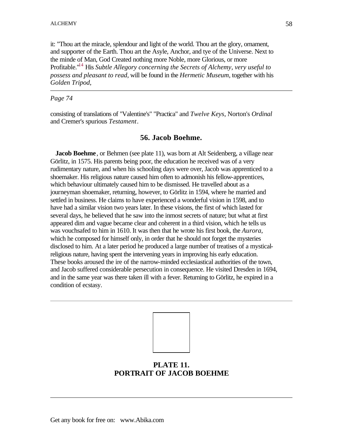it: "Thou art the miracle, splendour and light of the world. Thou art the glory, ornament, and supporter of the Earth. Thou art the Asyle, Anchor, and tye of the Universe. Next to the minde of Man, God Created nothing more Noble, more Glorious, or more Profitable."<sup>14</sup> His *Subtle Allegory concerning the Secrets of Alchemy, very useful to possess and pleasant to read*, will be found in the *Hermetic Museum*, together with his *Golden Tripod*,

*Page 74*

consisting of translations of "Valentine's" "Practica" and *Twelve Keys*, Norton's *Ordinal* and Cremer's spurious *Testament*.

# **56. Jacob Boehme.**

**Jacob Boehme**, or Behmen (see plate 11), was born at Alt Seidenberg, a village near Görlitz, in 1575. His parents being poor, the education he received was of a very rudimentary nature, and when his schooling days were over, Jacob was apprenticed to a shoemaker. His religious nature caused him often to admonish his fellow-apprentices, which behaviour ultimately caused him to be dismissed. He travelled about as a journeyman shoemaker, returning, however, to Görlitz in 1594, where he married and settled in business. He claims to have experienced a wonderful vision in 1598, and to have had a similar vision two years later. In these visions, the first of which lasted for several days, he believed that he saw into the inmost secrets of nature; but what at first appeared dim and vague became clear and coherent in a third vision, which he tells us was vouchsafed to him in 1610. It was then that he wrote his first book, the *Aurora*, which he composed for himself only, in order that he should not forget the mysteries disclosed to him. At a later period he produced a large number of treatises of a mysticalreligious nature, having spent the intervening years in improving his early education. These books aroused the ire of the narrow-minded ecclesiastical authorities of the town, and Jacob suffered considerable persecution in consequence. He visited Dresden in 1694, and in the same year was there taken ill with a fever. Returning to Görlitz, he expired in a condition of ecstasy.



# **PLATE 11. PORTRAIT OF JACOB BOEHME**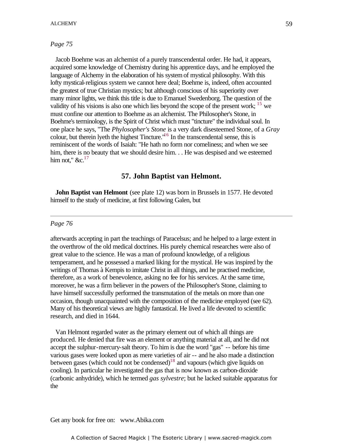#### *Page 75*

 Jacob Boehme was an alchemist of a purely transcendental order. He had, it appears, acquired some knowledge of Chemistry during his apprentice days, and he employed the language of Alchemy in the elaboration of his system of mystical philosophy. With this lofty mystical-religious system we cannot here deal; Boehme is, indeed, often accounted the greatest of true Christian mystics; but although conscious of his superiority over many minor lights, we think this title is due to Emanuel Swedenborg. The question of the validity of his visions is also one which lies beyond the scope of the present work; <sup>15</sup> we validity of his visions is also one which lies beyond the scope of the present work; must confine our attention to Boehme as an alchemist. The Philosopher's Stone, in Boehme's terminology, is the Spirit of Christ which must "tincture" the individual soul. In one place he says, "The *Phylosopher's Stone* is a very dark disesteemed Stone, of a *Gray* colour, but therein lyeth the highest Tincture."<sup>16</sup> In the transcendental sense, this is reminiscent of the words of Isaiah: "He hath no form nor comeliness; and when we see him, there is no beauty that we should desire him.  $\ldots$  He was despised and we esteemed him not,"  $&c.$ <sup>17</sup>

#### **57. John Baptist van Helmont.**

**John Baptist van Helmont** (see plate 12) was born in Brussels in 1577. He devoted himself to the study of medicine, at first following Galen, but

#### *Page 76*

afterwards accepting in part the teachings of Paracelsus; and he helped to a large extent in the overthrow of the old medical doctrines. His purely chemical researches were also of great value to the science. He was a man of profound knowledge, of a religious temperament, and he possessed a marked liking for the mystical. He was inspired by the writings of Thomas à Kempis to imitate Christ in all things, and he practised medicine, therefore, as a work of benevolence, asking no fee for his services. At the same time, moreover, he was a firm believer in the powers of the Philosopher's Stone, claiming to have himself successfully performed the transmutation of the metals on more than one occasion, though unacquainted with the composition of the medicine employed (see 62). Many of his theoretical views are highly fantastical. He lived a life devoted to scientific research, and died in 1644.

 Van Helmont regarded water as the primary element out of which all things are produced. He denied that fire was an element or anything material at all, and he did not accept the sulphur-mercury-salt theory. To him is due the word "gas" -- before his time various gases were looked upon as mere varieties of air -- and he also made a distinction between gases (which could not be condensed)<sup>18</sup> and vapours (which give liquids on cooling). In particular he investigated the gas that is now known as carbon-dioxide (carbonic anhydride), which he termed *gas sylvestre*; but he lacked suitable apparatus for the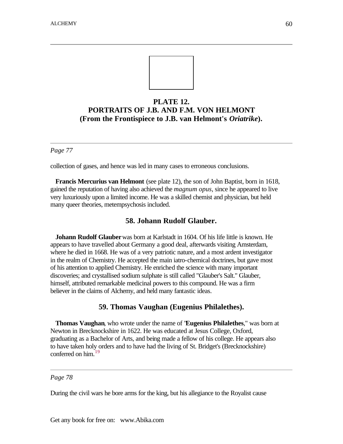

# **PLATE 12. PORTRAITS OF J.B. AND F.M. VON HELMONT (From the Frontispiece to J.B. van Helmont's** *Oriatrike***).**

#### *Page 77*

collection of gases, and hence was led in many cases to erroneous conclusions.

 **Francis Mercurius van Helmont** (see plate 12), the son of John Baptist, born in 1618, gained the reputation of having also achieved the *magnum opus*, since he appeared to live very luxuriously upon a limited income. He was a skilled chemist and physician, but held many queer theories, metempsychosis included.

#### **58. Johann Rudolf Glauber.**

 **Johann Rudolf Glauber** was born at Karlstadt in 1604. Of his life little is known. He appears to have travelled about Germany a good deal, afterwards visiting Amsterdam, where he died in 1668. He was of a very patriotic nature, and a most ardent investigator in the realm of Chemistry. He accepted the main iatro-chemical doctrines, but gave most of his attention to applied Chemistry. He enriched the science with many important discoveries; and crystallised sodium sulphate is still called "Glauber's Salt." Glauber, himself, attributed remarkable medicinal powers to this compound. He was a firm believer in the claims of Alchemy, and held many fantastic ideas.

#### **59. Thomas Vaughan (Eugenius Philalethes).**

 **Thomas Vaughan**, who wrote under the name of "**Eugenius Philalethes**," was born at Newton in Brecknockshire in 1622. He was educated at Jesus College, Oxford, graduating as a Bachelor of Arts, and being made a fellow of his college. He appears also to have taken holy orders and to have had the living of St. Bridget's (Brecknockshire) conferred on him.<sup>19</sup>

#### *Page 78*

During the civil wars he bore arms for the king, but his allegiance to the Royalist cause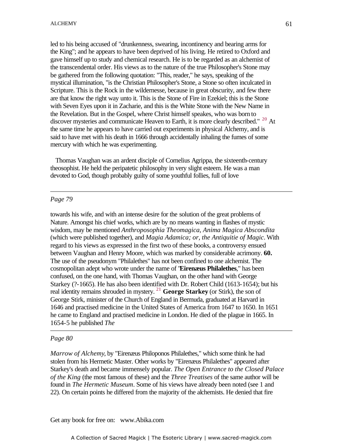led to his being accused of "drunkenness, swearing, incontinency and bearing arms for the King"; and he appears to have been deprived of his living. He retired to Oxford and gave himself up to study and chemical research. He is to be regarded as an alchemist of the transcendental order. His views as to the nature of the true Philosopher's Stone may be gathered from the following quotation: "This, reader," he says, speaking of the mystical illumination, "is the Christian Philosopher's Stone, a Stone so often inculcated in Scripture. This is the Rock in the wildernesse, because in great obscurity, and few there are that know the right way unto it. This is the Stone of Fire in Ezekiel; this is the Stone with Seven Eyes upon it in Zacharie, and this is the White Stone with the New Name in the Revelation. But in the Gospel, where Christ himself speakes, who was born to discover mysteries and communicate Heaven to Earth, it is more clearly described." <sup>20</sup> At the same time he appears to have carried out experiments in physical Alchemy, and is said to have met with his death in 1666 through accidentally inhaling the fumes of some mercury with which he was experimenting.

 Thomas Vaughan was an ardent disciple of Cornelius Agrippa, the sixteenth-century theosophist. He held the peripatetic philosophy in very slight esteem. He was a man devoted to God, though probably guilty of some youthful follies, full of love

#### *Page 79*

towards his wife, and with an intense desire for the solution of the great problems of Nature. Amongst his chief works, which are by no means wanting in flashes of mystic wisdom, may be mentioned *Anthroposophia Theomagica, Anima Magica Abscondita* (which were published together), and *Magia Adamica; or, the Antiquitie of Magic*. With regard to his views as expressed in the first two of these books, a controversy ensued between Vaughan and Henry Moore, which was marked by considerable acrimony. **60.** The use of the pseudonym "Philalethes" has not been confined to one alchemist. The cosmopolitan adept who wrote under the name of "**Eirenæus Philalethes**," has been confused, on the one hand, with Thomas Vaughan, on the other hand with George Starkey (?-1665). He has also been identified with Dr. Robert Child (1613-1654); but his real identity remains shrouded in mystery. <sup>21</sup> **George Starkey** (or Stirk), the son of George Stirk, minister of the Church of England in Bermuda, graduated at Harvard in 1646 and practised medicine in the United States of America from 1647 to 1650. In 1651 he came to England and practised medicine in London. He died of the plague in 1665. In 1654-5 he published *The*

#### *Page 80*

*Marrow of Alchemy*, by "Eirenæus Philoponos Philalethes," which some think he had stolen from his Hermetic Master. Other works by "Eirenæus Philalethes" appeared after Starkey's death and became immensely popular. *The Open Entrance to the Closed Palace of the King* (the most famous of these) and the *Three Treatises* of the same author will be found in *The Hermetic Museum*. Some of his views have already been noted (see 1 and 22). On certain points he differed from the majority of the alchemists. He denied that fire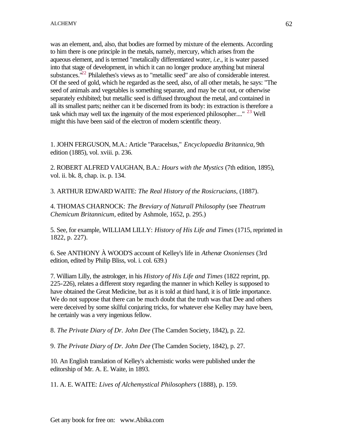was an element, and, also, that bodies are formed by mixture of the elements. According to him there is one principle in the metals, namely, mercury, which arises from the aqueous element, and is termed "metalically differentiated water, *i.e*., it is water passed into that stage of development, in which it can no longer produce anything but mineral substances. $122$  Philalethes's views as to "metallic seed" are also of considerable interest. Of the seed of gold, which he regarded as the seed, also, of all other metals, he says: "The seed of animals and vegetables is something separate, and may be cut out, or otherwise separately exhibited; but metallic seed is diffused throughout the metal, and contained in all its smallest parts; neither can it be discerned from its body: its extraction is therefore a task which may well tax the ingenuity of the most experienced philosopher...."  $^{23}$  Well might this have been said of the electron of modern scientific theory.

1. JOHN FERGUSON, M.A.: Article "Paracelsus," *Encyclopaedia Britannica*, 9th edition (1885), vol. xviii. p. 236.

2. ROBERT ALFRED VAUGHAN, B.A.: *Hours with the Mystics* (7th edition, 1895), vol. ii. bk. 8, chap. ix. p. 134.

3. ARTHUR EDWARD WAITE: *The Real History of the Rosicrucians*, (1887).

4. THOMAS CHARNOCK: *The Breviary of Naturall Philosophy* (see *Theatrum Chemicum Britannicum*, edited by Ashmole, 1652, p. 295.)

5. See, for example, WILLIAM LILLY: *History of His Life and Times* (1715, reprinted in 1822, p. 227).

6. See ANTHONY À WOOD'S account of Kelley's life in *Athenæ Oxonienses* (3rd edition, edited by Philip Bliss, vol. i. col. 639.)

7. William Lilly, the astrologer, in his *History of His Life and Times* (1822 reprint, pp. 225-226), relates a different story regarding the manner in which Kelley is supposed to have obtained the Great Medicine, but as it is told at third hand, it is of little importance. We do not suppose that there can be much doubt that the truth was that Dee and others were deceived by some skilful conjuring tricks, for whatever else Kelley may have been, he certainly was a very ingenious fellow.

8. *The Private Diary of Dr. John Dee* (The Camden Society, 1842), p. 22.

9. *The Private Diary of Dr. John Dee* (The Camden Society, 1842), p. 27.

10. An English translation of Kelley's alchemistic works were published under the editorship of Mr. A. E. Waite, in 1893.

11. A. E. WAITE: *Lives of Alchemystical Philosophers* (1888), p. 159.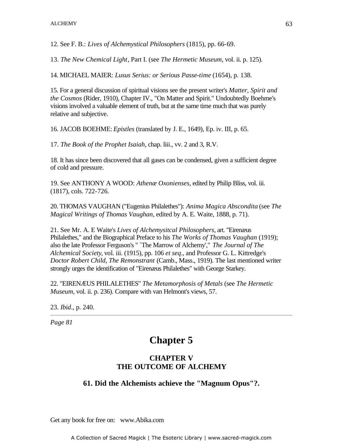12. See F. B.: *Lives of Alchemystical Philosophers* (1815), pp. 66-69.

13. *The New Chemical Light*, Part I. (see *The Hermetic Museum*, vol. ii. p. 125).

14. MICHAEL MAIER: *Lusus Serius: or Serious Passe-time* (1654), p. 138.

15. For a general discussion of spiritual visions see the present writer's *Matter, Spirit and the Cosmos* (Rider, 1910), Chapter IV., "On Matter and Spirit." Undoubtedly Boehme's visions involved a valuable element of truth, but at the same time much that was purely relative and subjective.

16. JACOB BOEHME: *Epistles* (translated by J. E., 1649), Ep. iv. III, p. 65.

17. *The Book of the Prophet Isaiah*, chap. liii., vv. 2 and 3, R.V.

18. It has since been discovered that all gases can be condensed, given a sufficient degree of cold and pressure.

19. See ANTHONY A WOOD: *Athenæ Oxonienses*, edited by Philip Bliss, vol. iii. (1817), cols. 722-726.

20. THOMAS VAUGHAN ("Eugenius Philalethes"): *Anima Magica Abscondita* (see *The Magical Writings of Thomas Vaughan*, edited by A. E. Waite, 1888, p. 71).

21. See Mr. A. E Waite's *Lives of Alchemysitcal Philosophers*, art. "Eirenæus Philalethes," and the Biographical Preface to his *The Works of Thomas Vaughan* (1919); also the late Professor Ferguson's " `The Marrow of Alchemy'," *The Journal of The Alchemical Society*, vol. iii. (1915), pp. 106 *et seq*., and Professor G. L. Kittredge's *Doctor Robert Child, The Remonstrant* (Camb., Mass., 1919). The last mentioned writer strongly urges the identification of "Eirenæus Philalethes" with George Starkey.

22. "EIRENÆUS PHILALETHES" *The Metamorphosis of Metals* (see *The Hermetic Museum*, vol. ii. p. 236). Compare with van Helmont's views, 57.

23. *Ibid*., p. 240.

*Page 81*

# **Chapter 5**

# **CHAPTER V THE OUTCOME OF ALCHEMY**

# **61. Did the Alchemists achieve the "Magnum Opus"?.**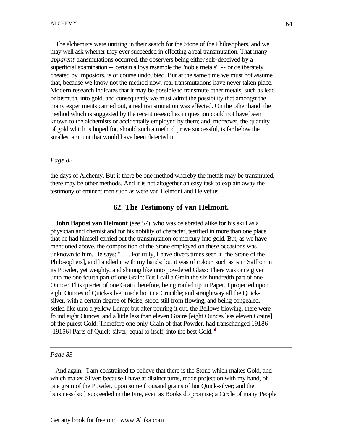The alchemists were untiring in their search for the Stone of the Philosophers, and we may well ask whether they ever succeeded in effecting a real transmutation. That many *apparent* transmutations occurred, the observers being either self-deceived by a superficial examination -- certain alloys resemble the "noble metals" -- or deliberately cheated by impostors, is of course undoubted. But at the same time we must not assume that, because we know not the method now, real transmutations have never taken place. Modern research indicates that it may be possible to transmute other metals, such as lead or bismuth, into gold, and consequently we must admit the possibility that amongst the many experiments carried out, a real transmutation was effected. On the other hand, the method which is suggested by the recent researches in question could not have been known to the alchemists or accidentally employed by them; and, moreover, the quantity of gold which is hoped for, should such a method prove successful, is far below the smallest amount that would have been detected in

#### *Page 82*

the days of Alchemy. But if there be one method whereby the metals may be transmuted, there may be other methods. And it is not altogether an easy task to explain away the testimony of eminent men such as were van Helmont and Helvetius.

#### **62. The Testimony of van Helmont.**

**John Baptist van Helmont** (see 57), who was celebrated alike for his skill as a physician and chemist and for his nobility of character, testified in more than one place that he had himself carried out the transmutation of mercury into gold. But, as we have mentioned above, the composition of the Stone employed on these occasions was unknown to him. He says: " . . . For truly, I have divers times seen it [the Stone of the Philosophers], and handled it with my hands: but it was of colour, such as is in Saffron in its Powder, yet weighty, and shining like unto powdered Glass: There was once given unto me one fourth part of one Grain: But I call a Grain the six hundredth part of one Ounce: This quarter of one Grain therefore, being rouled up in Paper, I projected upon eight Ounces of Quick-silver made hot in a Crucible; and straightway all the Quicksilver, with a certain degree of Noise, stood still from flowing, and being congealed, setled like unto a yellow Lump: but after pouring it out, the Bellows blowing, there were found eight Ounces, and a little less than eleven Grains [eight Ounces less eleven Grains] of the purest Gold: Therefore one only Grain of that Powder, had transchanged 19186 [19156] Parts of Quick-silver, equal to itself, into the best Gold."

*Page 83*

 And again: "I am constrained to believe that there is the Stone which makes Gold, and which makes Silver; because I have at distinct turns, made projection with my hand, of one grain of the Powder, upon some thousand grains of hot Quick-silver; and the buisiness{sic} succeeded in the Fire, even as Books do promise; a Circle of many People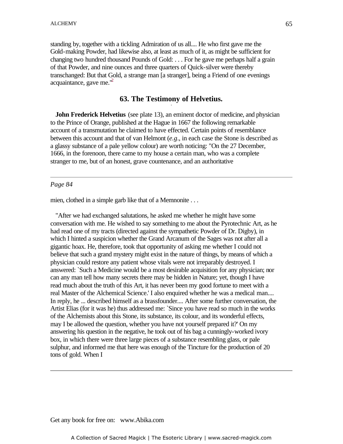standing by, together with a tickling Admiration of us all.... He who first gave me the Gold-making Powder, had likewise also, at least as much of it, as might be sufficient for changing two hundred thousand Pounds of Gold: . . . For he gave me perhaps half a grain of that Powder, and nine ounces and three quarters of Quick-silver were thereby transchanged: But that Gold, a strange man [a stranger], being a Friend of one evenings acquaintance, gave me. $^2$ 

# **63. The Testimony of Helvetius.** -

**John Frederick Helvetius** (see plate 13), an eminent doctor of medicine, and physician to the Prince of Orange, published at the Hague in 1667 the following remarkable account of a transmutation he claimed to have effected. Certain points of resemblance between this account and that of van Helmont (*e.g*., in each case the Stone is described as a glassy substance of a pale yellow colour) are worth noticing: "On the 27 December, 1666, in the forenoon, there came to my house a certain man, who was a complete stranger to me, but of an honest, grave countenance, and an authoritative

#### *Page 84*

mien, clothed in a simple garb like that of a Memnonite . . .

 "After we had exchanged salutations, he asked me whether he might have some conversation with me. He wished to say something to me about the Pyrotechnic Art, as he had read one of my tracts (directed against the sympathetic Powder of Dr. Digby), in which I hinted a suspicion whether the Grand Arcanum of the Sages was not after all a gigantic hoax. He, therefore, took that opportunity of asking me whether I could not believe that such a grand mystery might exist in the nature of things, by means of which a physician could restore any patient whose vitals were not irreparably destroyed. I answered: `Such a Medicine would be a most desirable acquisition for any physician; nor can any man tell how many secrets there may be hidden in Nature; yet, though I have read much about the truth of this Art, it has never been my good fortune to meet with a real Master of the Alchemical Science.' I also enquired whether he was a medical man.... In reply, he ... described himself as a brassfounder.... After some further conversation, the Artist Elias (for it was he) thus addressed me: `Since you have read so much in the works of the Alchemists about this Stone, its substance, its colour, and its wonderful effects, may I be allowed the question, whether you have not yourself prepared it?' On my answering his question in the negative, he took out of his bag a cunningly-worked ivory box, in which there were three large pieces of a substance resembling glass, or pale sulphur, and informed me that here was enough of the Tincture for the production of 20 tons of gold. When I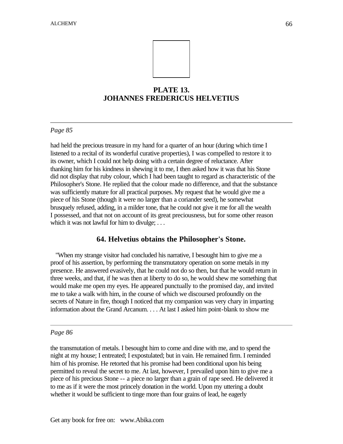

# **PLATE 13. JOHANNES FREDERICUS HELVETIUS**

## *Page 85*

had held the precious treasure in my hand for a quarter of an hour (during which time I listened to a recital of its wonderful curative properties), I was compelled to restore it to its owner, which I could not help doing with a certain degree of reluctance. After thanking him for his kindness in shewing it to me, I then asked how it was that his Stone did not display that ruby colour, which I had been taught to regard as characteristic of the Philosopher's Stone. He replied that the colour made no difference, and that the substance was sufficiently mature for all practical purposes. My request that he would give me a piece of his Stone (though it were no larger than a coriander seed), he somewhat brusquely refused, adding, in a milder tone, that he could not give it me for all the wealth I possessed, and that not on account of its great preciousness, but for some other reason which it was not lawful for him to divulge; . . .

## **64. Helvetius obtains the Philosopher's Stone.**

 "When my strange visitor had concluded his narrative, I besought him to give me a proof of his assertion, by performing the transmutatory operation on some metals in my presence. He answered evasively, that he could not do so then, but that he would return in three weeks, and that, if he was then at liberty to do so, he would shew me something that would make me open my eyes. He appeared punctually to the promised day, and invited me to take a walk with him, in the course of which we discoursed profoundly on the secrets of Nature in fire, though I noticed that my companion was very chary in imparting information about the Grand Arcanum. . . . At last I asked him point-blank to show me

#### *Page 86*

the transmutation of metals. I besought him to come and dine with me, and to spend the night at my house; I entreated; I expostulated; but in vain. He remained firm. I reminded him of his promise. He retorted that his promise had been conditional upon his being permitted to reveal the secret to me. At last, however, I prevailed upon him to give me a piece of his precious Stone -- a piece no larger than a grain of rape seed. He delivered it to me as if it were the most princely donation in the world. Upon my uttering a doubt whether it would be sufficient to tinge more than four grains of lead, he eagerly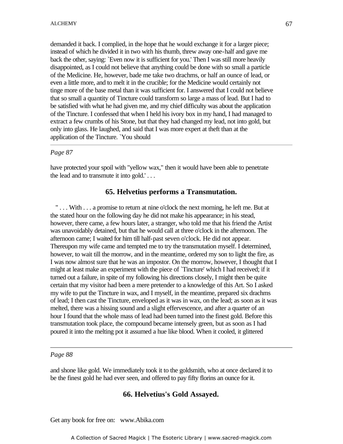demanded it back. I complied, in the hope that he would exchange it for a larger piece; instead of which he divided it in two with his thumb, threw away one-half and gave me back the other, saying: `Even now it is sufficient for you.' Then I was still more heavily disappointed, as I could not believe that anything could be done with so small a particle of the Medicine. He, however, bade me take two drachms, or half an ounce of lead, or even a little more, and to melt it in the crucible; for the Medicine would certainly not tinge more of the base metal than it was sufficient for. I answered that I could not believe that so small a quantity of Tincture could transform so large a mass of lead. But I had to be satisfied with what he had given me, and my chief difficulty was about the application of the Tincture. I confessed that when I held his ivory box in my hand, I had managed to extract a few crumbs of his Stone, but that they had changed my lead, not into gold, but only into glass. He laughed, and said that I was more expert at theft than at the application of the Tincture. `You should

## *Page 87*

have protected your spoil with "yellow wax," then it would have been able to penetrate the lead and to transmute it into gold.' . . .

## **65. Helvetius performs a Transmutation.**

 " . . . With . . . a promise to return at nine o'clock the next morning, he left me. But at the stated hour on the following day he did not make his appearance; in his stead, however, there came, a few hours later, a stranger, who told me that his friend the Artist was unavoidably detained, but that he would call at three o'clock in the afternoon. The afternoon came; I waited for him till half-past seven o'clock. He did not appear. Thereupon my wife came and tempted me to try the transmutation myself. I determined, however, to wait till the morrow, and in the meantime, ordered my son to light the fire, as I was now almost sure that he was an impostor. On the morrow, however, I thought that I might at least make an experiment with the piece of `Tincture' which I had received; if it turned out a failure, in spite of my following his directions closely, I might then be quite certain that my visitor had been a mere pretender to a knowledge of this Art. So I asked my wife to put the Tincture in wax, and I myself, in the meantime, prepared six drachms of lead; I then cast the Tincture, enveloped as it was in wax, on the lead; as soon as it was melted, there was a hissing sound and a slight effervescence, and after a quarter of an hour I found that the whole mass of lead had been turned into the finest gold. Before this transmutation took place, the compound became intensely green, but as soon as I had poured it into the melting pot it assumed a hue like blood. When it cooled, it glittered

#### *Page 88*

and shone like gold. We immediately took it to the goldsmith, who at once declared it to be the finest gold he had ever seen, and offered to pay fifty florins an ounce for it.

## **66. Helvetius's Gold Assayed.**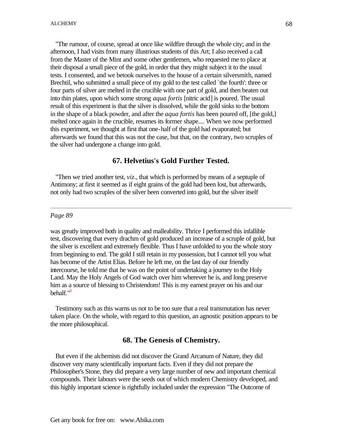"The rumour, of course, spread at once like wildfire through the whole city; and in the afternoon, I had visits from many illustrious students of this Art; I also received a call from the Master of the Mint and some other gentlemen, who requested me to place at their disposal a small piece of the gold, in order that they might subject it to the usual tests. I consented, and we betook ourselves to the house of a certain silversmith, named Brechtil, who submitted a small piece of my gold to the test called `the fourth': three or four parts of silver are melted in the crucible with one part of gold, and then beaten out into thin plates, upon which some strong *aqua fortis* [nitric acid] is poured. The usual result of this experiment is that the silver is dissolved, while the gold sinks to the bottom in the shape of a black powder, and after the *aqua fortis* has been poured off, [the gold,] melted once again in the crucible, resumes its former shape.... When we now performed this experiment, we thought at first that one-half of the gold had evaporated; but afterwards we found that this was not the case, but that, on the contrary, two scruples of the silver had undergone a change into gold.

## **67. Helvetius's Gold Further Tested.**

 "Then we tried another test, *viz*., that which is performed by means of a septuple of Antimony; at first it seemed as if eight grains of the gold had been lost, but afterwards, not only had two scruples of the silver been converted into gold, but the silver itself

#### *Page 89*

was greatly improved both in quality and malleability. Thrice I performed this infallible test, discovering that every drachm of gold produced an increase of a scruple of gold, but the silver is excellent and extremely flexible. Thus I have unfolded to you the whole story from beginning to end. The gold I still retain in my possession, but I cannot tell you what has become of the Artist Elias. Before he left me, on the last day of our friendly intercourse, he told me that he was on the point of undertaking a journey to the Holy Land. May the Holy Angels of God watch over him wherever he is, and long preserve him as a source of blessing to Christendom! This is my earnest prayer on his and our behalf."<sup>3</sup>

 Testimony such as this warns us not to be too sure that a real transmutation has never taken place. On the whole, with regard to this question, an agnostic position appears to be the more philosophical.

## **68. The Genesis of Chemistry.**

 But even if the alchemists did not discover the Grand Arcanum of Nature, they did discover very many scientifically important facts. Even if they did not prepare the Philosopher's Stone, they did prepare a very large number of new and important chemical compounds. Their labours were the seeds out of which modern Chemistry developed, and this highly important science is rightfully included under the expression "The Outcome of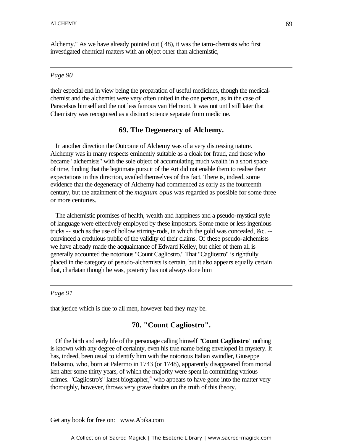Alchemy." As we have already pointed out ( 48), it was the iatro-chemists who first investigated chemical matters with an object other than alchemistic,

#### *Page 90*

their especial end in view being the preparation of useful medicines, though the medicalchemist and the alchemist were very often united in the one person, as in the case of Paracelsus himself and the not less famous van Helmont. It was not until still later that Chemistry was recognised as a distinct science separate from medicine.

#### **69. The Degeneracy of Alchemy.**

 In another direction the Outcome of Alchemy was of a very distressing nature. Alchemy was in many respects eminently suitable as a cloak for fraud, and those who became "alchemists" with the sole object of accumulating much wealth in a short space of time, finding that the legitimate pursuit of the Art did not enable them to realise their expectations in this direction, availed themselves of this fact. There is, indeed, some evidence that the degeneracy of Alchemy had commenced as early as the fourteenth century, but the attainment of the *magnum opus* was regarded as possible for some three or more centuries.

 The alchemistic promises of health, wealth and happiness and a pseudo-mystical style of language were effectively employed by these impostors. Some more or less ingenious tricks -- such as the use of hollow stirring-rods, in which the gold was concealed, &c. - convinced a credulous public of the validity of their claims. Of these pseudo-alchemists we have already made the acquaintance of Edward Kelley, but chief of them all is generally accounted the notorious "Count Cagliostro." That "Cagliostro" is rightfully placed in the category of pseudo-alchemists is certain, but it also appears equally certain that, charlatan though he was, posterity has not always done him

#### *Page 91*

that justice which is due to all men, however bad they may be.

## **70. "Count Cagliostro".**

 Of the birth and early life of the personage calling himself "**Count Cagliostro**" nothing is known with any degree of certainty, even his true name being enveloped in mystery. It has, indeed, been usual to identify him with the notorious Italian swindler, Giuseppe Balsamo, who, born at Palermo in 1743 (or 1748), apparently disappeared from mortal ken after some thirty years, of which the majority were spent in committing various crimes. "Cagliostro's" latest biographer, $4$  who appears to have gone into the matter very thoroughly, however, throws very grave doubts on the truth of this theory.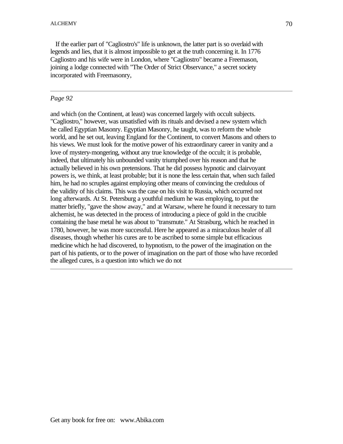If the earlier part of "Cagliostro's" life is unknown, the latter part is so overlaid with legends and lies, that it is almost impossible to get at the truth concerning it. In 1776 Cagliostro and his wife were in London, where "Cagliostro" became a Freemason, joining a lodge connected with "The Order of Strict Observance," a secret society incorporated with Freemasonry,

## *Page 92*

and which (on the Continent, at least) was concerned largely with occult subjects. "Cagliostro," however, was unsatisfied with its rituals and devised a new system which he called Egyptian Masonry. Egyptian Masonry, he taught, was to reform the whole world, and he set out, leaving England for the Continent, to convert Masons and others to his views. We must look for the motive power of his extraordinary career in vanity and a love of mystery-mongering, without any true knowledge of the occult; it is probable, indeed, that ultimately his unbounded vanity triumphed over his reason and that he actually believed in his own pretensions. That he did possess hypnotic and clairvoyant powers is, we think, at least probable; but it is none the less certain that, when such failed him, he had no scruples against employing other means of convincing the credulous of the validity of his claims. This was the case on his visit to Russia, which occurred not long afterwards. At St. Petersburg a youthful medium he was employing, to put the matter briefly, "gave the show away," and at Warsaw, where he found it necessary to turn alchemist, he was detected in the process of introducing a piece of gold in the crucible containing the base metal he was about to "transmute." At Strasburg, which he reached in 1780, however, he was more successful. Here he appeared as a miraculous healer of all diseases, though whether his cures are to be ascribed to some simple but efficacious medicine which he had discovered, to hypnotism, to the power of the imagination on the part of his patients, or to the power of imagination on the part of those who have recorded the alleged cures, is a question into which we do not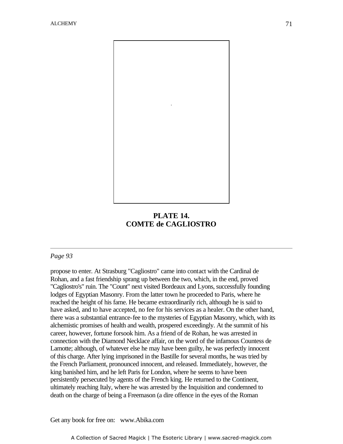

# **PLATE 14. COMTE de CAGLIOSTRO**

## *Page 93*

propose to enter. At Strasburg "Cagliostro" came into contact with the Cardinal de Rohan, and a fast friendship sprang up between the two, which, in the end, proved "Cagliostro's" ruin. The "Count" next visited Bordeaux and Lyons, successfully founding lodges of Egyptian Masonry. From the latter town he proceeded to Paris, where he reached the height of his fame. He became extraordinarily rich, although he is said to have asked, and to have accepted, no fee for his services as a healer. On the other hand, there was a substantial entrance-fee to the mysteries of Egyptian Masonry, which, with its alchemistic promises of health and wealth, prospered exceedingly. At the summit of his career, however, fortune forsook him. As a friend of de Rohan, he was arrested in connection with the Diamond Necklace affair, on the word of the infamous Countess de Lamotte; although, of whatever else he may have been guilty, he was perfectly innocent of this charge. After lying imprisoned in the Bastille for several months, he was tried by the French Parliament, pronounced innocent, and released. Immediately, however, the king banished him, and he left Paris for London, where he seems to have been persistently persecuted by agents of the French king. He returned to the Continent, ultimately reaching Italy, where he was arrested by the Inquisition and condemned to death on the charge of being a Freemason (a dire offence in the eyes of the Roman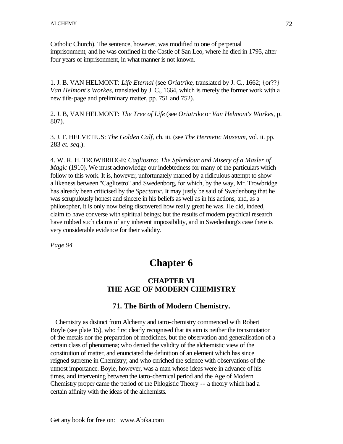Catholic Church). The sentence, however, was modified to one of perpetual imprisonment, and he was confined in the Castle of San Leo, where he died in 1795, after four years of imprisonment, in what manner is not known.

1. J. B. VAN HELMONT: *Life Eternal* (see *Oriatrike*, translated by J. C., 1662; {or??} *Van Helmont's Workes*, translated by J. C., 1664, which is merely the former work with a new title-page and preliminary matter, pp. 751 and 752).

2. J. B, VAN HELMONT: *The Tree of Life* (see *Oriatrike* or *Van Helmont's Workes*, p. 807).

3. J. F. HELVETIUS: *The Golden Calf*, ch. iii. (see *The Hermetic Museum*, vol. ii. pp. 283 *et. seq*.).

4. W. R. H. TROWBRIDGE: *Cagliostro: The Splendour and Misery of a Masler of Magic* (1910). We must acknowledge our indebtedness for many of the particulars which follow to this work. It is, however, unfortunately marred by a ridiculous attempt to show a likeness between "Cagliostro" and Swedenborg, for which, by the way, Mr. Trowbridge has already been criticised by the *Spectator*. It may justly be said of Swedenborg that he was scrupulously honest and sincere in his beliefs as well as in his actions; and, as a philosopher, it is only now being discovered how really great he was. He did, indeed, claim to have converse with spiritual beings; but the results of modern psychical research have robbed such claims of any inherent impossibility, and in Swedenborg's case there is very considerable evidence for their validity.

*Page 94*

# **Chapter 6**

# **CHAPTER VI THE AGE OF MODERN CHEMISTRY**

# **71. The Birth of Modern Chemistry.**

 Chemistry as distinct from Alchemy and iatro-chemistry commenced with Robert Boyle (see plate 15), who first clearly recognised that its aim is neither the transmutation of the metals nor the preparation of medicines, but the observation and generalisation of a certain class of phenomena; who denied the validity of the alchemistic view of the constitution of matter, and enunciated the definition of an element which has since reigned supreme in Chemistry; and who enriched the science with observations of the utmost importance. Boyle, however, was a man whose ideas were in advance of his times, and intervening between the iatro-chemical period and the Age of Modern Chemistry proper came the period of the Phlogistic Theory -- a theory which had a certain affinity with the ideas of the alchemists.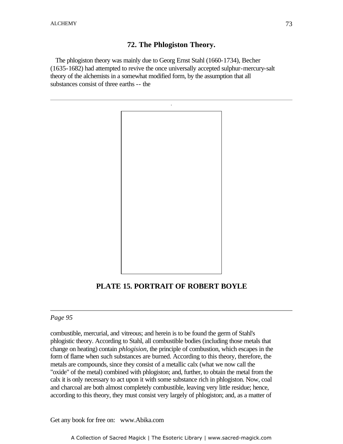## **72. The Phlogiston Theory.**

 The phlogiston theory was mainly due to Georg Ernst Stahl (1660-1734), Becher (1635-1682) had attempted to revive the once universally accepted sulphur-mercury-salt theory of the alchemists in a somewhat modified form, by the assumption that all substances consist of three earths -- the



# **PLATE 15. PORTRAIT OF ROBERT BOYLE**

### *Page 95*

combustible, mercurial, and vitreous; and herein is to be found the germ of Stahl's phlogistic theory. According to Stahl, all combustible bodies (including those metals that change on heating) contain *phlogision*, the principle of combustion, which escapes in the form of flame when such substances are burned. According to this theory, therefore, the metals are compounds, since they consist of a metallic calx (what we now call the "oxide" of the metal) combined with phlogiston; and, further, to obtain the metal from the calx it is only necessary to act upon it with some substance rich in phlogiston. Now, coal and charcoal are both almost completely combustible, leaving very little residue; hence, according to this theory, they must consist very largely of phlogiston; and, as a matter of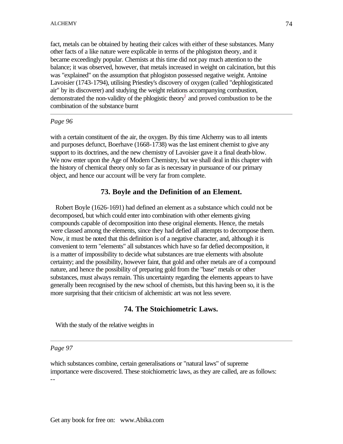fact, metals can be obtained by heating their calces with either of these substances. Many other facts of a like nature were explicable in terms of the phlogiston theory, and it became exceedingly popular. Chemists at this time did not pay much attention to the balance; it was observed, however, that metals increased in weight on calcination, but this was "explained" on the assumption that phlogiston possessed negative weight. Antoine Lavoisier (1743-1794), utilising Priestley's discovery of oxygen (called "dephlogisticated air" by its discoverer) and studying the weight relations accompanying combustion, demonstrated the non-validity of the phlogistic theory<sup>1</sup> and proved combustion to be the combination of the substance burnt

#### *Page 96*

with a certain constituent of the air, the oxygen. By this time Alchemy was to all intents and purposes defunct, Boerhave (1668-1738) was the last eminent chemist to give any support to its doctrines, and the new chemistry of Lavoisier gave it a final death-blow. We now enter upon the Age of Modern Chemistry, but we shall deal in this chapter with the history of chemical theory only so far as is necessary in pursuance of our primary object, and hence our account will be very far from complete.

### **73. Boyle and the Definition of an Element.**

 Robert Boyle (1626-1691) had defined an element as a substance which could not be decomposed, but which could enter into combination with other elements giving compounds capable of decomposition into these original elements. Hence, the metals were classed among the elements, since they had defied all attempts to decompose them. Now, it must be noted that this definition is of a negative character, and, although it is convenient to term "elements" all substances which have so far defied decomposition, it is a matter of impossibility to decide what substances are true elements with absolute certainty; and the possibility, however faint, that gold and other metals are of a compound nature, and hence the possibility of preparing gold from the "base" metals or other substances, must always remain. This uncertainty regarding the elements appears to have generally been recognised by the new school of chemists, but this having been so, it is the more surprising that their criticism of alchemistic art was not less severe.

## **74. The Stoichiometric Laws.**

With the study of the relative weights in

### *Page 97*

which substances combine, certain generalisations or "natural laws" of supreme importance were discovered. These stoichiometric laws, as they are called, are as follows: --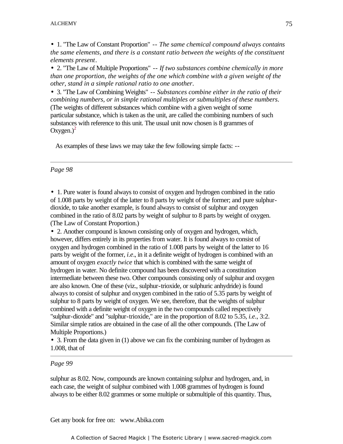• 1. "The Law of Constant Proportion" -- *The same chemical compound always contains the same elements, and there is a constant ratio between the weights of the constituent elements present*.

• 2. "The Law of Multiple Proportions" -- *If two substances combine chemically in more than one proportion, the weights of the one which combine with a given weight of the other, stand in a simple rational ratio to one another*.

• 3. "The Law of Combining Weights" -- *Substances combine either in the ratio of their combining numbers, or in simple rational multiples or submultiples of these numbers*. -(The weights of different substances which combine with a given weight of some particular substance, which is taken as the unit, are called the combining numbers of such substances with reference to this unit. The usual unit now chosen is 8 grammes of Oxygen.) $^{2}$ 

As examples of these laws we may take the few following simple facts: --

*Page 98*

• 1. Pure water is found always to consist of oxygen and hydrogen combined in the ratio of 1.008 parts by weight of the latter to 8 parts by weight of the former; and pure sulphurdioxide, to take another example, is found always to consist of sulphur and oxygen combined in the ratio of 8.02 parts by weight of sulphur to 8 parts by weight of oxygen. (The Law of Constant Proportion.)

• 2. Another compound is known consisting only of oxygen and hydrogen, which, however, differs entirely in its properties from water. It is found always to consist of oxygen and hydrogen combined in the ratio of 1.008 parts by weight of the latter to 16 parts by weight of the former, *i.e*., in it a definite weight of hydrogen is combined with an amount of oxygen *exactly twice* that which is combined with the same weight of hydrogen in water. No definite compound has been discovered with a constitution intermediate between these two. Other compounds consisting only of sulphur and oxygen are also known. One of these (viz., sulphur-trioxide, or sulphuric anhydride) is found always to consist of sulphur and oxygen combined in the ratio of 5.35 parts by weight of sulphur to 8 parts by weight of oxygen. We see, therefore, that the weights of sulphur combined with a definite weight of oxygen in the two compounds called respectively "sulphur-dioxide" and "sulphur-trioxide," are in the proportion of 8.02 to 5.35, *i.e*., 3:2. Similar simple ratios are obtained in the case of all the other compounds. (The Law of Multiple Proportions.)

• 3. From the data given in (1) above we can fix the combining number of hydrogen as 1.008, that of

#### *Page 99*

sulphur as 8.02. Now, compounds are known containing sulphur and hydrogen, and, in each case, the weight of sulphur combined with 1.008 grammes of hydrogen is found always to be either 8.02 grammes or some multiple or submultiple of this quantity. Thus,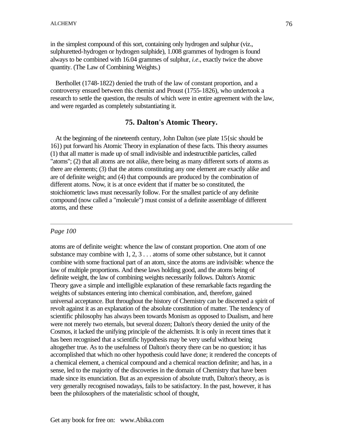in the simplest compound of this sort, containing only hydrogen and sulphur (viz., sulphuretted-hydrogen or hydrogen sulphide), 1.008 grammes of hydrogen is found always to be combined with 16.04 grammes of sulphur, *i.e*., exactly twice the above quantity. (The Law of Combining Weights.)

 Berthollet (1748-1822) denied the truth of the law of constant proportion, and a controversy ensued between this chemist and Proust (1755-1826), who undertook a research to settle the question, the results of which were in entire agreement with the law, and were regarded as completely substantiating it.

### **75. Dalton's Atomic Theory.**

 At the beginning of the nineteenth century, John Dalton (see plate 15{sic should be 16}) put forward his Atomic Theory in explanation of these facts. This theory assumes (1) that all matter is made up of small indivisible and indestructible particles, called "atoms"; (2) that all atoms are not alike, there being as many different sorts of atoms as there are elements; (3) that the atoms constituting any one element are exactly alike and are of definite weight; and (4) that compounds are produced by the combination of different atoms. Now, it is at once evident that if matter be so constituted, the stoichiometric laws must necessarily follow. For the smallest particle of any definite compound (now called a "molecule") must consist of a definite assemblage of different atoms, and these

### *Page 100*

atoms are of definite weight: whence the law of constant proportion. One atom of one substance may combine with 1, 2, 3 . . . atoms of some other substance, but it cannot combine with some fractional part of an atom, since the atoms are indivisible: whence the law of multiple proportions. And these laws holding good, and the atoms being of definite weight, the law of combining weights necessarily follows. Dalton's Atomic Theory gave a simple and intelligible explanation of these remarkable facts regarding the weights of substances entering into chemical combination, and, therefore, gained universal acceptance. But throughout the history of Chemistry can be discerned a spirit of revolt against it as an explanation of the absolute constitution of matter. The tendency of scientific philosophy has always been towards Monism as opposed to Dualism, and here were not merely two eternals, but several dozen; Dalton's theory denied the unity of the Cosmos, it lacked the unifying principle of the alchemists. It is only in recent times that it has been recognised that a scientific hypothesis may be very useful without being altogether true. As to the usefulness of Dalton's theory there can be no question; it has accomplished that which no other hypothesis could have done; it rendered the concepts of a chemical element, a chemical compound and a chemical reaction definite; and has, in a sense, led to the majority of the discoveries in the domain of Chemistry that have been made since its enunciation. But as an expression of absolute truth, Dalton's theory, as is very generally recognised nowadays, fails to be satisfactory. In the past, however, it has been the philosophers of the materialistic school of thought,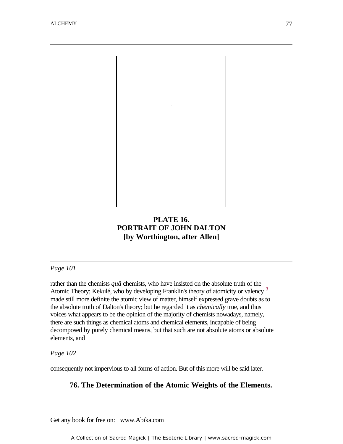

# **PLATE 16. PORTRAIT OF JOHN DALTON [by Worthington, after Allen]**

*Page 101*

rather than the chemists *quâ* chemists, who have insisted on the absolute truth of the Atomic Theory; Kekulé, who by developing Franklin's theory of atomicity or valency <sup>3</sup> made still more definite the atomic view of matter, himself expressed grave doubts as to the absolute truth of Dalton's theory; but he regarded it as *chemically* true, and thus voices what appears to be the opinion of the majority of chemists nowadays, namely, there are such things as chemical atoms and chemical elements, incapable of being decomposed by purely chemical means, but that such are not absolute atoms or absolute elements, and

*Page 102*

consequently not impervious to all forms of action. But of this more will be said later.

## **76. The Determination of the Atomic Weights of the Elements.**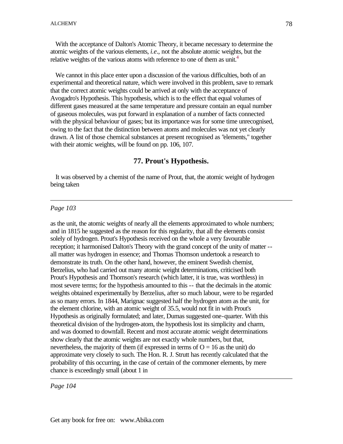With the acceptance of Dalton's Atomic Theory, it became necessary to determine the atomic weights of the various elements, *i.e*., not the absolute atomic weights, but the relative weights of the various atoms with reference to one of them as unit.<sup>4</sup>

 We cannot in this place enter upon a discussion of the various difficulties, both of an experimental and theoretical nature, which were involved in this problem, save to remark that the correct atomic weights could be arrived at only with the acceptance of Avogadro's Hypothesis. This hypothesis, which is to the effect that equal volumes of different gases measured at the same temperature and pressure contain an equal number of gaseous molecules, was put forward in explanation of a number of facts connected with the physical behaviour of gases; but its importance was for some time unrecognised, owing to the fact that the distinction between atoms and molecules was not yet clearly drawn. A list of those chemical substances at present recognised as "elements," together with their atomic weights, will be found on pp. 106, 107.

## **77. Prout's Hypothesis.**

 It was observed by a chemist of the name of Prout, that, the atomic weight of hydrogen being taken

#### *Page 103*

as the unit, the atomic weights of nearly all the elements approximated to whole numbers; and in 1815 he suggested as the reason for this regularity, that all the elements consist solely of hydrogen. Prout's Hypothesis received on the whole a very favourable reception; it harmonised Dalton's Theory with the grand concept of the unity of matter - all matter was hydrogen in essence; and Thomas Thomson undertook a research to demonstrate its truth. On the other hand, however, the eminent Swedish chemist, Berzelius, who had carried out many atomic weight determinations, criticised both Prout's Hypothesis and Thomson's research (which latter, it is true, was worthless) in most severe terms; for the hypothesis amounted to this -- that the decimals in the atomic weights obtained experimentally by Berzelius, after so much labour, were to be regarded as so many errors. In 1844, Marignac suggested half the hydrogen atom as the unit, for the element chlorine, with an atomic weight of 35.5, would not fit in with Prout's Hypothesis as originally formulated; and later, Dumas suggested one-quarter. With this theoretical division of the hydrogen-atom, the hypothesis lost its simplicity and charm, and was doomed to downfall. Recent and most accurate atomic weight determinations show clearly that the atomic weights are not exactly whole numbers, but that, nevertheless, the majority of them (if expressed in terms of  $O = 16$  as the unit) do approximate very closely to such. The Hon. R. J. Strutt has recently calculated that the probability of this occurring, in the case of certain of the commoner elements, by mere chance is exceedingly small (about 1 in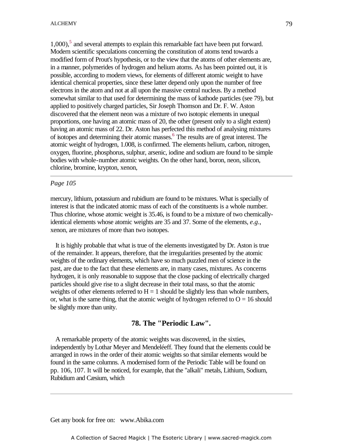$1,000$ ,<sup>5</sup> and several attempts to explain this remarkable fact have been put forward. Modern scientific speculations concerning the constitution of atoms tend towards a modified form of Prout's hypothesis, or to the view that the atoms of other elements are, in a manner, polymerides of hydrogen and helium atoms. As has been pointed out, it is possible, according to modern views, for elements of different atomic weight to have identical chemical properties, since these latter depend only upon the number of free electrons in the atom and not at all upon the massive central nucleus. By a method somewhat similar to that used for determining the mass of kathode particles (see 79), but applied to positively charged particles, Sir Joseph Thomson and Dr. F. W. Aston discovered that the element neon was a mixture of two isotopic elements in unequal proportions, one having an atomic mass of 20, the other (present only to a slight extent) having an atomic mass of 22. Dr. Aston has perfected this method of analysing mixtures of isotopes and determining their atomic masses.<sup>6</sup> The results are of great interest. The atomic weight of hydrogen, 1.008, is confirmed. The elements helium, carbon, nitrogen, oxygen, fluorine, phosphorus, sulphur, arsenic, iodine and sodium are found to be simple bodies with whole-number atomic weights. On the other hand, boron, neon, silicon, chlorine, bromine, krypton, xenon,

#### *Page 105*

mercury, lithium, potassium and rubidium are found to be mixtures. What is specially of interest is that the indicated atomic mass of each of the constituents is a whole number. Thus chlorine, whose atomic weight is 35.46, is found to be a mixture of two chemicallyidentical elements whose atomic weights are 35 and 37. Some of the elements, *e.g*., xenon, are mixtures of more than two isotopes.

 It is highly probable that what is true of the elements investigated by Dr. Aston is true of the remainder. It appears, therefore, that the irregularities presented by the atomic weights of the ordinary elements, which have so much puzzled men of science in the past, are due to the fact that these elements are, in many cases, mixtures. As concerns hydrogen, it is only reasonable to suppose that the close packing of electrically charged particles should give rise to a slight decrease in their total mass, so that the atomic weights of other elements referred to  $H = 1$  should be slightly less than whole numbers, or, what is the same thing, that the atomic weight of hydrogen referred to  $O = 16$  should be slightly more than unity.

## **78. The "Periodic Law".**

 A remarkable property of the atomic weights was discovered, in the sixties, independently by Lothar Meyer and Mendeléeff. They found that the elements could be arranged in rows in the order of their atomic weights so that similar elements would be found in the same columns. A modernised form of the Periodic Table will be found on pp. 106, 107. It will be noticed, for example, that the "alkali" metals, Lithium, Sodium, Rubidium and Cæsium, which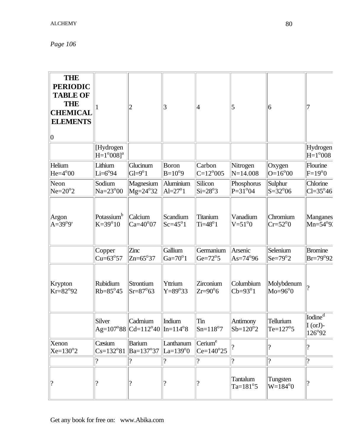*Page 106*

| <b>THE</b><br><b>PERIODIC</b><br><b>TABLE OF</b><br><b>THE</b><br><b>CHEMICAL</b><br><b>ELEMENTS</b><br>$ 0\rangle$ |                                              | $\overline{2}$                                                                              | 3                              | 14                                        | 5                                | 6                                |                                                           |
|---------------------------------------------------------------------------------------------------------------------|----------------------------------------------|---------------------------------------------------------------------------------------------|--------------------------------|-------------------------------------------|----------------------------------|----------------------------------|-----------------------------------------------------------|
|                                                                                                                     | [Hydrogen<br>$H = 1^{\circ}008$ <sup>a</sup> |                                                                                             |                                |                                           |                                  |                                  | Hydrogen<br>$H=1^{\circ}008$                              |
| Helium<br>$He=4°00$                                                                                                 | Lithium<br>$Li=6°94$                         | Glucinum<br>$G = 9^{\circ}1$                                                                | Boron<br>$B=10^{o}9$           | Carbon<br>$C=12^{\circ}005$               | Nitrogen<br>$N = 14.008$         | Oxygen<br>$O=16^{\circ}00$       | Flourine<br>$F=19^{\circ}0$                               |
| Neon<br>$Ne=20^{\circ}2$                                                                                            | Sodium<br>$Na=23^{\circ}00$                  | Magnesium<br>$Mg = 24^{\circ}32$                                                            | Aluminium<br>$Al=27^{\circ}1$  | Silicon<br>$Si=28°3$                      | Phosphorus<br>$P = 31^{\circ}04$ | Sulphur<br>$S = 32^{\circ}06$    | Chlorine<br>$ Cl=35^{\circ}46$                            |
| Argon<br>$A=39^{o}9'$                                                                                               | Potassium <sup>b</sup><br>$K = 39^{\circ}10$ | Calcium<br>$Ca=40^{\circ}07$                                                                | Scandium<br>$Sc=45^{\circ}1$   | Titanium<br>$Ti=48^{\circ}1$              | Vanadium<br>$V = 51^{\circ}0$    | Chromium<br>$Cr=52^{\circ}0$     | Manganes<br>$Mn=54^{\circ}9$                              |
|                                                                                                                     | Copper<br>$Cu=63°57$                         | Zinc<br>$\text{Zn=65}^{\circ}37$                                                            | Gallium<br>Ga= $70^{\circ}1$   | Germanium<br>Ge= $72^{\circ}5$            | Arsenic<br>$As=74^{\circ}96$     | Selenium<br>$Se=79^{\circ}2$     | Bromine<br>$Br = 79^{\circ}92$                            |
| Krypton<br>$Kr = 82°92$                                                                                             | Rubidium<br>$Rb=85^{\circ}45$                | Strontium<br>$Sr = 87^{\circ}63$                                                            | Yttrium<br>$Y=89°33$           | Zirconium<br>$Zr=90^\circ 6$              | Columbium<br>$Cb=93^{\circ}1$    | Molybdenum<br>$Mo=96^{\circ}0$   |                                                           |
|                                                                                                                     | Silver                                       | Cadmium<br>$\text{Ag=107}^{\circ}88\vert\text{Cd=112}^{\circ}40\vert\text{In=114}^{\circ}8$ | Indium                         | Tin<br>$Sn = 118°7$                       | Antimony<br>$Sb=120^{\circ}2$    | Tellurium<br>$Te=127°5$          | [Iodine <sup>d</sup> ]<br>$I (or J)$ -<br>$126^{\circ}92$ |
| Xenon<br>$Xe=130^{\circ}2$                                                                                          | Cæsium<br>$Cs = 132°81$                      | <b>Barium</b><br>Ba=137°37                                                                  | Lanthanum<br>$La=139^{\circ}0$ | Cerium <sup>e</sup><br>$Ce=140^{\circ}25$ |                                  |                                  | ?                                                         |
|                                                                                                                     | $\overline{\mathcal{L}}$                     | $\gamma$                                                                                    | $\overline{\mathcal{L}}$       |                                           | ?                                | $\overline{\mathcal{L}}$         | ?                                                         |
|                                                                                                                     |                                              | ?                                                                                           |                                |                                           | Tantalum<br>$Ta=181°5$           | Tungsten<br>W=184 <sup>o</sup> 0 |                                                           |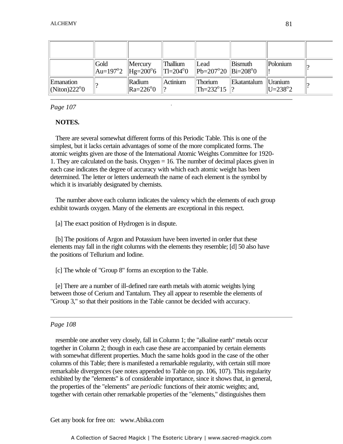|                                                | Gold | $\mathbf{M}$ ercury<br>$\vert$ Au=197°2 $\vert$ Hg=200°6 $\vert$ Tl=204°0 | Thallium | Lead<br>$\ $ Pb=207°20 $\ $ Bi=208°0 | <b>Bismuth</b> | Polonium                     |  |
|------------------------------------------------|------|---------------------------------------------------------------------------|----------|--------------------------------------|----------------|------------------------------|--|
| Emanation<br>$\vert$ (Niton)222 <sup>o</sup> 0 |      | Radium<br>$\parallel$ Ra=226 <sup>o</sup> 0                               | Actinium | Thorium<br>$\ $ Th=232°15 $\ $ ?     | Ekatantalum    | Uranium<br>$ U=238^{\circ}2$ |  |

### *Page 107*

## **NOTES.**

 There are several somewhat different forms of this Periodic Table. This is one of the simplest, but it lacks certain advantages of some of the more complicated forms. The atomic weights given are those of the International Atomic Weights Committee for 1920- 1. They are calculated on the basis. Oxygen = 16. The number of decimal places given in each case indicates the degree of accuracy with which each atomic weight has been determined. The letter or letters underneath the name of each element is the symbol by which it is invariably designated by chemists.

-

 The number above each column indicates the valency which the elements of each group exhibit towards oxygen. Many of the elements are exceptional in this respect.

[a] The exact position of Hydrogen is in dispute.

 [b] The positions of Argon and Potassium have been inverted in order that these elements may fall in the right columns with the elements they resemble; [d] 50 also have the positions of Tellurium and Iodine.

[c] The whole of "Group 8" forms an exception to the Table.

 [e] There are a number of ill-defined rare earth metals with atomic weights lying between those of Cerium and Tantalum. They all appear to resemble the elements of "Group 3," so that their positions in the Table cannot be decided with accuracy.

### *Page 108*

 resemble one another very closely, fall in Column 1; the "alkaline earth" metals occur together in Column 2; though in each case these are accompanied by certain elements with somewhat different properties. Much the same holds good in the case of the other columns of this Table; there is manifested a remarkable regularity, with certain still more remarkable divergences (see notes appended to Table on pp. 106, 107). This regularity exhibited by the "elements" is of considerable importance, since it shows that, in general, the properties of the "elements" are *periodic* functions of their atomic weights; and, together with certain other remarkable properties of the "elements," distinguishes them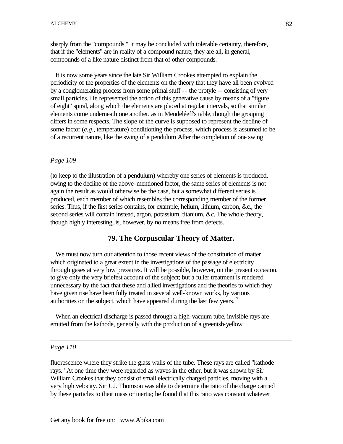sharply from the "compounds." It may be concluded with tolerable certainty, therefore, that if the "elements" are in reality of a compound nature, they are all, in general, compounds of a like nature distinct from that of other compounds.

 It is now some years since the late Sir William Crookes attempted to explain the periodicity of the properties of the elements on the theory that they have all been evolved by a conglomerating process from some primal stuff -- the protyle -- consisting of very small particles. He represented the action of this generative cause by means of a "figure of eight" spiral, along which the elements are placed at regular intervals, so that similar elements come underneath one another, as in Mendeléeff's table, though the grouping differs in some respects. The slope of the curve is supposed to represent the decline of some factor (*e.g*., temperature) conditioning the process, which process is assumed to be of a recurrent nature, like the swing of a pendulum After the completion of one swing

#### *Page 109*

(to keep to the illustration of a pendulum) whereby one series of elements is produced, owing to the decline of the above-mentioned factor, the same series of elements is not again the result as would otherwise be the case, but a somewhat different series is produced, each member of which resembles the corresponding member of the former series. Thus, if the first series contains, for example, helium, lithium, carbon, &c., the second series will contain instead, argon, potassium, titanium, &c. The whole theory, though highly interesting, is, however, by no means free from defects.

## **79. The Corpuscular Theory of Matter.**

We must now turn our attention to those recent views of the constitution of matter which originated to a great extent in the investigations of the passage of electricity through gases at very low pressures. It will be possible, however, on the present occasion, to give only the very briefest account of the subject; but a fuller treatment is rendered unnecessary by the fact that these and allied investigations and the theories to which they have given rise have been fully treated in several well-known works, by various authorities on the subject, which have appeared during the last few years.  $\frac{7}{1}$ 

 When an electrical discharge is passed through a high-vacuum tube, invisible rays are emitted from the kathode, generally with the production of a greenish-yellow

### *Page 110*

fluorescence where they strike the glass walls of the tube. These rays are called "kathode rays." At one time they were regarded as waves in the ether, but it was shown by Sir William Crookes that they consist of small electrically charged particles, moving with a very high velocity. Sir J. J. Thomson was able to determine the ratio of the charge carried by these particles to their mass or inertia; he found that this ratio was constant whatever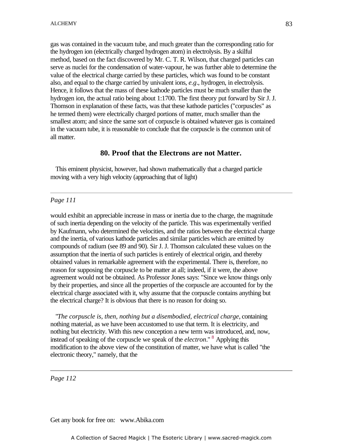gas was contained in the vacuum tube, and much greater than the corresponding ratio for the hydrogen ion (electrically charged hydrogen atom) in electrolysis. By a skilful method, based on the fact discovered by Mr. C. T. R. Wilson, that charged particles can serve as nuclei for the condensation of water-vapour, he was further able to determine the value of the electrical charge carried by these particles, which was found to be constant also, and equal to the charge carried by univalent ions, *e.g*., hydrogen, in electrolysis. Hence, it follows that the mass of these kathode particles must be much smaller than the hydrogen ion, the actual ratio being about 1:1700. The first theory put forward by Sir J. J. Thomson in explanation of these facts, was that these kathode particles ("corpuscles" as he termed them) were electrically charged portions of matter, much smaller than the smallest atom; and since the same sort of corpuscle is obtained whatever gas is contained in the vacuum tube, it is reasonable to conclude that the corpuscle is the common unit of all matter.

### **80. Proof that the Electrons are not Matter.**

 This eminent physicist, however, had shown mathematically that a charged particle moving with a very high velocity (approaching that of light)

### *Page 111*

would exhibit an appreciable increase in mass or inertia due to the charge, the magnitude of such inertia depending on the velocity of the particle. This was experimentally verified by Kaufmann, who determined the velocities, and the ratios between the electrical charge and the inertia, of various kathode particles and similar particles which are emitted by compounds of radium (see 89 and 90). Sir J. J. Thomson calculated these values on the assumption that the inertia of such particles is entirely of electrical origin, and thereby obtained values in remarkable agreement with the experimental. There is, therefore, no reason for supposing the corpuscle to be matter at all; indeed, if it were, the above agreement would not be obtained. As Professor Jones says: "Since we know things only by their properties, and since all the properties of the corpuscle are accounted for by the electrical charge associated with it, why assume that the corpuscle contains anything but the electrical charge? It is obvious that there is no reason for doing so.

 "*The corpuscle is, then, nothing but a disembodied, electrical charge*, containing nothing material, as we have been accustomed to use that term. It is electricity, and nothing but electricity. With this new conception a new term was introduced, and, now, instead of speaking of the corpuscle we speak of the *electron*." <sup>8</sup> Applying this modification to the above view of the constitution of matter, we have what is called "the electronic theory," namely, that the

*Page 112*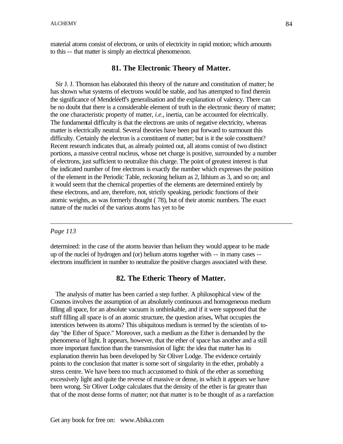material atoms consist of electrons, or units of electricity in rapid motion; which amounts to this -- that matter is simply an electrical phenomenon.

### **81. The Electronic Theory of Matter.**

 Sir J. J. Thomson has elaborated this theory of the nature and constitution of matter; he has shown what systems of electrons would be stable, and has attempted to find therein the significance of Mendeléeff's generalisation and the explanation of valency. There can be no doubt that there is a considerable element of truth in the electronic theory of matter; the one characteristic property of matter, *i.e*., inertia, can be accounted for electrically. The fundamental difficulty is that the electrons are units of negative electricity, whereas matter is electrically neutral. Several theories have been put forward to surmount this difficulty. Certainly the electron is a constituent of matter; but is it the sole constituent? Recent research indicates that, as already pointed out, all atoms consist of two distinct portions, a massive central nucleus, whose net charge is positive, surrounded by a number of electrons, just sufficient to neutralize this charge. The point of greatest interest is that the indicated number of free electrons is exactly the number which expresses the position of the element in the Periodic Table, reckoning helium as 2, lithium as 3, and so on; and it would seem that the chemical properties of the elements are determined entirely by these electrons, and are, therefore, not, strictly speaking, periodic functions of their atomic weights, as was formerly thought ( 78), but of their atomic numbers. The exact nature of the nuclei of the various atoms has yet to be

### *Page 113*

determined: in the case of the atoms heavier than helium they would appear to be made up of the nuclei of hydrogen and (or) helium atoms together with -- in many cases - electrons insufficient in number to neutralize the positive charges associated with these.

### **82. The Etheric Theory of Matter.**

 The analysis of matter has been carried a step further. A philosophical view of the Cosmos involves the assumption of an absolutely continuous and homogeneous medium filling all space, for an absolute vacuum is unthinkable, and if it were supposed that the stuff filling all space is of an atomic structure, the question arises, What occupies the interstices between its atoms? This ubiquitous medium is termed by the scientists of today "the Ether of Space." Moreover, such a medium as the Ether is demanded by the phenomena of light. It appears, however, that the ether of space has another and a still more important function than the transmission of light: the idea that matter has its explanation therein has been developed by Sir Oliver Lodge. The evidence certainly points to the conclusion that matter is some sort of singularity in the ether, probably a stress centre. We have been too much accustomed to think of the ether as something excessively light and quite the reverse of massive or dense, in which it appears we have been wrong. Sir Oliver Lodge calculates that the density of the ether is far greater than that of the most dense forms of matter; not that matter is to be thought of as a rarefaction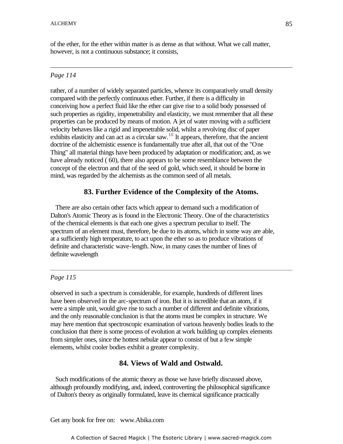of the ether, for the ether within matter is as dense as that without. What we call matter, however, is not a continuous substance; it consists,

### *Page 114*

rather, of a number of widely separated particles, whence its comparatively small density compared with the perfectly continuous ether. Further, if there is a difficulty in conceiving how a perfect fluid like the ether can give rise to a solid body possessed of such properties as rigidity, impenetrability and elasticity, we must remember that all these properties can be produced by means of motion. A jet of water moving with a sufficient velocity behaves like a rigid and impenetrable solid, whilst a revolving disc of paper exhibits elasticity and can act as a circular saw.<sup>10</sup> It appears, therefore, that the ancient doctrine of the alchemistic essence is fundamentally true after all, that out of the "One Thing" all material things have been produced by adaptation or modification; and, as we have already noticed (60), there also appears to be some resemblance between the concept of the electron and that of the seed of gold, which seed, it should be borne in mind, was regarded by the alchemists as the common seed of all metals.

## **83. Further Evidence of the Complexity of the Atoms.**

 There are also certain other facts which appear to demand such a modification of Dalton's Atomic Theory as is found in the Electronic Theory. One of the characteristics of the chemical elements is that each one gives a spectrum peculiar to itself. The spectrum of an element must, therefore, be due to its atoms, which in some way are able, at a sufficiently high temperature, to act upon the ether so as to produce vibrations of definite and characteristic wave-length. Now, in many cases the number of lines of definite wavelength

### *Page 115*

observed in such a spectrum is considerable, for example, hundreds of different lines have been observed in the arc-spectrum of iron. But it is incredible that an atom, if it were a simple unit, would give rise to such a number of different and definite vibrations, and the only reasonable conclusion is that the atoms must be complex in structure. We may here mention that spectroscopic examination of various heavenly bodies leads to the conclusion that there is some process of evolution at work building up complex elements from simpler ones, since the hottest nebulæ appear to consist of but a few simple elements, whilst cooler bodies exhibit a greater complexity.

## **84. Views of Wald and Ostwald.**

 Such modifications of the atomic theory as those we have briefly discussed above, although profoundly modifying, and, indeed, controverting the philosophical significance of Dalton's theory as originally formulated, leave its chemical significance practically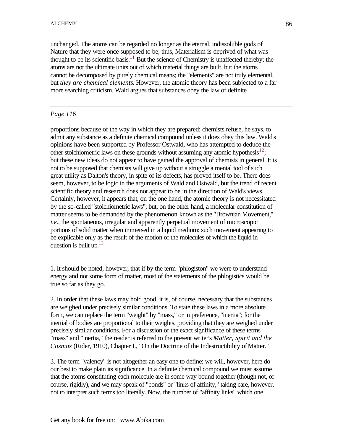unchanged. The atoms can be regarded no longer as the eternal, indissoluble gods of Nature that they were once supposed to be; thus, Materialism is deprived of what was thought to be its scientific basis.<sup>11</sup> But the science of Chemistry is unaffected thereby; the atoms are not the ultimate units out of which material things are built, but the atoms cannot be decomposed by purely chemical means; the "elements" are not truly elemental, but *they are chemical elements*. However, the atomic theory has been subjected to a far more searching criticism. Wald argues that substances obey the law of definite

## *Page 116*

proportions because of the way in which they are prepared; chemists refuse, he says, to admit any substance as a definite chemical compound unless it does obey this law. Wald's opinions have been supported by Professor Ostwald, who has attempted to deduce the other stoichiometric laws on these grounds without assuming any atomic hypothesis<sup>12</sup>; but these new ideas do not appear to have gained the approval of chemists in general. It is not to be supposed that chemists will give up without a struggle a mental tool of such great utility as Dalton's theory, in spite of its defects, has proved itself to be. There does seem, however, to be logic in the arguments of Wald and Ostwald, but the trend of recent scientific theory and research does not appear to be in the direction of Wald's views. Certainly, however, it appears that, on the one hand, the atomic theory is not necessitated by the so-called "stoichiometric laws"; but, on the other hand, a molecular constitution of matter seems to be demanded by the phenomenon known as the "Brownian Movement," *i.e*., the spontaneous, irregular and apparently perpetual movement of microscopic portions of solid matter when immersed in a liquid medium; such movement appearing to be explicable only as the result of the motion of the molecules of which the liquid in question is built up.<sup>13</sup>

1. It should be noted, however, that if by the term "phlogiston" we were to understand energy and not some form of matter, most of the statements of the phlogistics would be true so far as they go.

2. In order that these laws may hold good, it is, of course, necessary that the substances are weighed under precisely similar conditions. To state these laws in a more absolute form, we can replace the term "weight" by "mass," or in preference, "inertia"; for the inertial of bodies are proportional to their weights, providing that they are weighed under precisely similar conditions. For a discussion of the exact significance of these terms "mass" and "inertia," the reader is referred to the present writer's *Matter, Spirit and the Cosmos* (Rider, 1910), Chapter I., "On the Doctrine of the Indestructibility of Matter."

3. The term "valency" is not altogether an easy one to define; we will, however, here do our best to make plain its significance. In a definite chemical compound we must assume that the atoms constituting each molecule are in some way bound together (though not, of course, rigidly), and we may speak of "bonds" or "links of affinity," taking care, however, not to interpret such terms too literally. Now, the number of "affinity links" which one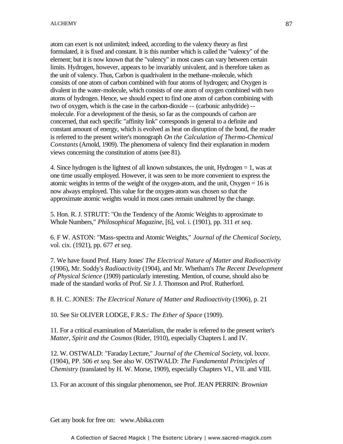atom can exert is not unlimited; indeed, according to the valency theory as first formulated, it is fixed and constant. It is this number which is called the "valency" of the element; but it is now known that the "valency" in most cases can vary between certain limits. Hydrogen, however, appears to be invariably univalent, and is therefore taken as the unit of valency. Thus, Carbon is quadrivalent in the methane-molecule, which consists of one atom of carbon combined with four atoms of hydrogen; and Oxygen is divalent in the water-molecule, which consists of one atom of oxygen combined with two atoms of hydrogen. Hence, we should expect to find one atom of carbon combining with two of oxygen, which is the case in the carbon-dioxide -- (carbonic anhydride) -- molecule. For a development of the thesis, so far as the compounds of carbon are concerned, that each specific "affinity link" corresponds in general to a definite and constant amount of energy, which is evolved as heat on disruption of the bond, the reader is referred to the present writer's monograph *On the Calculation of Thermo-Chemical Constants* (Arnold, 1909). The phenomena of valency find their explanation in modern views concerning the constitution of atoms (see 81).

4. Since hydrogen is the lightest of all known substances, the unit, Hydrogen  $= 1$ , was at one time usually employed. However, it was seen to be more convenient to express the atomic weights in terms of the weight of the oxygen-atom, and the unit, Oxygen  $= 16$  is now always employed. This value for the oxygen-atom was chosen so that the approximate atomic weights would in most cases remain unaltered by the change.

5. Hon. R. J. STRUTT: "On the Tendency of the Atomic Weights to approximate to Whole Numbers," *Philosophical Magazine*, [6], vol. i. (1901), pp. 311 *et seq*.

6. F W. ASTON: "Mass-spectra and Atomic Weights," *Journal of the Chemical Society*, vol. cix. (1921), pp. 677 *et seq*.

7. We have found Prof. Harry Jones' *The Electrical Nature of Matter and Radioactivity* (1906), Mr. Soddy's *Radioactivity* (1904), and Mr. Whetham's *The Recent Development of Physical Science* (1909) particularly interesting. Mention, of course, should also be made of the standard works of Prof. Sir J. J. Thomson and Prof. Rutherford.

8. H. C. JONES: *The Electrical Nature of Matter and Radioactivity* (1906), p. 21

10. See Sir OLIVER LODGE, F.R.S.: *The Ether of Space* (1909).

11. For a critical examination of Materialism, the reader is referred to the present writer's *Matter, Spirit and the Cosmos* (Rider, 1910), especially Chapters I. and IV.

12. W. OSTWALD: "Faraday Lecture," *Journal of the Chemical Society*, vol. lxxxv. (1904), PP. 506 *et seq*. See also W. OSTWALD: *The Fundamental Principles of Chemistry* (translated by H. W. Morse, 1909), especially Chapters VI., VII. and VIII.

13. For an account of this singular phenomenon, see Prof. JEAN PERRIN: *Brownian*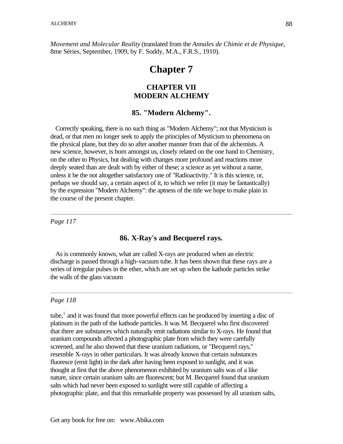*Movement and Molecular Reality* (translated from the *Annales de Chimie et de Physique*, 8me Séries, September, 1909, by F. Soddy, M.A., F.R.S., 1910).

# **Chapter 7**

## **CHAPTER VII MODERN ALCHEMY**

### **85. "Modern Alchemy".**

 Correctly speaking, there is no such thing as "Modern Alchemy"; not that Mysticism is dead, or that men no longer seek to apply the principles of Mysticism to phenomena on the physical plane, but they do so after another manner from that of the alchemists. A new science, however, is born amongst us, closely related on the one hand to Chemistry, on the other to Physics, but dealing with changes more profound and reactions more deeply seated than are dealt with by either of these; a science as yet without a name, unless it be the not altogether satisfactory one of "Radioactivity." It is this science, or, perhaps we should say, a certain aspect of it, to which we refer (it may be fantastically) by the expression "Modern Alchemy": the aptness of the title we hope to make plain in the course of the present chapter.

*Page 117*

## **86. X-Ray's and Becquerel rays.**

 As is commonly known, what are called X-rays are produced when an electric discharge is passed through a high-vacuum tube. It has been shown that these rays are a series of irregular pulses in the ether, which are set up when the kathode particles strike the walls of the glass vacuum

#### *Page 118*

tube, $<sup>1</sup>$  and it was found that more powerful effects can be produced by inserting a disc of</sup> platinum in the path of the kathode particles. It was M. Becquerel who first discovered that there are substances which naturally emit radiations similar to X-rays. He found that uranium compounds affected a photographic plate from which they were carefully screened, and he also showed that these uranium radiations, or "Becquerel rays," resemble X-rays in other particulars. It was already known that certain substances fluoresce (emit light) in the dark after having been exposed to sunlight, and it was thought at first that the above phenomenon exhibited by uranium salts was of a like nature, since certain uranium salts are fluorescent; but M. Becquerel found that uranium salts which had never been exposed to sunlight were still capable of affecting a photographic plate, and that this remarkable property was possessed by all uranium salts,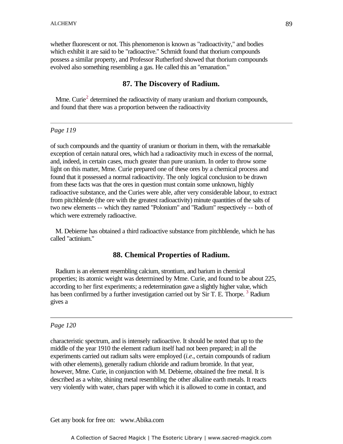whether fluorescent or not. This phenomenon is known as "radioactivity," and bodies which exhibit it are said to be "radioactive." Schmidt found that thorium compounds possess a similar property, and Professor Rutherford showed that thorium compounds evolved also something resembling a gas. He called this an "emanation."

### **87. The Discovery of Radium.**

Mme. Curie<sup>2</sup> determined the radioactivity of many uranium and thorium compounds, and found that there was a proportion between the radioactivity

#### *Page 119*

of such compounds and the quantity of uranium or thorium in them, with the remarkable exception of certain natural ores, which had a radioactivity much in excess of the normal, and, indeed, in certain cases, much greater than pure uranium. In order to throw some light on this matter, Mme. Curie prepared one of these ores by a chemical process and found that it possessed a normal radioactivity. The only logical conclusion to be drawn from these facts was that the ores in question must contain some unknown, highly radioactive substance, and the Curies were able, after very considerable labour, to extract from pitchblende (the ore with the greatest radioactivity) minute quantities of the salts of two new elements -- which they named "Polonium" and "Radium" respectively -- both of which were extremely radioactive.

 M. Debierne has obtained a third radioactive substance from pitchblende, which he has called "actinium."

### **88. Chemical Properties of Radium.**

 Radium is an element resembling calcium, strontium, and barium in chemical properties; its atomic weight was determined by Mme. Curie, and found to be about 225, according to her first experiments; a redetermination gave a slightly higher value, which has been confirmed by a further investigation carried out by Sir T. E. Thorpe.<sup>3</sup> Radium gives a

#### *Page 120*

characteristic spectrum, and is intensely radioactive. It should be noted that up to the middle of the year 1910 the element radium itself had not been prepared; in all the experiments carried out radium salts were employed (*i.e*., certain compounds of radium with other elements), generally radium chloride and radium bromide. In that year, however, Mme. Curie, in conjunction with M. Debierne, obtained the free metal. It is described as a white, shining metal resembling the other alkaline earth metals. It reacts very violently with water, chars paper with which it is allowed to come in contact, and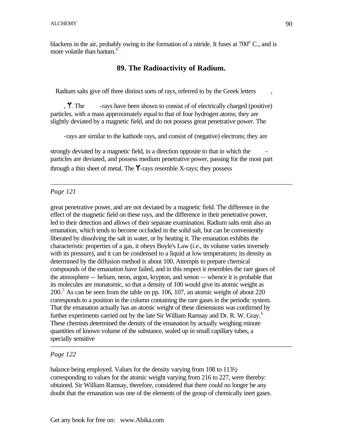blackens in the air, probably owing to the formation of a nitride. It fuses at  $700^{\circ}$  C., and is more volatile than barium.<sup>4</sup>

## **89. The Radioactivity of Radium.**

Radium salts give off three distinct sorts of rays, referred to by the Greek letters

, . The -rays have been shown to consist of of electrically charged (positive) particles, with a mass approximately equal to that of four hydrogen atoms; they are slightly deviated by a magnetic field, and do not possess great penetrative power. The

-rays are similar to the kathode rays, and consist of (negative) electrons; they are

strongly deviated by a magnetic field, in a direction opposite to that in which the particles are deviated, and possess medium penetrative power, passing for the most part through a thin sheet of metal. The T-rays resemble X-rays; they possess

## *Page 121*

great penetrative power, and are not deviated by a magnetic field. The difference in the effect of the magnetic field on these rays, and the difference in their penetrative power, led to their detection and allows of their separate examination. Radium salts emit also an emanation, which tends to become occluded in the solid salt, but can be conveniently liberated by dissolving the salt in water, or by heating it. The emanation exhibits the characteristic properties of a gas, it obeys Boyle's Law (*i.e*., its volume varies inversely with its pressure), and it can be condensed to a liquid at low temperatures; its density as determined by the diffusion method is about 100. Attempts to prepare chemical compounds of the emanation have failed, and in this respect it resembles the rare gases of the atmosphere -- helium, neon, argon, krypton, and xenon -- whence it is probable that its molecules are monatomic, so that a density of 100 would give its atomic weight as 200.<sup>5</sup> As can be seen from the table on pp. 106, 107, an atomic weight of about 220 corresponds to a position in the column containing the rare gases in the periodic system. That the emanation actually has an atomic weight of these dimensions was confirmed by further experiments carried out by the late Sir William Ramsay and Dr. R. W. Gray.<sup>6</sup> These chemists determined the density of the emanation by actually weighing minute quantities of known volume of the substance, sealed up in small capillary tubes, a specially sensitive

## *Page 122*

balance being employed. Values for the density varying from 108 to 113½, corresponding to values for the atomic weight varying from 216 to 227, were thereby: obtained. Sir William Ramsay, therefore, considered that there could no longer be any doubt that the emanation was one of the elements of the group of chemically inert gases.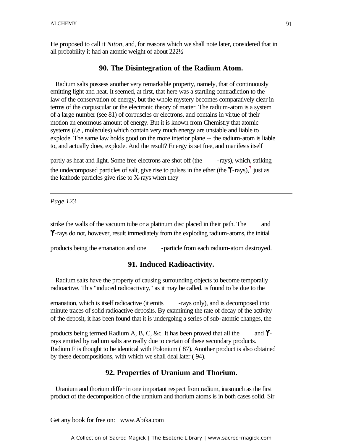He proposed to call it *Niton*, and, for reasons which we shall note later, considered that in all probability it had an atomic weight of about 222½.

### **90. The Disintegration of the Radium Atom.**

 Radium salts possess another very remarkable property, namely, that of continuously emitting light and heat. It seemed, at first, that here was a startling contradiction to the law of the conservation of energy, but the whole mystery becomes comparatively clear in terms of the corpuscular or the electronic theory of matter. The radium-atom is a system of a large number (see 81) of corpuscles or electrons, and contains in virtue of their motion an enormous amount of energy. But it is known from Chemistry that atomic systems (*i.e*., molecules) which contain very much energy are unstable and liable to explode. The same law holds good on the more interior plane -- the radium-atom is liable to, and actually does, explode. And the result? Energy is set free, and manifests itself

partly as heat and light. Some free electrons are shot off (the -rays), which, striking the undecomposed particles of salt, give rise to pulses in the ether (the  $\gamma$ -rays), inst as the kathode particles give rise to X-rays when they

*Page 123*

strike the walls of the vacuum tube or a platinum disc placed in their path. The and -rays do not, however, result immediately from the exploding radium-atoms, the initial

products being the emanation and one -particle from each radium-atom destroyed.

## **91. Induced Radioactivity.**

 Radium salts have the property of causing surrounding objects to become temporally radioactive. This "induced radioactivity," as it may be called, is found to be due to the

emanation, which is itself radioactive (it emits -rays only), and is decomposed into minute traces of solid radioactive deposits. By examining the rate of decay of the activity of the deposit, it has been found that it is undergoing a series of sub-atomic changes, the

products being termed Radium A, B, C, &c. It has been proved that all the and  $\gamma$ rays emitted by radium salts are really due to certain of these secondary products. Radium F is thought to be identical with Polonium ( 87). Another product is also obtained by these decompositions, with which we shall deal later ( 94).

## **92. Properties of Uranium and Thorium.**

 Uranium and thorium differ in one important respect from radium, inasmuch as the first product of the decomposition of the uranium and thorium atoms is in both cases solid. Sir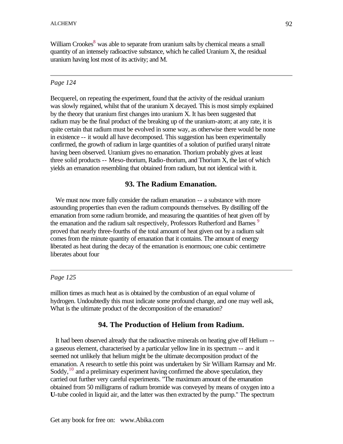William Crookes<sup>8</sup> was able to separate from uranium salts by chemical means a small quantity of an intensely radioactive substance, which he called Uranium X, the residual uranium having lost most of its activity; and M.

## *Page 124*

Becquerel, on repeating the experiment, found that the activity of the residual uranium was slowly regained, whilst that of the uranium X decayed. This is most simply explained by the theory that uranium first changes into uranium X. It has been suggested that radium may be the final product of the breaking up of the uranium-atom; at any rate, it is quite certain that radium must be evolved in some way, as otherwise there would be none in existence -- it would all have decomposed. This suggestion has been experimentally confirmed, the growth of radium in large quantities of a solution of purified uranyl nitrate having been observed. Uranium gives no emanation. Thorium probably gives at least three solid products -- Meso-thorium, Radio-thorium, and Thorium X, the last of which yields an emanation resembling that obtained from radium, but not identical with it.

## **93. The Radium Emanation.**

 We must now more fully consider the radium emanation -- a substance with more astounding properties than even the radium compounds themselves. By distilling off the emanation from some radium bromide, and measuring the quantities of heat given off by the emanation and the radium salt respectively, Professors Rutherford and Barnes<sup>9</sup> proved that nearly three-fourths of the total amount of heat given out by a radium salt comes from the minute quantity of emanation that it contains. The amount of energy liberated as heat during the decay of the emanation is enormous; one cubic centimetre liberates about four

## *Page 125*

million times as much heat as is obtained by the combustion of an equal volume of hydrogen. Undoubtedly this must indicate some profound change, and one may well ask, What is the ultimate product of the decomposition of the emanation?

## **94. The Production of Helium from Radium.**

 It had been observed already that the radioactive minerals on heating give off Helium - a gaseous element, characterised by a particular yellow line in its spectrum -- and it seemed not unlikely that helium might be the ultimate decomposition product of the emanation. A research to settle this point was undertaken by Sir William Ramsay and Mr. Soddy, $10$  and a preliminary experiment having confirmed the above speculation, they carried out further very careful experiments. "The maximum amount of the emanation obtained from 50 milligrams of radium bromide was conveyed by means of oxygen into a **U**-tube cooled in liquid air, and the latter was then extracted by the pump." The spectrum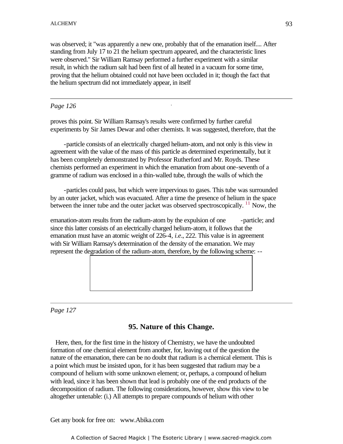was observed; it "was apparently a new one, probably that of the emanation itself.... After standing from July 17 to 21 the helium spectrum appeared, and the characteristic lines were observed." Sir William Ramsay performed a further experiment with a similar result, in which the radium salt had been first of all heated in a vacuum for some time, proving that the helium obtained could not have been occluded in it; though the fact that the helium spectrum did not immediately appear, in itself

### *Page 126*

proves this point. Sir William Ramsay's results were confirmed by further careful experiments by Sir James Dewar and other chemists. It was suggested, therefore, that the

-

-particle consists of an electrically charged helium-atom, and not only is this view in agreement with the value of the mass of this particle as determined experimentally, but it has been completely demonstrated by Professor Rutherford and Mr. Royds. These chemists performed an experiment in which the emanation from about one-seventh of a gramme of radium was enclosed in a thin-walled tube, through the walls of which the

-particles could pass, but which were impervious to gases. This tube was surrounded by an outer jacket, which was evacuated. After a time the presence of helium in the space between the inner tube and the outer jacket was observed spectroscopically. <sup>11</sup> Now, the

emanation-atom results from the radium-atom by the expulsion of one -particle; and since this latter consists of an electrically charged helium-atom, it follows that the emanation must have an atomic weight of 226-4, *i.e*., 222. This value is in agreement with Sir William Ramsay's determination of the density of the emanation. We may represent the degradation of the radium-atom, therefore, by the following scheme: --

*Page 127*

## **95. Nature of this Change.**

 Here, then, for the first time in the history of Chemistry, we have the undoubted formation of one chemical element from another, for, leaving out of the question the nature of the emanation, there can be no doubt that radium is a chemical element. This is a point which must be insisted upon, for it has been suggested that radium may be a compound of helium with some unknown element; or, perhaps, a compound of helium with lead, since it has been shown that lead is probably one of the end products of the decomposition of radium. The following considerations, however, show this view to be altogether untenable: (i.) All attempts to prepare compounds of helium with other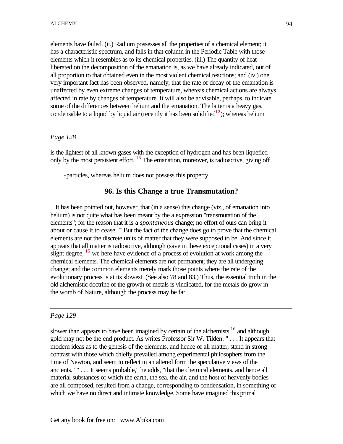elements have failed. (ii.) Radium possesses all the properties of a chemical element; it has a characteristic spectrum, and falls in that column in the Periodic Table with those elements which it resembles as to its chemical properties. (iii.) The quantity of heat liberated on the decomposition of the emanation is, as we have already indicated, out of all proportion to that obtained even in the most violent chemical reactions; and (iv.) one very important fact has been observed, namely, that the rate of decay of the emanation is unaffected by even extreme changes of temperature, whereas chemical actions are always affected in rate by changes of temperature. It will also be advisable, perhaps, to indicate some of the differences between helium and the emanation. The latter is a heavy gas, condensable to a liquid by liquid air (recently it has been solidified<sup>12</sup>); whereas helium

## *Page 128*

is the lightest of all known gases with the exception of hydrogen and has been liquefied only by the most persistent effort. <sup>13</sup> The emanation, moreover, is radioactive, giving off

-particles, whereas helium does not possess this property.

## **96. Is this Change a true Transmutation?**

 It has been pointed out, however, that (in a sense) this change (viz., of emanation into helium) is not quite what has been meant by the a expression "transmutation of the elements"; for the reason that it is a *spontaneous* change; no effort of ours can bring it about or cause it to cease.<sup>14</sup> But the fact of the change does go to prove that the chemical elements are not the discrete units of matter that they were supposed to be. And since it appears that all matter is radioactive, although (save in these exceptional cases) in a very slight degree,  $15$  we here have evidence of a process of evolution at work among the chemical elements. The chemical elements are not permanent; they are all undergoing change; and the common elements merely mark those points where the rate of the evolutionary process is at its slowest. (See also 78 and 83.) Thus, the essential truth in the old alchemistic doctrine of the growth of metals is vindicated, for the metals do grow in the womb of Nature, although the process may be far

## *Page 129*

slower than appears to have been imagined by certain of the alchemists, $1<sup>6</sup>$  and although gold may not be the end product. As writes Professor Sir W. Tilden: " . . . It appears that modern ideas as to the genesis of the elements, and hence of all matter, stand in strong contrast with those which chiefly prevailed among experimental philosophers from the time of Newton, and seem to reflect in an altered form the speculative views of the ancients." " . . . It seems probable," he adds, "that the chemical elements, and hence all material substances of which the earth, the sea, the air, and the host of heavenly bodies are all composed, resulted from a change, corresponding to condensation, in something of which we have no direct and intimate knowledge. Some have imagined this primal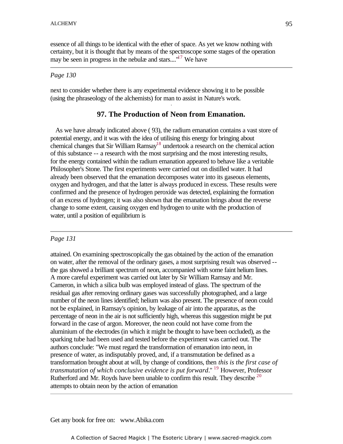essence of all things to be identical with the ether of space. As yet we know nothing with certainty, but it is thought that by means of the spectroscope some stages of the operation may be seen in progress in the nebulæ and stars...."<sup>17</sup> We have

#### *Page 130*

next to consider whether there is any experimental evidence showing it to be possible (using the phraseology of the alchemists) for man to assist in Nature's work. -

## **97. The Production of Neon from Emanation.**

 As we have already indicated above ( 93), the radium emanation contains a vast store of potential energy, and it was with the idea of utilising this energy for bringing about chemical changes that Sir William Ramsay<sup>18</sup> undertook a research on the chemical action of this substance -- a research with the most surprising and the most interesting results, for the energy contained within the radium emanation appeared to behave like a veritable Philosopher's Stone. The first experiments were carried out on distilled water. It had already been observed that the emanation decomposes water into its gaseous elements, oxygen and hydrogen, and that the latter is always produced in excess. These results were confirmed and the presence of hydrogen peroxide was detected, explaining the formation of an excess of hydrogen; it was also shown that the emanation brings about the reverse change to some extent, causing oxygen end hydrogen to unite with the production of water, until a position of equilibrium is

#### *Page 131*

attained. On examining spectroscopically the gas obtained by the action of the emanation on water, after the removal of the ordinary gases, a most surprising result was observed - the gas showed a brilliant spectrum of neon, accompanied with some faint helium lines. A more careful experiment was carried out later by Sir William Ramsay and Mr. Cameron, in which a silica bulb was employed instead of glass. The spectrum of the residual gas after removing ordinary gases was successfully photographed, and a large number of the neon lines identified; helium was also present. The presence of neon could not be explained, in Ramsay's opinion, by leakage of air into the apparatus, as the percentage of neon in the air is not sufficiently high, whereas this suggestion might be put forward in the case of argon. Moreover, the neon could not have come from the aluminium of the electrodes (in which it might be thought to have been occluded), as the sparking tube had been used and tested before the experiment was carried out. The authors conclude: "We must regard the transformation of emanation into neon, in presence of water, as indisputably proved, and, if a transmutation be defined as a transformation brought about at will, by change of conditions, then *this is the first case of transmutation of which conclusive evidence is put forward*." <sup>19</sup> However, Professor Rutherford and Mr. Royds have been unable to confirm this result. They describe  $^{20}$ attempts to obtain neon by the action of emanation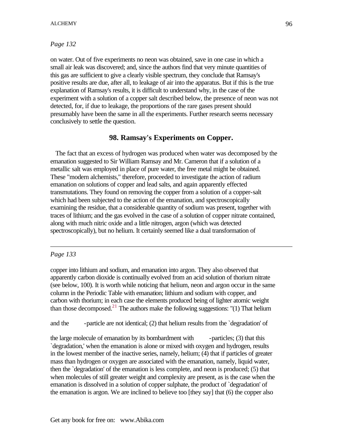## *Page 132*

on water. Out of five experiments no neon was obtained, save in one case in which a small air leak was discovered; and, since the authors find that very minute quantities of this gas are sufficient to give a clearly visible spectrum, they conclude that Ramsay's positive results are due, after all, to leakage of air into the apparatus. But if this is the true explanation of Ramsay's results, it is difficult to understand why, in the case of the experiment with a solution of a copper salt described below, the presence of neon was not detected, for, if due to leakage, the proportions of the rare gases present should presumably have been the same in all the experiments. Further research seems necessary conclusively to settle the question.

## **98. Ramsay's Experiments on Copper.**

 The fact that an excess of hydrogen was produced when water was decomposed by the emanation suggested to Sir William Ramsay and Mr. Cameron that if a solution of a metallic salt was employed in place of pure water, the free metal might be obtained. These "modern alchemists," therefore, proceeded to investigate the action of radium emanation on solutions of copper and lead salts, and again apparently effected transmutations. They found on removing the copper from a solution of a copper-salt which had been subjected to the action of the emanation, and spectroscopically examining the residue, that a considerable quantity of sodium was present, together with traces of lithium; and the gas evolved in the case of a solution of copper nitrate contained, along with much nitric oxide and a little nitrogen, argon (which was detected spectroscopically), but no helium. It certainly seemed like a dual transformation of

### *Page 133*

copper into lithium and sodium, and emanation into argon. They also observed that apparently carbon dioxide is continually evolved from an acid solution of thorium nitrate (see below, 100). It is worth while noticing that helium, neon and argon occur in the same column in the Periodic Table with emanation; lithium and sodium with copper, and carbon with thorium; in each case the elements produced being of lighter atomic weight than those decomposed.<sup>21</sup> The authors make the following suggestions: "(1) That helium

and the -particle are not identical; (2) that helium results from the `degradation' of

the large molecule of emanation by its bombardment with -particles; (3) that this `degradation,' when the emanation is alone or mixed with oxygen and hydrogen, results in the lowest member of the inactive series, namely, helium; (4) that if particles of greater mass than hydrogen or oxygen are associated with the emanation, namely, liquid water, then the `degradation' of the emanation is less complete, and neon is produced; (5) that when molecules of still greater weight and complexity are present, as is the case when the emanation is dissolved in a solution of copper sulphate, the product of `degradation' of the emanation is argon. We are inclined to believe too [they say] that (6) the copper also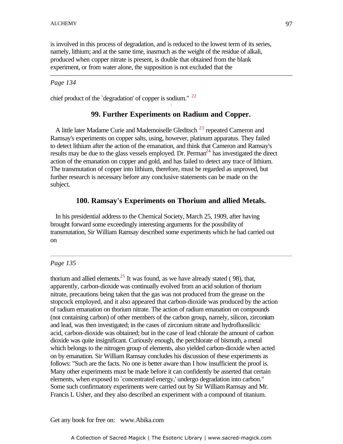is involved in this process of degradation, and is reduced to the lowest term of its series, namely, lithium; and at the same time, inasmuch as the weight of the residue of alkali, produced when copper nitrate is present, is double that obtained from the blank experiment, or from water alone, the supposition is not excluded that the

### *Page 134*

chief product of the 'degradation' of copper is sodium."  $22$ 

### **99. Further Experiments on Radium and Copper.**

A little later Madame Curie and Mademoiselle Gleditsch<sup>23</sup> repeated Cameron and Ramsay's experiments on copper salts, using, however, platinum apparatus. They failed to detect lithium after the action of the emanation, and think that Cameron and Ramsay's results may be due to the glass vessels employed. Dr. Perman $^{24}$  has investigated the direct action of the emanation on copper and gold, and has failed to detect any trace of lithium. The transmutation of copper into lithium, therefore, must be regarded as unproved, but further research is necessary before any conclusive statements can be made on the subject.

### **100. Ramsay's Experiments on Thorium and allied Metals.**

 In his presidential address to the Chemical Society, March 25, 1909, after having brought forward some exceedingly interesting arguments for the possibility of transmutation, Sir William Ramsay described some experiments which he had carried out on

### *Page 135*

thorium and allied elements.<sup>25</sup> It was found, as we have already stated (98), that, apparently, carbon-dioxide was continually evolved from an acid solution of thorium nitrate, precautions being taken that the gas was not produced from the grease on the stopcock employed, and it also appeared that carbon-dioxide was produced by the action of radium emanation on thorium nitrate. The action of radium emanation on compounds (not containing carbon) of other members of the carbon group, namely, silicon, zirconium and lead, was then investigated; in the cases of zirconium nitrate and hydrofluosilicic acid, carbon-dioxide was obtained; but in the case of lead chlorate the amount of carbon dioxide was quite insignificant. Curiously enough, the perchlorate of bismuth, a metal which belongs to the nitrogen group of elements, also yielded carbon-dioxide when acted on by emanation. Sir William Ramsay concludes his discussion of these experiments as follows: "Such are the facts. No one is better aware than I how insufficient the proof is. Many other experiments must be made before it can confidently be asserted that certain elements, when exposed to `concentrated energy,' undergo degradation into carbon." Some such confirmatory experiments were carried out by Sir William Ramsay and Mr. Francis L Usher, and they also described an experiment with a compound of titanium.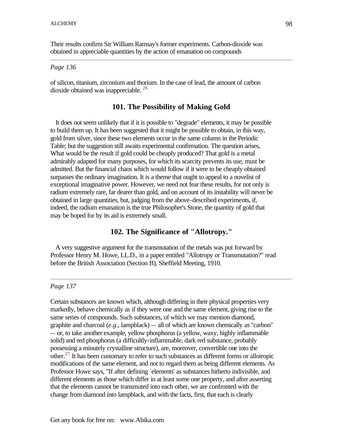Their results confirm Sir William Ramsay's former experiments. Carbon-dioxide was obtained in appreciable quantities by the action of emanation on compounds

#### *Page 136*

of silicon, titanium, zirconium and thorium. In the case of lead, the amount of carbon dioxide obtained was inappreciable. <sup>26</sup>

### **101. The Possibility of Making Gold**

 It does not seem unlikely that if it is possible to "degrade" elements, it may be possible to build them up. It has been suggested that it might be possible to obtain, in this way, gold from silver, since these two elements occur in the same column in the Periodic Table; but the suggestion still awaits experimental confirmation. The question arises, What would be the result if gold could be cheaply produced? That gold is a metal admirably adapted for many purposes, for which its scarcity prevents its use, must be admitted. But the financial chaos which would follow if it were to be cheaply obtained surpasses the ordinary imagination. It is a theme that ought to appeal to a novelist of exceptional imaginative power. However, we need not fear these results, for not only is radium extremely rare, far dearer than gold, and on account of its instability will never be obtained in large quantities, but, judging from the above-described experiments, if, indeed, the radium emanation is the true Philosopher's Stone, the quantity of gold that may be hoped for by its aid is extremely small.

## **102. The Significance of "Allotropy."**

 A very suggestive argument for the transmutation of the metals was put forward by Professor Henry M. Howe, LL.D., in a paper entitled "Allotropy or Transmutation?" read before the British Association (Section B), Sheffield Meeting, 1910.

### *Page 137*

Certain substances are known which, although differing in their physical properties very markedly, behave chemically as if they were one and the same element, giving rise to the same series of compounds. Such substances, of which we may mention diamond, graphite and charcoal (*e.g*., lampblack) -- all of which are known chemically as "carbon" -- or, to take another example, yellow phosphorus (a yellow, waxy, highly inflammable solid) and red phosphorus (a difficultly-inflammable, dark red substance, probably possessing a minutely crystalline structure), are, moreover, convertible one into the other.<sup>27</sup> It has been customary to refer to such substances as different forms or allotropic modifications of the same element, and not to regard them as being different elements. As Professor Howe says, "If after defining `elements' as substances hitherto indivisible, and different elements as those which differ in at least some one property, and after asserting that the elements cannot be transmuted into each other, we are confronted with the change from diamond into lampblack, and with the facts, first, that each is clearly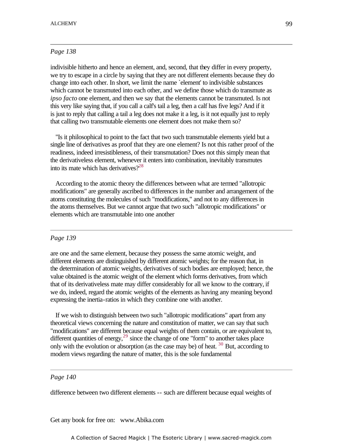### *Page 138*

indivisible hitherto and hence an element, and, second, that they differ in every property, we try to escape in a circle by saying that they are not different elements because they do change into each other. In short, we limit the name `element' to indivisible substances which cannot be transmuted into each other, and we define those which do transmute as *ipso facto* one element, and then we say that the elements cannot be transmuted. Is not this very like saying that, if you call a calf's tail a leg, then a calf has five legs? And if it is just to reply that calling a tail a leg does not make it a leg, is it not equally just to reply that calling two transmutable elements one element does not make them so?

 "Is it philosophical to point to the fact that two such transmutable elements yield but a single line of derivatives as proof that they are one element? Is not this rather proof of the readiness, indeed irresistibleness, of their transmutation? Does not this simply mean that the derivativeless element, whenever it enters into combination, inevitably transmutes into its mate which has derivatives $2^{28}$ 

 According to the atomic theory the differences between what are termed "allotropic modifications" are generally ascribed to differences in the number and arrangement of the atoms constituting the molecules of such "modifications," and not to any differences in the atoms themselves. But we cannot argue that two such "allotropic modifications" or elements which are transmutable into one another

#### *Page 139*

are one and the same element, because they possess the same atomic weight, and different elements are distinguished by different atomic weights; for the reason that, in the determination of atomic weights, derivatives of such bodies are employed; hence, the value obtained is the atomic weight of the element which forms derivatives, from which that of its derivativeless mate may differ considerably for all we know to the contrary, if we do, indeed, regard the atomic weights of the elements as having any meaning beyond expressing the inertia-ratios in which they combine one with another.

 If we wish to distinguish between two such "allotropic modifications" apart from any theoretical views concerning the nature and constitution of matter, we can say that such "modifications" are different because equal weights of them contain, or are equivalent to, different quantities of energy,  $29$  since the change of one "form" to another takes place only with the evolution or absorption (as the case may be) of heat.  $30$  But, according to modern views regarding the nature of matter, this is the sole fundamental

#### *Page 140*

difference between two different elements -- such are different because equal weights of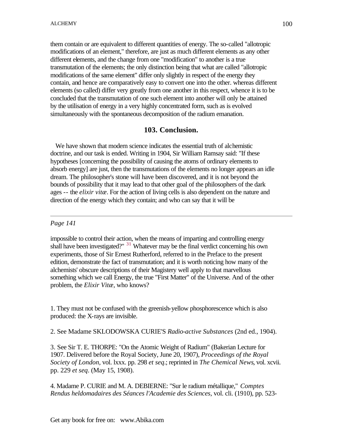them contain or are equivalent to different quantities of energy. The so-called "allotropic modifications of an element," therefore, are just as much different elements as any other different elements, and the change from one "modification" to another is a true transmutation of the elements; the only distinction being that what are called "allotropic modifications of the same element" differ only slightly in respect of the energy they contain, and hence are comparatively easy to convert one into the other. whereas different elements (so called) differ very greatly from one another in this respect, whence it is to be concluded that the transmutation of one such element into another will only be attained by the utilisation of energy in a very highly concentrated form, such as is evolved simultaneously with the spontaneous decomposition of the radium emanation.

## **103. Conclusion.**

 We have shown that modern science indicates the essential truth of alchemistic doctrine, and our task is ended. Writing in 1904, Sir William Ramsay said: "If these hypotheses [concerning the possibility of causing the atoms of ordinary elements to absorb energy] are just, then the transmutations of the elements no longer appears an idle dream. The philosopher's stone will have been discovered, and it is not beyond the bounds of possibility that it may lead to that other goal of the philosophers of the dark ages -- the *elixir vitæ*. For the action of living cells is also dependent on the nature and direction of the energy which they contain; and who can say that it will be

## *Page 141*

impossible to control their action, when the means of imparting and controlling energy shall have been investigated?" <sup>31</sup> Whatever may be the final verdict concerning his own experiments, those of Sir Ernest Rutherford, referred to in the Preface to the present edition, demonstrate the fact of transmutation; and it is worth noticing how many of the alchemists' obscure descriptions of their Magistery well apply to that marvellous something which we call Energy, the true "First Matter" of the Universe. And of the other problem, the *Elixir Vitæ*, who knows?

1. They must not be confused with the greenish-yellow phosphorescence which is also produced: the X-rays are invisible.

2. See Madame SKLODOWSKA CURIE'S *Radio-active Substances* (2nd ed., 1904).

3. See Sir T. E. THORPE: "On the Atomic Weight of Radium" (Bakerian Lecture for 1907. Delivered before the Royal Society, June 20, 1907), *Proceedings of the Royal Society of London*, vol. lxxx. pp. 298 *et seq*.; reprinted in *The Chemical News*, vol. xcvii. pp. 229 *et seq*. (May 15, 1908).

4. Madame P. CURIE and M. A. DEBIERNE: "Sur le radium métallique," *Comptes Rendus heldomadaires des Séances l'Academie des Sciences*, vol. cli. (1910), pp. 523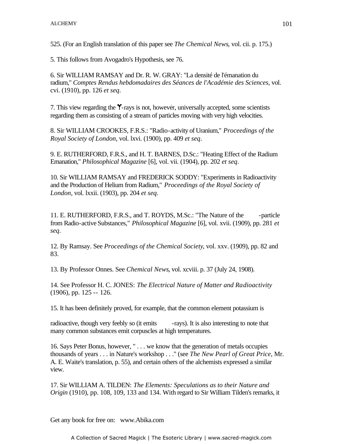525. (For an English translation of this paper see *The Chemical News*, vol. cii. p. 175.)

5. This follows from Avogadro's Hypothesis, see 76.

6. Sir WILLIAM RAMSAY and Dr. R. W. GRAY: "La densité de l'émanation du radium," *Comptes Rendus hebdomadaires des Séances de l'Académie des Sciences*, vol. cvi. (1910), pp. 126 *et seq*.

7. This view regarding the *Y*-rays is not, however, universally accepted, some scientists regarding them as consisting of a stream of particles moving with very high velocities.

8. Sir WILLIAM CROOKES, F.R.S.: "Radio-activity of Uranium," *Proceedings of the Royal Society of London*, vol. lxvi. (1900), pp. 409 *et seq*.

9. E. RUTHERFORD, F.R.S., and H. T. BARNES, D.Sc.: "Heating Effect of the Radium Emanation," *Philosophical Magazine* [6], vol. vii. (1904), pp. 202 *et seq*.

10. Sir WILLIAM RAMSAY and FREDERICK SODDY: "Experiments in Radioactivity and the Production of Helium from Radium," *Proceedings of the Royal Society of London*, vol. lxxii. (1903), pp. 204 *et seq*.

11. E. RUTHERFORD, F.R.S., and T. ROYDS, M.Sc.: "The Nature of the -particle from Radio-active Substances," *Philosophical Magazine* [6], vol. xvii. (1909), pp. 281 *et seq*.

12. By Ramsay. See *Proceedings of the Chemical Society*, vol. xxv. (1909), pp. 82 and 83.

13. By Professor Onnes. See *Chemical News*, vol. xcviii. p. 37 (July 24, 1908).

14. See Professor H. C. JONES: *The Electrical Nature of Matter and Radioactivity* (1906), pp. 125 -- 126.

15. It has been definitely proved, for example, that the common element potassium is

radioactive, though very feebly so (it emits -rays). It is also interesting to note that many common substances emit corpuscles at high temperatures.

16. Says Peter Bonus, however, " . . . we know that the generation of metals occupies thousands of years . . . in Nature's workshop . . ." (see *The New Pearl of Great Price*, Mr. A. E. Waite's translation, p. 55), and certain others of the alchemists expressed a similar view.

17. Sir WILLIAM A. TILDEN: *The Elements: Speculations as to their Nature and Origin* (1910), pp. 108, 109, 133 and 134. With regard to Sir William Tilden's remarks, it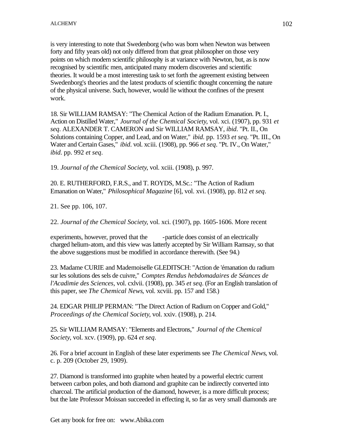is very interesting to note that Swedenborg (who was born when Newton was between forty and fifty years old) not only differed from that great philosopher on those very points on which modern scientific philosophy is at variance with Newton, but, as is now recognised by scientific men, anticipated many modern discoveries and scientific theories. It would be a most interesting task to set forth the agreement existing between Swedenborg's theories and the latest products of scientific thought concerning the nature of the physical universe. Such, however, would lie without the confines of the present work.

18. Sir WILLIAM RAMSAY: "The Chemical Action of the Radium Emanation. Pt. I., Action on Distilled Water," *Journal of the Chemical Society*, vol. xci. (1907), pp. 931 *et seq*. ALEXANDER T. CAMERON and Sir WILLIAM RAMSAY, *ibid*. "Pt. II., On Solutions containing Copper, and Lead, and on Water," *ibid*. pp. 1593 *et seq*. "Pt. III., On Water and Certain Gases," *ibid*. vol. xciii. (1908), pp. 966 *et seq*. "Pt. IV., On Water," *ibid*. pp. 992 *et seq*.

19. *Journal of the Chemical Society*, vol. xciii. (1908), p. 997.

20. E. RUTHERFORD, F.R.S., and T. ROYDS, M.Sc.: "The Action of Radium Emanation on Water," *Philosophical Magazine* [6], vol. xvi. (1908), pp. 812 *et seq*.

21. See pp. 106, 107.

22. *Journal of the Chemical Society*, vol. xci. (1907), pp. 1605-1606. More recent

experiments, however, proved that the -particle does consist of an electrically charged helium-atom, and this view was latterly accepted by Sir William Ramsay, so that the above suggestions must be modified in accordance therewith. (See 94.)

23. Madame CURIE and Mademoiselle GLEDITSCH: "Action de 'émanation du radium sur les solutions des sels de cuivre," *Comptes Rendus hebdomadaires de Séances de l'Acadimie des Sciences*, vol. cxlvii. (1908), pp. 345 *et seq*. (For an English translation of this paper, see *The Chemical News*, vol. xcviii. pp. 157 and 158.)

24. EDGAR PHILIP PERMAN: "The Direct Action of Radium on Copper and Gold," *Proceedings of the Chemical Society*, vol. xxiv. (1908), p. 214.

25. Sir WILLIAM RAMSAY: "Elements and Electrons," *Journal of the Chemical Society*, vol. xcv. (1909), pp. 624 *et seq*.

26. For a brief account in English of these later experiments see *The Chemical News*, vol. c. p. 209 (October 29, 1909).

27. Diamond is transformed into graphite when heated by a powerful electric current between carbon poles, and both diamond and graphite can be indirectly converted into charcoal. The artificial production of the diamond, however, is a more difficult process; but the late Professor Moissan succeeded in effecting it, so far as very small diamonds are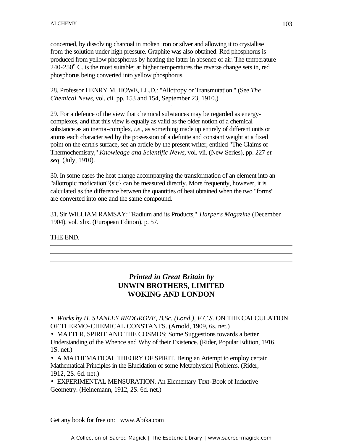concerned, by dissolving charcoal in molten iron or silver and allowing it to crystallise from the solution under high pressure. Graphite was also obtained. Red phosphorus is produced from yellow phosphorus by heating the latter in absence of air. The temperature  $240-250^{\circ}$  C. is the most suitable; at higher temperatures the reverse change sets in, red phosphorus being converted into yellow phosphorus.

28. Professor HENRY M. HOWE, LL.D.: "Allotropy or Transmutation." (See *The Chemical News*, vol. cii. pp. 153 and 154, September 23, 1910.) -

29. For a defence of the view that chemical substances may be regarded as energycomplexes, and that this view is equally as valid as the older notion of a chemical substance as an inertia-complex, *i.e*., as something made up entirely of different units or atoms each characterised by the possession of a definite and constant weight at a fixed point on the earth's surface, see an article by the present writer, entitled "The Claims of Thermochemistry," *Knowledge and Scientific News*, vol. vii. (New Series), pp. 227 *et seq*. (July, 1910).

30. In some cases the heat change accompanying the transformation of an element into an "allotropic modication"{sic} can be measured directly. More frequently, however, it is calculated as the difference between the quantities of heat obtained when the two "forms" are converted into one and the same compound.

31. Sir WILLIAM RAMSAY: "Radium and its Products," *Harper's Magazine* (December 1904), vol. xlix. (European Edition), p. 57.

THE END.

# *Printed in Great Britain by* **UNWIN BROTHERS, LIMITED WOKING AND LONDON**

• *Works by H. STANLEY REDGROVE, B.Sc. (Lond.), F.C.S.* ON THE CALCULATION OF THERMO-CHEMICAL CONSTANTS. (Arnold, 1909, 6s. net.)

• MATTER, SPIRIT AND THE COSMOS; Some Suggestions towards a better Understanding of the Whence and Why of their Existence. (Rider, Popular Edition, 1916, 1S. net.)

• A MATHEMATICAL THEORY OF SPIRIT. Being an Attempt to employ certain Mathematical Principles in the Elucidation of some Metaphysical Problems. (Rider, 1912, 2S. 6d. net.)

• EXPERIMENTAL MENSURATION. An Elementary Text-Book of Inductive Geometry. (Heinemann, 1912, 2S. 6d. net.)